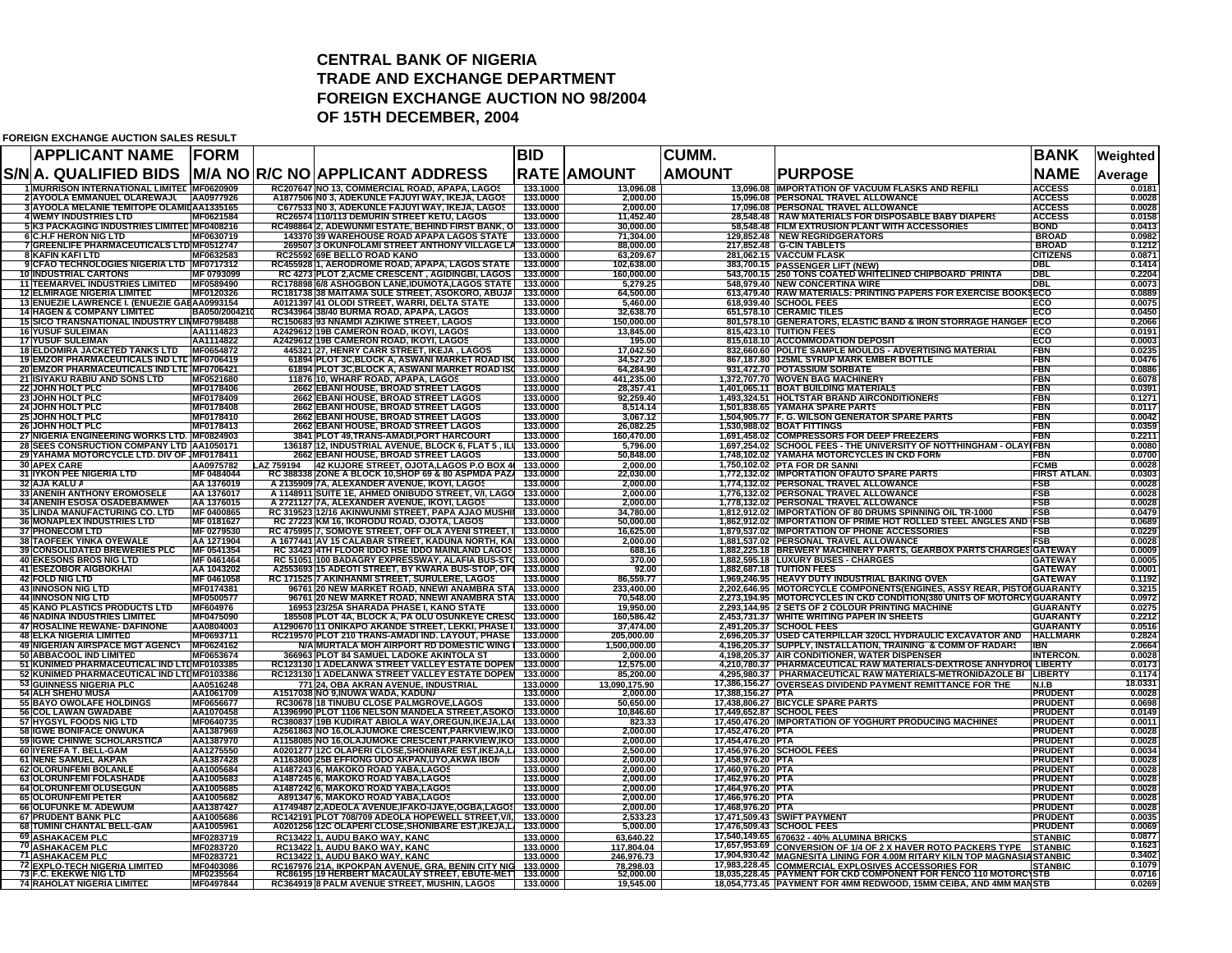## **CENTRAL BANK OF NIGERIA TRADE AND EXCHANGE DEPARTMENTFOREIGN EXCHANGE AUCTION NO 98/2004 OF 15TH DECEMBER, 2004**

**FOREIGN EXCHANGE AUCTION SALES RESULT**

| <b>APPLICANT NAME</b>                                                                           | <b>FORM</b>                    |                                                                                                                    | <b>BID</b>           |                            | CUMM.                                  |                                                                                                                                             | <b>BANK</b>                        | Weighted          |  |
|-------------------------------------------------------------------------------------------------|--------------------------------|--------------------------------------------------------------------------------------------------------------------|----------------------|----------------------------|----------------------------------------|---------------------------------------------------------------------------------------------------------------------------------------------|------------------------------------|-------------------|--|
| S/N A. QUALIFIED BIDS                                                                           |                                | M/A NO R/C NO APPLICANT ADDRESS                                                                                    |                      | <b>RATE AMOUNT</b>         | <b>AMOUNT</b>                          | <b>PURPOSE</b>                                                                                                                              | <b>NAME</b>                        | Average           |  |
| 1 MURRISON INTERNATIONAL LIMITED MF0620909                                                      |                                | RC207647 NO 13, COMMERCIAL ROAD, APAPA, LAGOS                                                                      | 133,1000             | 13,096.08                  |                                        | <b>13.096.08 IMPORTATION OF VACUUM FLASKS AND REFILI</b>                                                                                    | <b>ACCESS</b>                      | 0.0181            |  |
| 2 AYOOLA EMMANUEL OLAREWAJL<br>3 AYOOLA MELANIE TEMITOPE OLAMILAA1335165                        | AA0977926                      | A1877506 NO 3. ADEKUNLE FAJUYI WAY. IKEJA. LAGOS<br>C677533 NO 3. ADEKUNLE FAJUYI WAY. IKEJA, LAGOS                | 133,0000<br>133,0000 | 2.000.00<br>2.000.00       |                                        | 15.096.08 PERSONAL TRAVEL ALLOWANCE<br>17.096.08 PERSONAL TRAVEL ALLOWANCE                                                                  | <b>ACCESS</b><br><b>ACCESS</b>     | 0.0028<br>0.0028  |  |
| <b>4 WEMY INDUSTRIES LTD</b>                                                                    | MF0621584                      | RC26574 110/113 DEMURIN STREET KETU, LAGOS                                                                         | 133.0000             | 11,452.40                  |                                        | 28,548.48   RAW MATERIALS FOR DISPOSABLE BABY DIAPERS                                                                                       | <b>ACCESS</b>                      | 0.0158            |  |
| 5 K3 PACKAGING INDUSTRIES LIMITED MF0408216                                                     |                                | RC498864 2, ADEWUNMI ESTATE, BEHIND FIRST BANK, O                                                                  | 133.0000             | 30,000.00                  |                                        | 58,548.48 FILM EXTRUSION PLANT WITH ACCESSORIES                                                                                             | <b>BOND</b>                        | 0.0413            |  |
| 6 C.H.F HERON NIG LTD                                                                           | MF0630719                      | 143370 39 WAREHOUSE ROAD APAPA LAGOS STATE                                                                         | 133.0000             | 71,304.00                  |                                        | 129,852.48 NEW REGRIDGERATORS                                                                                                               | <b>BROAD</b>                       | 0.0982            |  |
| 7 GREENLIFE PHARMACEUTICALS LTD MF0512747                                                       |                                | 269507 3 OKUNFOLAMI STREET ANTHONY VILLAGE LA 133.0000                                                             |                      | 88.000.00                  |                                        | 217,852.48 G-CIN TABLETS                                                                                                                    | <b>BROAD</b>                       | 0.1212            |  |
| 8 KAFIN KAFI LTD<br>9 CFAO TECHNOLOGIES NIGERIA LTD   MF0717312                                 | MF0632583                      | RC25592 69E BELLO ROAD KANO<br>RC455928 1, AERODROME ROAD, APAPA, LAGOS STATE                                      | 133.0000<br>133.0000 | 63,209.67<br>102,638.00    |                                        | 281,062.15 VACCUM FLASK<br>383,700.15 PASSENGER LIFT (NEW)                                                                                  | <b>CITIZENS</b><br>DBL             | 0.0871<br>0.1414  |  |
| <b>10 INDUSTRIAL CARTONS</b>                                                                    | MF 0793099                     | RC 4273 PLOT 2, ACME CRESCENT, AGIDINGBI, LAGOS                                                                    | 133.0000             | 160,000.00                 |                                        | 543,700.15 250 TONS COATED WHITELINED CHIPBOARD PRINTA                                                                                      | DBL                                | 0.2204            |  |
| <b>11 TEEMARVEL INDUSTRIES LIMITED</b>                                                          | MF0589490                      | RC178898 6/8 ASHOGBON LANE, IDUMOTA, LAGOS STATE                                                                   | 133.0000             | 5,279.25                   |                                        | 548,979.40 NEW CONCERTINA WIRE                                                                                                              | DBL                                | 0.0073            |  |
| <b>12 ELMIRAGE NIGERIA LIMITED</b>                                                              | MF0120326                      | RC181738 38 MAITAMA SULE STREET, ASOKORO, ABUJA                                                                    | 133.0000             | 64,500.00                  |                                        | 613,479.40 RAW MATERIALS: PRINTING PAPERS FOR EXERCISE BOOK                                                                                 | ECO                                | 0.0889            |  |
| 13 ENUEZIE LAWRENCE I. (ENUEZIE GAE AA0993154<br><b>14 HAGEN &amp; COMPANY LIMITED</b>          | BA050/200421                   | A0121397 41 OLODI STREET, WARRI, DELTA STATE<br>RC343964 38/40 BURMA ROAD, APAPA, LAGOS                            | 133.0000<br>133.0000 | 5,460.00<br>32,638.70      |                                        | 618,939.40 SCHOOL FEES<br>651,578.10 CERAMIC TILES                                                                                          | ECO<br>ECO                         | 0.0075<br>0.0450  |  |
| 15 SICO TRANSNATIONAL INDUSTRY LINMF0798488                                                     |                                | RC150683 93 NNAMDI AZIKIWE STREET, LAGOS                                                                           | 133.0000             | 150,000.00                 |                                        | 801,578.10 GENERATORS, ELASTIC BAND & IRON STORRAGE HANGER                                                                                  | ECO                                | 0.2066            |  |
| <b>16 YUSUF SULEIMAN</b>                                                                        | AA1114823                      | A2429612 19B CAMERON ROAD, IKOYI, LAGOS                                                                            | 133.0000             | 13,845.00                  |                                        | 815,423.10 TUITION FEES                                                                                                                     | ECO                                | 0.0191            |  |
| <b>17 YUSUF SULEIMAN</b>                                                                        | AA1114822                      | A2429612 19B CAMERON ROAD, IKOYI, LAGOS                                                                            | 133.0000             | 195.00                     |                                        | 815,618.10 ACCOMMODATION DEPOSIT                                                                                                            | ECO                                | 0.0003            |  |
| <b>18 ELDOMIRA JACKETED TANKS LTD</b>                                                           | MF0654872                      | 445321 27, HENRY CARR STREET, IKEJA, LAGOS                                                                         | 133.0000             | 17,042.50                  |                                        | 832,660.60 POLITE SAMPLE MOULDS - ADVERTISING MATERIAL                                                                                      | FBN                                | 0.0235            |  |
| <b>19 EMZOR PHARMACEUTICALS IND LTD MF0706419</b><br>20 EMZOR PHARMACEUTICALS IND LTE MF0706421 |                                | 61894 PLOT 3C, BLOCK A, ASWANI MARKET ROAD ISO 133.0000<br>61894 PLOT 3C, BLOCK A, ASWANI MARKET ROAD IS( 133.0000 |                      | 34,527.20<br>64,284.90     |                                        | 867,187.80 125ML SYRUP MARK EMBER BOTTLE<br>931,472.70 POTASSIUM SORBATE                                                                    | FBN<br>FBN                         | 0.0476<br>0.0886  |  |
| 21 ISIYAKU RABIU AND SONS LTD                                                                   | MF0521680                      | 11876 10, WHARF ROAD, APAPA, LAGOS                                                                                 | 133.0000             | 441,235.00                 |                                        | 1,372,707.70 WOVEN BAG MACHINERY                                                                                                            | FBN                                | 0.6078            |  |
| 22 JOHN HOLT PLC                                                                                | MF0178406                      | <b>2662 EBANI HOUSE, BROAD STREET LAGOS</b>                                                                        | 133.0000             | 28,357.41                  |                                        | 1,401,065.11 BOAT BUILDING MATERIALS                                                                                                        | FBN                                | 0.0391            |  |
| 23 JOHN HOLT PLC                                                                                | MF0178409                      | 2662 EBANI HOUSE, BROAD STREET LAGOS                                                                               | 133.0000             | 92,259.40                  |                                        | 1,493,324.51 HOLTSTAR BRAND AIRCONDITIONERS                                                                                                 | FBN                                | 0.1271            |  |
| 24 JOHN HOLT PLC                                                                                | MF0178408                      | 2662 EBANI HOUSE, BROAD STREET LAGOS                                                                               | 133.0000             | 8,514.14                   |                                        | 1,501,838.65 YAMAHA SPARE PARTS                                                                                                             | FBN                                | 0.0117            |  |
| 25 JOHN HOLT PLC<br><b>26 JOHN HOLT PLC</b>                                                     | MF0178410<br>MF0178413         | 2662 EBANI HOUSE, BROAD STREET LAGOS<br>2662 EBANI HOUSE, BROAD STREET LAGOS                                       | 133.0000<br>133.0000 | 3,067.12<br>26,082.25      |                                        | 1,504,905.77 F. G. WILSON GENERATOR SPARE PARTS<br>1,530,988.02 BOAT FITTINGS                                                               | <b>FBN</b><br>FBN                  | 0.0042<br>0.0359  |  |
| 27 NIGERIA ENGINEERING WORKS LTD. MF0824903                                                     |                                | 3841 PLOT 49, TRANS-AMADI, PORT HARCOURT                                                                           | 133.0000             | 160,470.00                 |                                        | 1,691,458.02 COMPRESSORS FOR DEEP FREEZERS                                                                                                  | FBN                                | 0.2211            |  |
| 28 SEES CONSRUCTION COMPANY LTD AA1050171                                                       |                                | 136187  12, INDUSTRIAL AVENUE, BLOCK 6, FLAT 5 , ILI                                                               | 133.0000             | 5,796.00                   |                                        | 1,697,254.02 SCHOOL FEES - THE UNIVERSITY OF NOTTHINGHAM - OLAY                                                                             | FBN                                | 0.0080            |  |
| 29 YAHAMA MOTORCYCLE LTD. DIV OF MF0178411                                                      |                                | 2662 EBANI HOUSE, BROAD STREET LAGOS                                                                               | 133.0000             | 50,848.00                  |                                        | 1,748,102.02 YAMAHA MOTORCYCLES IN CKD FORN                                                                                                 | FBN                                | 0.0700            |  |
| <b>30 APEX CARE</b>                                                                             | AA0975782                      | LAZ 759194 42 KUJORE STREET, OJOTA,LAGOS P.O BOX 41                                                                | 133.0000             | 2,000.00                   |                                        | 1,750,102.02 PTA FOR DR SANNI                                                                                                               | <b>FCMB</b>                        | 0.0028            |  |
| 31 IYKON PEE NIGERIA LTD<br><b>32 AJA KALU A</b>                                                | MF 0484044<br>AA 1376019       | RC 388338 ZONE A BLOCK 10, SHOP 69 & 80 ASPMDA PAZA<br>A 2135909 7A, ALEXANDER AVENUE, IKOYI, LAGOS                | 133.0000<br>133.0000 | 22,030.00<br>2,000.00      |                                        | 1,772,132.02 IMPORTATION OFAUTO SPARE PARTS<br>1,774,132.02 PERSONAL TRAVEL ALLOWANCE                                                       | <b>FIRST ATLAN.</b><br>FSB         | 0.0303<br>0.0028  |  |
| <b>33 ANENIH ANTHONY EROMOSELE</b>                                                              | AA 1376017                     | A 1148911 SUITE 1E, AHMED ONIBUDO STREET, V/I, LAGO                                                                | 133.0000             | 2,000.00                   |                                        | 1,776,132.02 PERSONAL TRAVEL ALLOWANCE                                                                                                      | FSB                                | 0.0028            |  |
| 34 ANENIH ESOSA OSADEBAMWEN                                                                     | AA 1376015                     | A 2721127 7A, ALEXANDER AVENUE, IKOYI, LAGOS                                                                       | 133.0000             | 2,000.00                   |                                        | 1,778,132.02 PERSONAL TRAVEL ALLOWANCE                                                                                                      | FSB                                | 0.0028            |  |
| 35 LINDA MANUFACTURING CO. LTD                                                                  | MF 0400865                     | RC 319523 12/16 AKINWUNMI STREET, PAPA AJAO MUSHI                                                                  | 133.0000             | 34,780.00                  |                                        | 1,812,912.02 IMPORTATION OF 80 DRUMS SPINNING OIL TR-1000                                                                                   | FSB                                | 0.0479            |  |
| <b>36 MONAPLEX INDUSTRIES LTD</b>                                                               | MF 0181627<br>MF 0279530       | RC 27223 KM 16, IKORODU ROAD, OJOTA, LAGOS                                                                         | 133.0000<br>133,0000 | 50,000.00<br>16,625.00     |                                        | 1,862,912.02 IMPORTATION OF PRIME HOT ROLLED STEEL ANGLES AND FSB<br>1,879,537.02 IMPORTATION OF PHONE ACCESSORIES                          | <b>FSB</b>                         | 0.0689            |  |
| <b>37 PHONECOM LTD</b><br><b>38 TAOFEEK YINKA OYEWALE</b>                                       | AA 1271904                     | RC 475995 7, SOMOYE STREET, OFF OLA AYENI STREET, I<br>A 1677441 AV 15 CALABAR STREET, KADUNA NORTH, KA 133.0000   |                      | 2,000.00                   |                                        | 1,881,537.02 PERSONAL TRAVEL ALLOWANCE                                                                                                      | FSB                                | 0.0229<br>0.0028  |  |
| <b>39 CONSOLIDATED BREWERIES PLC</b>                                                            | MF 0541354                     | RC 33423 4TH FLOOR IDDO HSE IDDO MAINLAND LAGOS 133.0000                                                           |                      | 688.16                     |                                        | 1,882,225.18 BREWERY MACHINERY PARTS, GEARBOX PARTS CHARGES GATEWAY                                                                         |                                    | 0.0009            |  |
| <b>40 EKESONS BROS NIG LTD</b>                                                                  | MF 0461464                     | RC 51051 100 BADAGRY EXPRESSWAY, ALAFIA BUS-STO 133.0000                                                           |                      | 370.00                     |                                        | 1,882,595.18 LUXURY BUSES - CHARGES                                                                                                         | <b>GATEWAY</b>                     | 0.0005            |  |
| <b>41 ESEZOBOR AIGBOKHAI</b>                                                                    | AA 1043202                     | A2553693 15 ADEOTI STREET, BY KWARA BUS-STOP, OFI 133.0000                                                         |                      | 92.00                      |                                        | 1,882,687.18 TUITION FEES                                                                                                                   | <b>GATEWAY</b>                     | 0.0001            |  |
| <b>42 FOLD NIG LTD</b><br><b>43 INNOSON NIG LTD</b>                                             | <b>MF 0461058</b><br>MF0174381 | RC 171525 7 AKINHANMI STREET, SURULERE, LAGOS<br>96761 20 NEW MARKET ROAD, NNEWI ANAMBRA STA                       | 133.0000<br>133,0000 | 86,559.77<br>233,400.00    |                                        | 1,969,246.95 HEAVY DUTY INDUSTRIAL BAKING OVEN<br>2,202,646.95 MOTORCYCLE COMPONENTS(ENGINES, ASSY REAR, PISTOI GUARANTY                    | <b>GATEWAY</b>                     | 0.1192<br>0.3215  |  |
| <b>44 INNOSON NIG LTD</b>                                                                       | MF0500577                      | 96761 20 NEW MARKET ROAD, NNEWI ANAMBRA STA                                                                        | 133.0000             | 70,548.00                  |                                        | 2,273,194.95 MOTORCYCLES IN CKD CONDITION(380 UNITS OF MOTORCY GUARANTY                                                                     |                                    | 0.0972            |  |
| <b>45 KANO PLASTICS PRODUCTS LTD</b>                                                            | MF604976                       | 16953 23/25A SHARADA PHASE I, KANO STATE                                                                           | 133.0000             | 19,950.00                  |                                        | 2,293,144.95 2 SETS OF 2 COLOUR PRINTING MACHINE                                                                                            | <b>GUARANTY</b>                    | 0.0275            |  |
| <b>46 NADINA INDUSTRIES LIMITED</b>                                                             | MF0475090                      | 185508 PLOT 4A, BLOCK A, PA OLU OSUNKEYE CRESO                                                                     | 133.0000             | 160,586.42                 |                                        | 2,453,731.37 WHITE WRITING PAPER IN SHEETS                                                                                                  | <b>GUARANTY</b>                    | 0.2212            |  |
| 47 ROSALINE REWANE- DAFINONE                                                                    | AA0804003<br>MF0693711         | A1290670 11 ONIKAPO AKANDE STREET, LEKKI, PHASE I,                                                                 | 133.0000             | 37,474.00                  |                                        | 2,491,205.37 SCHOOL FEES                                                                                                                    | <b>GUARANTY</b><br><b>HALLMARK</b> | 0.0516<br>0.2824  |  |
| <b>48 ELKA NIGERIA LIMITED</b><br><b>49 NIGERIAN AIRSPACE MGT AGENCY</b>                        | MF0624162                      | RC219570 PLOT 210 TRANS-AMADI IND. LAYOUT, PHASE   133.0000<br>N/A MURTALA MOH AIRPORT RD DOMESTIC WING I          | 133,0000             | 205,000.00<br>1,500,000.00 |                                        | 2,696,205.37 USED CATERPILLAR 320CL HYDRAULIC EXCAVATOR AND<br>4,196,205.37 SUPPLY, INSTALLATION, TRAINING & COMM OF RADARS                 | <b>IBN</b>                         | 2.0664            |  |
| 50 ABBACOOL IND LIMITED                                                                         | MF0653674                      | 366963 PLOT 84 SAMUEL LADOKE AKINTOLA ST                                                                           | 133.0000             | 2,000.00                   |                                        | 4,198,205.37 AIR CONDITIONER, WATER DISPENSER                                                                                               | <b>INTERCON.</b>                   | 0.0028            |  |
| 51 KUNIMED PHARMACEUTICAL IND LTI MF0103385                                                     |                                | RC123130 1 ADELANWA STREET VALLEY ESTATE DOPEM                                                                     | 133.0000             | 12,575.00                  |                                        | 4,210,780.37 PHARMACEUTICAL RAW MATERIALS-DEXTROSE ANHYDROI LIBERTY                                                                         |                                    | 0.0173            |  |
| 52 KUNIMED PHARMACEUTICAL IND LTI MF0103386                                                     |                                | RC123130 1 ADELANWA STREET VALLEY ESTATE DOPEN 133.0000                                                            |                      | 85,200.00                  |                                        | 4,295,980.37 PHARMACEUTICAL RAW MATERIALS-METRONIDAZOLE BI LIBERTY                                                                          |                                    | 0.1174            |  |
| 53 GUINNESS NIGERIA PLC<br><b>54 ALH SHEHU MUSA</b>                                             | AA0516248<br>AA1061709         | 771 24, OBA AKRAN AVENUE, INDUSTRIAL<br>A1517038 NO 9,INUWA WADA, KADUN/                                           | 133.0000<br>133.0000 | 13,090,175.90<br>2,000.00  |                                        | 17,386,156.27 OVERSEAS DIVIDEND PAYMENT REMITTANCE FOR THE 17,388,156.27 PTA                                                                | <u>N.I.B</u><br>PRUDENT            | 18.0331<br>0.0028 |  |
| <b>55 BAYO OWOLAFE HOLDINGS</b>                                                                 | MF0656677                      | RC30678 18 TINUBU CLOSE PALMGROVE,LAGOS                                                                            | 133,0000             | 50.650.00                  |                                        | 17,438,806.27 BICYCLE SPARE PARTS                                                                                                           | <b>PRUDENT</b>                     | 0.0698            |  |
| <b>56 COL LAWAN GWADABE</b>                                                                     | AA1070458                      | A1396990 PLOT 1106 NELSON MANDELA STREET,ASOKO                                                                     | 133.0000             | 10,846.60                  |                                        | 17,449,652.87 SCHOOL FEES                                                                                                                   | <b>PRUDENT</b>                     | 0.0149            |  |
| <b>57 HYGSYL FOODS NIG LTD</b>                                                                  | MF0640735                      | RC380837 19B KUDIRAT ABIOLA WAY, OREGUN, IKEJA, LA 133.0000                                                        |                      | 823.33                     |                                        | 17,450,476.20 IMPORTATION OF YOGHURT PRODUCING MACHINES                                                                                     | <b>PRUDENT</b>                     | 0.001             |  |
| <b>58 IGWE BONIFACE ONWUKA</b>                                                                  | AA1387969<br>AA1387970         | A2561863 NO 16, OLAJUMOKE CRESCENT, PARKVIEW, IKO 133.0000                                                         |                      | 2,000.00                   | 17,452,476.20 PTA                      |                                                                                                                                             | <b>PRUDENT</b><br><b>PRUDENT</b>   | 0.0028            |  |
| 59 IGWE CHINWE SCHOLARSTICA<br>60 IYEREFA T. BELL-GAM                                           | AA1275550                      | A1158085 NO 16, OLAJUMOKE CRESCENT, PARKVIEW, IKO<br>A0201277 12C OLAPERI CLOSE, SHONIBARE EST, IKEJA, LJ          | 133.0000<br>133.0000 | 2,000.00<br>2,500.00       | 17,454,476.20 PTA                      | 17,456,976.20 SCHOOL FEES                                                                                                                   | <b>PRUDENT</b>                     | 0.0028<br>0.0034  |  |
| <b>61 NENE SAMUEL AKPAN</b>                                                                     | AA1387428                      | A1163800 25B EFFIONG UDO AKPAN, UYO, AKWA IBON                                                                     | 133,0000             | 2,000.00                   | 17,458,976.20 PTA                      |                                                                                                                                             | <b>PRUDENT</b>                     | 0.0028            |  |
| 62 OLORUNFEMI BOLANLE                                                                           | AA1005684                      | A1487243 6, MAKOKO ROAD YABA,LAGOS                                                                                 | 133.0000             | 2,000.00                   | 17,460,976.20 PTA                      |                                                                                                                                             | <b>PRUDENT</b>                     | 0.0028            |  |
| <b>63 OLORUNFEMI FOLASHADE</b>                                                                  | AA1005683                      | A1487245 6, MAKOKO ROAD YABA,LAGOS                                                                                 | 133.0000             | 2,000.00                   | 17,462,976.20 PTA                      |                                                                                                                                             | <b>PRUDENT</b>                     | 0.0028            |  |
| <b>64 OLORUNFEMI OLUSEGUN</b><br>65 OLORUNFEMI PETER                                            | AA1005685<br>AA1005682         | A1487242 6, MAKOKO ROAD YABA, LAGOS<br>A891347 6, MAKOKO ROAD YABA, LAGOS                                          | 133.0000<br>133,0000 | 2,000.00<br>2,000.00       | 17,464,976.20 PTA<br>17,466,976.20 PTA |                                                                                                                                             | <b>PRUDENT</b><br><b>PRUDENT</b>   | 0.0028<br>0.0028  |  |
| <b>66 OLUFUNKE M. ADEWUM</b>                                                                    | AA1387427                      | A1749487 2, ADEOLA AVENUE, IFAKO-IJAYE, OGBA, LAGOS                                                                | 133,0000             | 2,000.00                   | 17,468,976.20 PTA                      |                                                                                                                                             | <b>PRUDENT</b>                     | 0.0028            |  |
| <b>67 PRUDENT BANK PLC</b>                                                                      | AA1005686                      | RC142191 PLOT 708/709 ADEOLA HOPEWELL STREET, V/I,                                                                 | 133.0000             | 2,533.23                   |                                        | 17,471,509.43 SWIFT PAYMENT                                                                                                                 | <b>PRUDENT</b>                     | 0.0035            |  |
| 68 TUMINI CHANTAL BELL-GAN                                                                      | AA1005961                      | A0201256 12C OLAPERI CLOSE,SHONIBARE EST,IKEJA,LI                                                                  | 133.0000             | 5,000.00                   |                                        | 17,476,509.43 SCHOOL FEES                                                                                                                   | <b>PRUDENT</b>                     | 0.0069            |  |
| 69 ASHAKACEM PLC                                                                                | MF0283719                      | RC13422 1, AUDU BAKO WAY, KANC                                                                                     | 133.0000             | 63,640.22                  |                                        | 17,540,149.65 670632 - 40% ALUMINA BRICKS                                                                                                   | <b>STANBIC</b>                     | 0.0877<br>0.1623  |  |
| <b>70 ASHAKACEM PLC</b><br>71 ASHAKACEM PLC                                                     | MF0283720                      | RC13422 1, AUDU BAKO WAY, KANC                                                                                     | 133.0000             | 117,804.04                 |                                        | 17,657,953.69 CONVERSION OF 1/4 OF 2 X HAVER ROTO PACKERS TYPE<br>17,904,930.42 MAGNESITA LINING FOR 4.00M RITARY KILN TOP MAGNASIA STANBIC | <b>STANBIC</b>                     | 0.3402            |  |
|                                                                                                 | MF0283721                      | RC13422 1, AUDU BAKO WAY, KANC                                                                                     | 133.0000             | 246,976.73                 |                                        |                                                                                                                                             |                                    | 0.1079            |  |
| <b>72 EXPLO-TECH NIGERIA LIMITED<br/>73 F.C. EKEKWE NIG LTD</b>                                 | MF0403086<br>MF0235564         | RC167976 21A, IKPOKPAN AVENUE, GRA, BENIN CITY NIG<br>RC86195 19 HERBERT MACAULAY STREET, EBUTE-MET                | 133.0000<br>133.0000 | 78,298.03<br>52,000.00     |                                        | 17,983,228.45 COMMERCIAL EXPLOSIVES ACCESSORIES FOR STANBIC<br>18,035,228.45 PAYMENT FOR CKD COMPONENT FOR FENCO 110 MOTORC\STB             |                                    | 0.0716            |  |
| <b>74 RAHOLAT NIGERIA LIMITED</b>                                                               | MF0497844                      | RC364919 8 PALM AVENUE STREET, MUSHIN, LAGOS                                                                       | 133.0000             | 19,545.00                  |                                        | 18,054,773.45 PAYMENT FOR 4MM REDWOOD, 15MM CEIBA, AND 4MM MANSTB                                                                           |                                    | 0.0269            |  |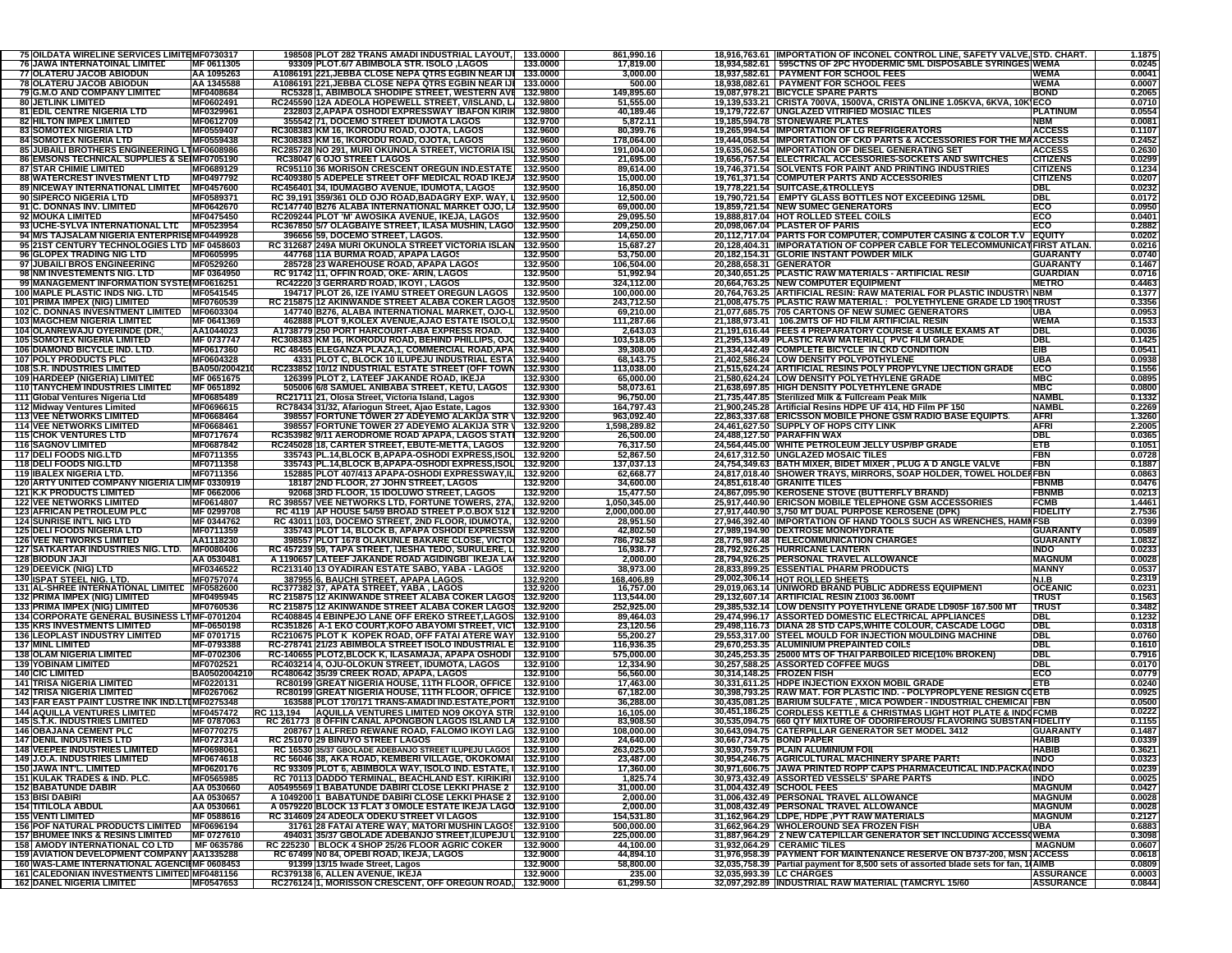| 75 OILDATA WIRELINE SERVICES LIMITEMF0730317                                     |                   | 198508 PLOT 282 TRANS AMADI INDUSTRIAL LAYOUT,                                              | 133.0000             | 861,990.16          |                           | 18,916,763.61 IMPORTATION OF INCONEL CONTROL LINE, SAFETY VALVE, STD. CHART.        | 1.1875                                                   |
|----------------------------------------------------------------------------------|-------------------|---------------------------------------------------------------------------------------------|----------------------|---------------------|---------------------------|-------------------------------------------------------------------------------------|----------------------------------------------------------|
| 76 JAWA INTERNATOINAL LIMITED                                                    | MF 0611305        | 93309 PLOT.6/7 ABIMBOLA STR. ISOLO ,LAGOS                                                   | 133.0000             | 17,819.00           |                           | 18,934,582.61 595CTNS OF 2PC HYODERMIC 5ML DISPOSABLE SYRINGES WEMA                 | 0.0245                                                   |
| 77 OLATERU JACOB ABIODUN                                                         | AA 1095263        | A1086191 221, JEBBA CLOSE NEPA QTRS EGBIN NEAR IJI                                          | 133.0000             | 3,000.00            |                           | 18.937.582.61 PAYMENT FOR SCHOOL FEES                                               | 0.0041<br><b>WEMA</b>                                    |
| 78 OLATERU JACOB ABIODUN                                                         | AA 1345588        | A1086191 221, JEBBA CLOSE NEPA QTRS EGBIN NEAR IJI                                          | 133.0000             | 500.00              |                           | 18,938,082.61 PAYMENT FOR SCHOOL FEES                                               | <b>WEMA</b><br>0.0007                                    |
| <b>79 G.M.O AND COMPANY LIMITED</b>                                              | MF0408684         | RC5328 1, ABIMBOLA SHODIPE STREET, WESTERN AVE 132.9800                                     |                      | 149,895.60          |                           | 19,087,978.21 BICYCLE SPARE PARTS                                                   | <b>BOND</b><br>0.2065                                    |
| <b>80 JETLINK LIMITED</b>                                                        | MF0602491         | RC245590 12A ADEOLA HOPEWELL STREET, V/ISLAND, LI                                           | 132.9800             | 51,555.00           |                           | 19,139,533.21 CRISTA 700VA, 1500VA, CRISTA ONLINE 1.05KVA, 6KVA, 10K ECO            | 0.0710                                                   |
| 81 EDIL CENTRE NIGERIA LTD                                                       | MF0329961         | 232803 2, APAPA OSHODI EXPRESSWAY IBAFON KIRIK                                              | 132.9800             | 40,189.46           |                           | 19,179,722.67 UNGLAZED VITRIFIED MOSIAC TILES                                       | <b>PLATINUM</b><br>0.0554                                |
| <b>82 HILTON IMPEX LIMITED</b>                                                   | <b>MF0612709</b>  | 355542 71, DOCEMO STREET IDUMOTA LAGOS                                                      | 132.9700             | 5,872.11            |                           | 19,185,594.78 STONEWARE PLATES                                                      | <b>NBM</b><br>0.008 <sub>1</sub>                         |
| <b>83 SOMOTEX NIGERIA LTD</b>                                                    | <b>MF0559407</b>  | RC308383 KM 16, IKORODU ROAD, OJOTA, LAGOS                                                  | 132.9600             | 80,399.76           |                           | 19,265,994.54 IMPORTATION OF LG REFRIGERATORS                                       | <b>ACCESS</b><br>0.1107                                  |
| <b>84 SOMOTEX NIGERIA LTD</b>                                                    | MF0559438         | RC308383 KM 16, IKORODU ROAD, OJOTA, LAGOS                                                  | 132.9600             | 178,064.00          |                           | 19,444,058.54 IMPORTATION OF CKD PARTS & ACCESSORIES FOR THE MAACCESS               | 0.2452                                                   |
| 85 JUBAILI BROTHERS ENGINEERING LTMF0608986                                      |                   | RC285728 NO 291, MURI OKUNOLA STREET, VICTORIA IS                                           | 132.9500             | 191,004.00          |                           | 19,635,062.54 IMPORTATION OF DIESEL GENERATING SET                                  | <b>ACCESS</b><br>0.2630                                  |
| 86 EMSONS TECHNICAL SUPPLIES & SEIMF0705190                                      |                   | <b>RC38047 6 OJO STREET LAGOS</b>                                                           | 132.9500             | 21,695.00           |                           | 19,656,757.54 ELECTRICAL ACCESSORIES-SOCKETS AND SWITCHES                           | 0.0299<br><b>CITIZENS</b>                                |
| <b>87 STAR CHIMIE LIMITED</b>                                                    | <b>MF0689129</b>  | RC95110 36 MORISON CRESCENT OREGUN IND ESTATE                                               | 132.9500             | 89,614.00           |                           | 19,746,371.54 SOLVENTS FOR PAINT AND PRINTING INDUSTRIES                            | <b>CITIZENS</b><br>0.1234                                |
| <b>88 WATERCREST INVESTMENT LTD</b>                                              | MF0497792         | RC409380 5 ADEPELE STREET OFF MEDICAL ROAD IKEJA                                            | 132.9500             | 15,000.00           |                           | 19,761,371.54 COMPUTER PARTS AND ACCESSORIES                                        | <b>CITIZENS</b><br>0.0207                                |
| 89 NICEWAY INTERNATIONAL LIMITED                                                 | MF0457600         | RC456401 34, IDUMAGBO AVENUE, IDUMOTA, LAGOS                                                | 132.9500             | 16,850.00           |                           | 19,778,221.54 SUITCASE,&TROLLEYS                                                    | <b>DBL</b><br>0.0232                                     |
| 90 SIPERCO NIGERIA LTD                                                           | MF0589371         | RC 39,191 359/361 OLD OJO ROAD, BADAGRY EXP. WAY,                                           | 132.9500             | 12,500.00           |                           | 19,790,721.54 EMPTY GLASS BOTTLES NOT EXCEEDING 125ML                               | DBL<br>0.0172                                            |
| 91 C. DONNAS INV. LIMITED                                                        | <b>MF0642670</b>  | RC147740 B276 ALABA INTERNATIONAL MARKET OJO, LA                                            | 132.9500             | 69,000.00           |                           | 19,859,721.54 NEW SUMEC GENERATORS                                                  | ECO<br>0.0950                                            |
| 92 MOUKA LIMITED                                                                 | MF0475450         | RC209244 PLOT 'M' AWOSIKA AVENUE, IKEJA, LAGOS                                              | 132.9500             | 29,095.50           |                           | 19,888,817.04 HOT ROLLED STEEL COILS                                                | ECO<br>0.0401                                            |
| 93 UCHE-SYLVA INTERNATIONAL LTL MF0523954                                        |                   | RC367850 5/7 OLAGBAIYE STREET, ILASA MUSHIN, LAGO                                           | 132.9500             | 209,250.00          |                           | 20,098,067.04 PLASTER OF PARIS                                                      | ECO<br>0.2882                                            |
| 94 M/S TAJSALAM NIGERIA ENTERPRISEMF0449928                                      |                   | 396656 59, DOCEMO STREET, LAGOS.                                                            | 132.9500             | 14,650.00           |                           | 20,112,717.04 PARTS FOR COMPUTER, COMPUTER CASING & COLOR T.V EQUITY                | 0.0202                                                   |
| 95 21ST CENTURY TECHNOLOGIES LTD MF 0458603                                      |                   | RC 312687 249A MURI OKUNOLA STREET VICTORIA ISLAN                                           | 132.9500             | 15,687.27           |                           | 20,128,404.31 IMPORATATION OF COPPER CABLE FOR TELECOMMUNICATFIRST ATLAN.           | 0.0216                                                   |
| 96 GLOPEX TRADING NIG LTD                                                        | <b>MF0605995</b>  | 447768 11A BURMA ROAD, APAPA LAGOS                                                          | 132.9500             | 53,750.00           |                           | 20,182,154.31 GLORIE INSTANT POWDER MILK                                            | GUARANTY<br>0.0740                                       |
| 97 JUBAILI BROS ENGINEERING                                                      | MF0529260         | 285728 23 WAREHOUSE ROAD, APAPA LAGOS                                                       | 132.9500             | 106,504.00          | 20,288,658.31 GENERATOR   |                                                                                     | <b>GUARANTY</b><br>0.1467                                |
|                                                                                  | MF 0364950        | RC 91742 11, OFFIN ROAD, OKE-ARIN, LAGOS                                                    | 132.9500             |                     |                           | 20,340,651.25 PLASTIC RAW MATERIALS - ARTIFICIAL RESIN                              | <b>GUARDIAN</b><br>0.0716                                |
| 98 NM INVESTEMENTS NIG. LTD                                                      |                   |                                                                                             |                      | 51,992.94           |                           |                                                                                     |                                                          |
| 99 MANAGEMENT INFORMATION SYSTEIMF0616251                                        |                   | RC42220 3 GERRARD ROAD, IKOYI, LAGOS                                                        | 132.9500             | 324,112.00          |                           | 20,664,763.25 NEW COMPUTER EQUIPMENT                                                | <b>METRO</b><br>0.4463                                   |
| 100 MAPLE PLASTIC INDS NIG. LTD                                                  | MF0541545         | 194717 PLOT 26, IZE IYAMU STREET OREGUN LAGOS                                               | 132.9500             | 100,000.00          |                           | 20,764,763.25 ARTIFICIAL RESIN: RAW MATERIAL FOR PLASTIC INDUSTRY                   | <b>NBM</b><br>0.1377                                     |
| 101 PRIMA IMPEX (NIG) LIMITED                                                    | MF0760539         | RC 215875 12 AKINWANDE STREET ALABA COKER LAGOS 132.9500                                    |                      | 243,712.50          |                           | 21,008,475.75 PLASTIC RAW MATERIAL : POLYETHYLENE GRADE LD 1901 TRUST               | 0.3356                                                   |
| 102 C. DONNAS INVESNTMENT LIMITED                                                | MF0603304         | 147740 B276, ALABA INTERNATIONAL MARKET, OJO-LI                                             | 132.9500             | 69,210.00           |                           | 21,077,685.75 705 CARTONS OF NEW SUMEC GENERATORS                                   | 0.0953<br><b>UBA</b>                                     |
| <b>103 MAGCHEM NIGERIA LIMITED</b>                                               | MF 0641369        | 462888 PLOT 9,KOLEX AVENUE,AJAO ESTATE ISOLO,L                                              | 132.9500             | 111,287.66          |                           | 21,188,973.41   106.2MTS OF HD FILM ARTIFICIAL RESIN                                | <b>WEMA</b><br>0.1533                                    |
| 104 OLANREWAJU OYERINDE (DR.                                                     | AA1044023         | A1738779 250 PORT HARCOURT-ABA EXPRESS ROAD.                                                | 132.9400             | 2,643.03            |                           | 21,191,616.44 FEES 4 PREPARATORY COURSE 4 USMLE EXAMS AT                            | 0.0036<br><b>DBL</b>                                     |
| 105 SOMOTEX NIGERIA LIMITED                                                      | MF 0737747        | RC308383 KM 16, IKORODU ROAD, BEHIND PHILLIPS, OJO                                          | 132.9400             | 103,518.05          |                           | 21,295,134.49 PLASTIC RAW MATERIAL( PVC FILM GRADE                                  | 0.1425<br><b>DBL</b>                                     |
| <b>106 DIAMOND BICYCLE IND. LTD</b>                                              | MF0617360         | RC 48455 ELEGANZA PLAZA,1, COMMERCIAL ROAD, APA                                             | 132.9400             | 39,308.00           |                           | 21,334,442.49 COMPLETE BICYCLE IN CKD CONDITION                                     | EIB<br>0.0541                                            |
| <b>107 POLY PRODUCTS PLC</b>                                                     | <b>MF0604328</b>  | 4331 PLOT C, BLOCK 10 ILUPEJU INDUSTRIAL ESTA                                               | 132.9400             | 68,143.75           |                           | 21,402,586.24 LOW DENSITY POLYPOTHYLENE                                             | <b>UBA</b><br>0.0938                                     |
| <b>108 S.R. INDUSTRIES LIMITED</b>                                               | BA050/200421      | RC233852 10/12 INDUSTRIAL ESTATE STREET (OFF TOWN                                           | 132.9300             | 113,038.00          |                           | 21,515,624.24 ARTIFICIAL RESINS POLY PROPYLYNE IJECTION GRADE                       | ECO<br>0.1556                                            |
| 109 HARDEEP (NIGERIA) LIMITED                                                    | MF 0651675        | 126399 PLOT 2, LATEEF JAKANDE ROAD, IKEJA                                                   | 132.9300             | 65,000.00           |                           | 21,580,624.24 LOW DENSITY POLYETHYLENE GRADE                                        | <b>MBC</b><br>0.0895                                     |
| <b>110 TANYCHEM INDUSTRIES LIMITED</b>                                           | MF 0651892        | 505006 6/8 SAMUEL ANIBABA STREET, KETU, LAGOS                                               | 132.9300             | 58,073.61           |                           | 21,638,697.85 HIGH DENSITY POLYETHYLENE GRADE                                       | <b>MBC</b><br>0.0800                                     |
| 111 Global Ventures Nigeria Ltd                                                  | MF0685489         | RC21711 21, Olosa Street, Victoria Island, Lagos                                            | 132.9300             | 96,750.00           |                           | 21,735,447.85 Sterilized Milk & Fullcream Peak Milk                                 | <b>NAMBL</b><br>0.1332                                   |
| 112 Midway Ventures Limited                                                      | <b>MF0696615</b>  | RC78434 31/32, Afariogun Street, Ajao Estate, Lagos                                         | 132.9300             | 164,797.43          |                           | 21.900.245.28 Artificial Resins HDPE UF 414. HD Film PF 150                         | <b>NAMBL</b><br>0.2269                                   |
| <b>113 VEE NETWORKS LIMITED</b>                                                  | MF0668464         | 398557 FORTUNE TOWER 27 ADEYEMO ALAKIJA STR                                                 | 132.9200             | 963,092.40          |                           | 22,863,337.68 ERICSSON MOBILE PHONE GSM RADIO BASE EQUIPTS                          | <b>AFRI</b><br>1.3260                                    |
| <b>114 VEE NETWORKS LIMITED</b>                                                  | MF0668461         | 398557 FORTUNE TOWER 27 ADEYEMO ALAKIJA STR                                                 | 132.9200             | 1.598.289.82        |                           | 24,461,627.50 SUPPLY OF HOPS CITY LINK                                              | <b>AFRI</b><br>2.2005                                    |
| <b>115 CHOK VENTURES LTD</b>                                                     | <b>MF0717674</b>  | RC353982 9/11 AERODROME ROAD APAPA, LAGOS STATI                                             | 132.9200             | 26,500.00           |                           | 24,488,127.50 PARAFFIN WAX                                                          | 0.0365<br>DBL                                            |
| <b>116 SAGNOV LIMITED</b>                                                        | <b>MF0687842</b>  | RC245028 18, CARTER STREET, EBUTE-METTA, LAGOS                                              | 132.9200             | 76,317.50           |                           | 24,564,445.00 WHITE PETROLEUM JELLY USP/BP GRADE                                    | <b>ETB</b><br>0.1051                                     |
| <b>117 DELI FOODS NIG.LTD</b>                                                    | <b>MF0711355</b>  | 335743 PL.14,BLOCK B,APAPA-OSHODI EXPRESS,ISOL                                              | 132.9200             | 52,867.50           |                           | 24,617,312.50 UNGLAZED MOSAIC TILES                                                 | FBN<br>0.0728                                            |
| 118 DELI FOODS NIG.LTD                                                           | <b>MF0711358</b>  | 335743 PL.14, BLOCK B, APAPA-OSHODI EXPRESS, ISOL                                           | 132.9200             | 137,037.13          |                           | 24,754,349.63 BATH MIXER, BIDET MIXER, PLUG A D ANGLE VALVE                         | FBN<br>0.1887                                            |
| 119 BALEX NIGERIA LTD.                                                           | <b>MF0711356</b>  | 152885 PLOT 407/413 APAPA-OSHODI EXPRESSWAY,IL                                              | 132.9200             | 62,668.77           |                           | 24,817,018.40 SHOWER TRAYS, MIRRORS, SOAP HOLDER, TOWEL HOLDEFFBN                   | 0.086                                                    |
| 120 ARTY UNITED COMPANY NIGERIA LIMMF 0330919                                    |                   | 18187 2ND FLOOR, 27 JOHN STREET, LAGOS                                                      | 132.9200             | 34,600.00           |                           | 24,851,618.40 GRANITE TILES                                                         | 0.047<br><b>FBNMB</b>                                    |
| <b>121 K.K PRODUCTS LIMITED</b>                                                  | MF 0662006        | 92068 3RD FLOOR, 15 IDOLUWO STREET, LAGOS                                                   | 132.9200             | 15,477.50           |                           | 24,867,095.90 KEROSENE STOVE (BUTTERFLY BRAND)                                      | <b>FBNMB</b><br>0.0213                                   |
| <b>122 VEE NETWORKS LIMITED</b>                                                  | MF0614807         | RC 398557 VEE NETWORKS LTD, FORTUNE TOWERS, 27A,                                            | 132.9200             | 1,050,345.00        |                           | 25,917,440.90 ERICSON MOBILE TELEPHONE GSM ACCESSORIES                              | <b>FCMB</b><br>1.4461                                    |
| <b>123 AFRICAN PETROLEUM PLC</b>                                                 | MF 0299708        | RC 4119   AP HOUSE 54/59 BROAD STREET P.O.BOX 512   132.9200                                |                      | 2,000,000.00        |                           | 27,917,440.90 3,750 MT DUAL PURPOSE KEROSENE (DPK)                                  | <b>FIDELITY</b><br>2.7536                                |
|                                                                                  |                   | RC 43011 103, DOCEMO STREET, 2ND FLOOR, IDUMOTA,                                            | 132.9200             | 28,951.50           |                           | 27,946,392.40 IMPORTATION OF HAND TOOLS SUCH AS WRENCHES, HAMNESB                   | 0.0399                                                   |
|                                                                                  |                   |                                                                                             |                      |                     |                           |                                                                                     |                                                          |
| <b>124 SUNRISE INT'L NIG LTD</b>                                                 | MF 0344762        |                                                                                             |                      |                     |                           |                                                                                     |                                                          |
| <b>125 DELI FOODS NIGERIA LTD</b>                                                | MF0711359         | 335743 PLOT 14, BLOCK B, APAPA OSHODI EXPRESSW                                              | 132.9200             | 42,802.50           |                           | 27,989,194.90 DEXTROSE MONOHYDRATE                                                  | <b>GUARANTY</b><br>0.0589                                |
| <b>126 VEE NETWORKS LIMITED</b>                                                  | AA1118230         | 398557 PLOT 1678 OLAKUNLE BAKARE CLOSE, VICTOI                                              | 132.9200             | 786,792.58          |                           | 28,775,987.48 TELECOMMUNICATION CHARGES                                             | <b>GUARANTY</b><br>1.0832                                |
| 127 SATKARTAR INDUSTRIES NIG. LTD.                                               | MF0080406         | RC 457239 59, TAPA STREET, IJESHA TEDO, SURULERE, LI                                        | 132.9200             | 16,938.77           |                           | 28,792,926.25 HURRICANE LANTERN                                                     | <b>INDO</b><br>0.0233                                    |
| <b>128 BIODUN JAJI</b>                                                           | AA 0530481        | A 1190657 LATEEF JAKANDE ROAD AGIDINGBI IKEJA LA                                            | 132.9200             | 2,000.00            |                           | 28,794,926.25 PERSONAL TRAVEL ALLOWANCE                                             | <b>MAGNUM</b><br>0.0028                                  |
| 129   DEEVICK (NIG) LTD                                                          | MF0346522         | RC213140 13 OYADIRAN ESTATE SABO, YABA - LAGOS                                              | 132.9200             | 38,973.00           |                           | 28,833,899.25 ESSENTIAL PHARM PRODUCTS                                              | <b>MANNY</b><br>0.0537                                   |
| <b>130 ISPAT STEEL NIG. LTD</b>                                                  | <b>MF0757074</b>  | <u>387955 6, BAUCHI STREET, APAPA LAGOS</u>                                                 |                      | 168,406.89          |                           | 29,002,306.14 HOT ROLLED SHEETS                                                     | 0.2319<br><b>N.I.B</b>                                   |
| 131 AL-SHREE INTERNATIONAL LIMITED                                               | MF0582600         | RC377382 37, APATA STREET, YABA, LAGOS                                                      | 132.9200<br>132.9200 | 16,757.00           |                           | 29,019,063.14 UNIWORD BRAND PUBLIC ADDRESS EQUIPMENT                                | <b>OCEANIC</b><br>0.023                                  |
| <b>132 PRIMA IMPEX (NIG) LIMITED</b>                                             | <b>MF0495945</b>  | RC 215875 12 AKINWANDE STREET ALABA COKER LAGOS                                             | 132.9200             | 113,544.00          |                           | 29,132,607.14 ARTIFICIAL RESIN Z1003 36.00MT                                        | <b>TRUST</b><br>0.156                                    |
| <b>133 PRIMA IMPEX (NIG) LIMITED</b>                                             | MF0760536         | RC 215875 12 AKINWANDE STREET ALABA COKER LAGOS                                             | 132.9200             | 252,925.00          |                           | 29,385,532.14 LOW DENSITY POYETHYLENE GRADE LD905F 167.500 M                        | <b>TRUST</b><br>0.3482                                   |
| 134 CORPORATE GENERAL BUSINESS LTMF-0701204                                      |                   | RC408845 4 EBINPEJO LANE OFF EREKO STREET,LAGOS                                             | 132.9100             | 89,464.03           |                           | 29,474,996.17 ASSORTED DOMESTIC ELECTRICAL APPLIANCES                               | DBL<br>0.1232                                            |
| <b>135 KRS INVESTMENTS LIMITED</b>                                               | <b>MF-0650198</b> | RC351826 A-1 EKO COURT, KOFO ABAYOMI STREET, VICT                                           | 132.9100             | 23,120.56           |                           | 29,498,116.73 DIANA 28 STD CAPS, WHITE COLOUR, CASCADE LOGO                         | DBL<br>0.0318                                            |
| <b>136 LEOPLAST INDUSTRY LIMITED</b>                                             | MF 0701715        | RC210675 PLOT K KOPEK ROAD, OFF FATAI ATERE WAY                                             | 132.9100             | 55,200.27           |                           | 29,553,317.00 STEEL MOULD FOR INJECTION MOULDING MACHINE                            | DBL<br>0.0760                                            |
| <b>137 MINL LIMITED</b>                                                          | MF-0793388        | RC-278741 21/23 ABIMBOLA STREET ISOLO INDUSTRIAL E                                          | 132.9100             | 116,936.35          |                           | 29,670,253.35 ALUMINIUM PREPAINTED COILS                                            | DBL<br>0.1610                                            |
| <b>138 OLAM NIGERIA LIMITED</b>                                                  | MF-0702306        | RC-140655 PLOT2,BLOCK K, ILASAMAJA, APAPA OSHODI                                            | 132.9100             | 575,000.00          |                           | 30,245,253.35 25000 MTS OF THAI PARBOILED RICE(10% BROKEN)                          | <b>DBL</b><br>0.7916                                     |
| <b>139 YOBINAM LIMITED</b>                                                       | MF0702521         | RC403214 4, OJU-OLOKUN STREET, IDUMOTA, LAGOS                                               | 132.9100             | 12,334.90           |                           | 30,257,588.25 ASSORTED COFFEE MUGS                                                  | <b>DBL</b><br>0.0170                                     |
| <b>140 CIC LIMITED</b>                                                           | BA0502004210      | RC480642 35/39 CREEK ROAD, APAPA, LAGOS                                                     | 132.9100             | 56,560.00           | 30,314,148.25 FROZEN FISH |                                                                                     | ECO<br>0.0779                                            |
| 141 TRISA NIGERIA LIMITED                                                        | <b>MF0220131</b>  | RC80199 GREAT NIGERIA HOUSE, 11TH FLOOR, OFFICE                                             | 132.9100             | 17,463.00           |                           | 30,331,611.25 HDPE INJECTION EXXON MOBIL GRADE                                      | <b>ETB</b><br>0.0240                                     |
| 142 TRISA NIGERIA LIMITED                                                        | MF0267062         | RC80199 GREAT NIGERIA HOUSE, 11TH FLOOR, OFFICE                                             | 132.9100             | 67,182.00           |                           | 30,398,793.25 RAW MAT. FOR PLASTIC IND. - POLYPROPLYENE RESIGN COETB                | 0.0925                                                   |
| 143 FAR EAST PAINT LUSTRE INK IND.LTIMF0275348                                   |                   | 163588 PLOT 170/171 TRANS-AMADI IND.ESTATE,PORT                                             | 132.9100             | 36,288.00           |                           | 30,435,081.25 BARIUM SULFATE, MICA POWDER - INDUSTRIAL CHEMICAI   FBN               | 0.0500                                                   |
| 144 AQUILLA VENTURES LIMITED                                                     | MF0457472         | RC 113,194 AQUILLA VENTURES LIMITED NO9 OKOYA STR                                           | 132.9100             | 16,105.00           |                           | 30,451,186.25 CORDLESS KETTLE & CHRISTMAS LIGHT HOT PLATE & INDOFCMB                | 0.0222                                                   |
| 145 S.T.K. INDUSTRIES LIMITED                                                    | MF 0787063        | RC 261773 8 OFFIN CANAL APONGBON LAGOS ISLAND LA                                            | 132.9100             | 83,908.50           |                           | 30,535,094.75 660 QTY MIXTURE OF ODORIFEROUS/ FLAVORING SUBSTAN FIDELITY            | 0.1155                                                   |
| 146 OBAJANA CEMENT PLC                                                           | MF0770275         | 208767 1 ALFRED REWANE ROAD, FALOMO IKOYI LAG 132.9100                                      |                      | 108,000.00          |                           | 30,643,094.75 CATERPILLAR GENERATOR SET MODEL 3412                                  | <b>GUARANTY</b><br>0.1487                                |
| <b>147 DENIL INDUSTRIES LTD</b>                                                  | <b>MF0727314</b>  | RC 251070 29 BINUYO STREET LAGOS                                                            | 132.9100             | 24,640.00           | 30,667,734.75 BOND PAPER  |                                                                                     | <b>HABIB</b><br>0.0339                                   |
| <b>148 VEEPEE INDUSTRIES LIMITED</b>                                             | <b>MF0698061</b>  | RC 16530 35/37 GBOLADE ADEBANJO STREET ILUPEJU LAGOS   132.9100                             |                      | 263,025.00          |                           | 30,930,759.75 PLAIN ALUMINIUM FOIL                                                  | <b>HABIB</b><br>0.3621                                   |
| 149 J.O.A. INDUSTRIES LIMITED                                                    | MF0674618         | RC 56046 38, AKA ROAD, KEMBERI VILLAGE, OKOKOMAI 132.9100                                   |                      | 23,487.00           |                           | 30,954,246.75 AGRICULTURAL MACHINERY SPARE PARTS                                    | 0.0323<br><b>INDO</b>                                    |
| <b>150 JAWA INT'L, LIMITED</b>                                                   | MF0620176         | RC 93309 PLOT 6, ABIMBOLA WAY, ISOLO IND. ESTATE, I 132.9100                                |                      | 17,360.00           |                           | 30,971,606.75 JAWA PRINTED ROPP CAPS PHARMACEUTICAL IND.PACKA(INDO                  | 0.0239                                                   |
| <b>151 KULAK TRADES &amp; IND. PLC.</b>                                          | MF0565985         | RC 70113 DADDO TERMINAL, BEACHLAND EST. KIRIKIRI 132.9100                                   |                      | 1,825.74            |                           | 30,973,432.49 ASSORTED VESSELS' SPARE PARTS                                         | <b>INDO</b><br>0.0025                                    |
| <b>152 BABATUNDE DABIR</b>                                                       | AA 0530660        | A05495569 1 BABATUNDE DABIRI CLOSE LEKKI PHASE 2 132.9100                                   |                      | 31,000.00           | 31,004,432.49 SCHOOL FEES |                                                                                     | <b>MAGNUM</b><br>0.0427                                  |
| 153 BISI DABIRI                                                                  | AA 0530657        | A 1049200 1 BABATUNDE DABIRI CLOSE LEKKI PHASE 2 132.9100                                   |                      | 2,000.00            |                           | 31.006.432.49 PERSONAL TRAVEL ALLOWANCE                                             | <b>MAGNUM</b><br>0.0028                                  |
| <b>154 TITILOLA ABDUL</b>                                                        | AA 0530661        | A 0579220 BLOCK 13 FLAT 3 OMOLE ESTATE IKEJA LAGO 132.9100                                  |                      | 2,000.00            |                           | 31,008,432.49 PERSONAL TRAVEL ALLOWANCE                                             | <b>MAGNUM</b><br>0.0028                                  |
| <b>155 VENTI LIMITED</b>                                                         | MF 0588616        | RC 314609 24 ADEOLA ODEKU STREET VI LAGOS                                                   | 132.9100             | 154,531.80          |                           | 31,162,964.29 LDPE, HDPE, PYT RAW MATERIALS                                         | <b>MAGNUM</b><br>0.2127                                  |
| <b>156 POF NATURAL PRODUCTS LIMITED</b>                                          | MF0696194         | 31761 28 FATAI ATERE WAY, MATORI MUSHIN LAGOS                                               | 132.9100             | 500,000.00          |                           | 31,662,964.29 WHOLEROUND SEA FROZEN FISH                                            | <b>UBA</b><br>0.6883                                     |
| <b>157 BHUMEE INKS &amp; RESINS LIMITED</b>                                      | MF 0727610        | 494031 35/37 GBOLADE ADEBANJO STREET,ILUPEJU L                                              | 132.9100             | 225,000.00          |                           | 31,887,964.29 2 NEW CATEPILLAR GENERATOR SET INCLUDING ACCESS(WEMA                  | 0.3098                                                   |
| <b>158 AMODY INTERNATIONAL CO LTD</b>                                            | MF 0635786        | RC 225230 BLOCK 4 SHOP 25/26 FLOOR AGRIC COKER                                              | 132.9000             | 44,100.00           |                           | 31,932,064.29 CERAMIC TILES                                                         | 0.0607<br><b>MAGNUM</b>                                  |
| 159 AVIATION DEVELOPMENT COMPANY AA1335288                                       |                   | RC 67499 N0 84, OPEBI ROAD, IKEJA, LAGOS                                                    | 132.9000             | 44,894.10           |                           | 31,976,958.39 PAYMENT FOR MAINTENANCE RESERVE ON B737-200, MSN ACCESS               | 0.0618                                                   |
| 160 WAS-LAME INTERNATIONAL AGENCINF 0608453                                      |                   | 91399 13/15 Iwade Street, Lagos                                                             | 132.9000             | 58,800.00           |                           | 32,035,758.39 Partial payment for 8,500 sets of assorted blade sets for fan, 1(AIMB | 0.0809                                                   |
| 161 CALEDONIAN INVESTMENTS LIMITED MF0481156<br><b>162 DANEL NIGERIA LIMITED</b> | MF0547653         | RC379138 6, ALLEN AVENUE, IKEJA<br>RC276124 1, MORISSON CRESCENT, OFF OREGUN ROAD, 132.9000 | 132.9000             | 235.00<br>61,299.50 | 32,035,993.39 LC CHARGES  | 32,097,292.89 INDUSTRIAL RAW MATERIAL (TAMCRYL 15/60                                | <b>ASSURANCE</b><br>0.0003<br>0.0844<br><b>ASSURANCE</b> |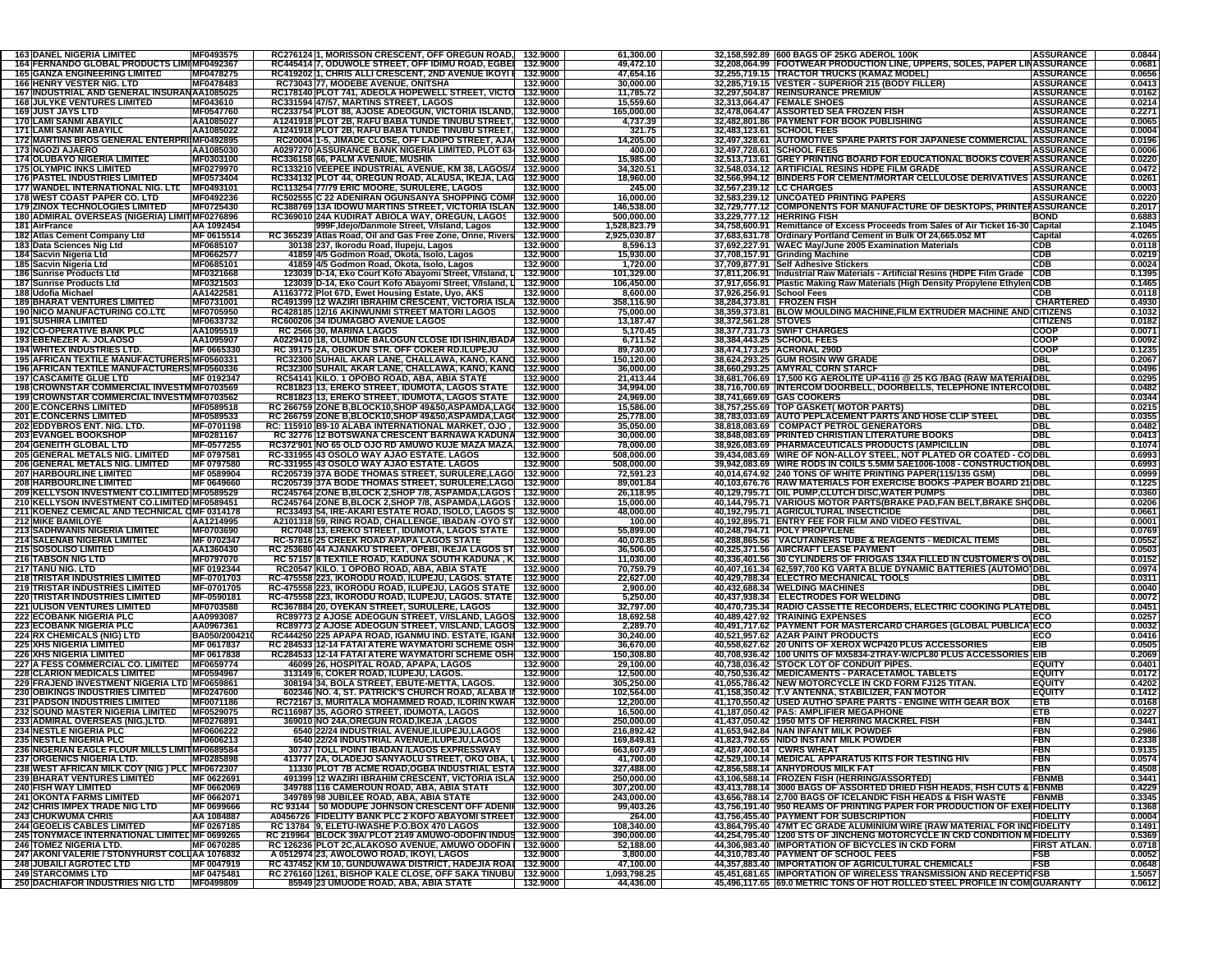| <b>163 DANEL NIGERIA LIMITED</b><br><b>164 FERNANDO GLOBAL PRODUCTS LIMI MF0492367</b><br><b>165 GANZA ENGINEERING LIMITED</b><br><b>166 HENRY VESTER NIG. LTD</b> | MF0493575        |                                            |                                                                    |          |              |                           |                                                                                    |                     |                  |
|--------------------------------------------------------------------------------------------------------------------------------------------------------------------|------------------|--------------------------------------------|--------------------------------------------------------------------|----------|--------------|---------------------------|------------------------------------------------------------------------------------|---------------------|------------------|
|                                                                                                                                                                    |                  |                                            | RC276124 1, MORISSON CRESCENT, OFF OREGUN ROAD, 132.9000           |          | 61,300.00    |                           | 32.158.592.89 600 BAGS OF 25KG ADEROL 100K                                         | <b>ASSURANCE</b>    | 0.0844           |
|                                                                                                                                                                    |                  |                                            | RC445414 7, ODUWOLE STREET, OFF IDIMU ROAD, EGBEI 132.9000         |          | 49,472.10    |                           | 32,208,064.99 FOOTWEAR PRODUCTION LINE, UPPERS, SOLES, PAPER LINASSURANCE          |                     | 0.0681           |
|                                                                                                                                                                    | MF0478275        |                                            | RC419202 1, CHRIS ALLI CRESCENT, 2ND AVENUE IKOYI # 132.9000       |          | 47,654.16    |                           | 32,255,719.15 TRACTOR TRUCKS (KAMAZ MODEL)                                         | <b>ASSURANCE</b>    | 0.0656           |
|                                                                                                                                                                    | MF0478483        | RC73043 77, MODEBE AVENUE, ONITSHA         |                                                                    | 132.9000 | 30,000.00    |                           | 32,285,719.15 VESTER - SUPERIOR 215 (BODY FILLER)                                  | <b>ASSURANCE</b>    | 0.0413           |
|                                                                                                                                                                    |                  |                                            |                                                                    |          |              |                           | 32,297,504.87 REINSURANCE PREMIUM                                                  |                     |                  |
| 167 INDUSTRIAL AND GENERAL INSURANAA1085025                                                                                                                        |                  |                                            | RC178140 PLOT 741, ADEOLA HOPEWELL STREET, VICTO 132.9000          |          | 11,785.72    |                           |                                                                                    | <b>ASSURANCE</b>    | 0.0162           |
| <b>168 JULYKE VENTURES LIMITED</b>                                                                                                                                 | MF043610         | RC331594 47/57, MARTINS STREET, LAGOS      |                                                                    | 132.9000 | 15,559.60    |                           | 32,313,064.47 FEMALE SHOES                                                         | <b>ASSURANCE</b>    | 0.0214           |
| <b>169 JUST JAYS LTD</b>                                                                                                                                           | MF0547760        |                                            | RC233754 PLOT 88, AJOSE ADEOGUN, VICTORIA ISLAND, 132.9000         |          | 165,000.00   |                           | 32,478,064.47 ASSORTED SEA FROZEN FISH                                             | <b>ASSURANCE</b>    | 0.2271           |
| 170 LAMI SANMI ABAYILO                                                                                                                                             | AA1085027        |                                            | A1241918 PLOT 2B, RAFU BABA TUNDE TINUBU STREET, 132.9000          |          | 4,737.39     |                           | 32,482,801.86 PAYMENT FOR BOOK PUBLISHING                                          | <b>ASSURANCE</b>    | 0.0065           |
| 171 LAMI SANMI ABAYIL(                                                                                                                                             | AA1085022        |                                            | A1241918 PLOT 2B, RAFU BABA TUNDE TINUBU STREET, 132.9000          |          | 321.75       |                           | 32,483,123.61 SCHOOL FEES                                                          | <b>ASSURANCE</b>    | 0.0004           |
|                                                                                                                                                                    |                  |                                            |                                                                    |          |              |                           |                                                                                    |                     |                  |
| 172 MARTINS BROS GENERAL ENTERPRIMF0492895                                                                                                                         |                  |                                            | RC20004 1-5, JIMADE CLOSE, OFF LADIPO STREET, AJAI 132.9000        |          | 14,205.00    |                           | 32,497,328.61 AUTOMOTIVE SPARE PARTS FOR JAPANESE COMMERCIAL ASSURANCE             |                     | 0.0196           |
| <b>173 NGOZI AJAERO</b>                                                                                                                                            | AA1085030        |                                            | A0297270 ASSURANCE BANK NIGERIA LIMITED, PLOT 634 132.9000         |          | 400.00       |                           | 32,497,728.61 SCHOOL FEES                                                          | <b>ASSURANCE</b>    | 0.0006           |
| 174 OLUBAYO NIGERIA LIMITED                                                                                                                                        | MF0303100        | RC336158 66, PALM AVENIUE, MUSHIN          |                                                                    | 132.9000 | 15,985.00    |                           | 32,513,713.61 GREY PRINTING BOARD FOR EDUCATIONAL BOOKS COVER ASSURANCE            |                     | 0.0220           |
| <b>175 OLYMPIC INKS LIMITED</b>                                                                                                                                    | MF0279970        |                                            | RC133210 VEEPEE INDUSTRIAL AVENUE, KM 38, LAGOS/A                  | 132.9000 | 34,320.51    |                           | 32,548,034.12 ARTIFICIAL RESINS HDPE FILM GRADE                                    | <b>ASSURANCE</b>    | 0.0472           |
| <b>176 PASTEL INDUSTRIES LIMITED</b>                                                                                                                               | MF0573404        |                                            | RC334132 PLOT 44, OREGUN ROAD, ALAUSA, IKEJA, LAG 132.9000         |          | 18,960.00    |                           | 32,566,994.12 BINDERS FOR CEMENT/MORTAR CELLULOSE DERIVATIVES ASSURANCE            |                     | 0.0261           |
|                                                                                                                                                                    |                  |                                            |                                                                    |          |              |                           |                                                                                    |                     |                  |
| 177 WANDEL INTERNATIONAL NIG. LTD                                                                                                                                  | MF0493101        | RC113254 77/79 ERIC MOORE, SURULERE, LAGOS |                                                                    | 132.9000 | 245.00       | 32,567,239.12 LC CHARGES  |                                                                                    | <b>ASSURANCE</b>    | 0.0003           |
| 178 WEST COAST PAPER CO. LTD                                                                                                                                       | MF0492236        |                                            | RC502555 C 22 ADENIRAN OGUNSANYA SHOPPING COMF 132.9000            |          | 16.000.00    |                           | 32,583,239.12 UNCOATED PRINTING PAPERS                                             | <b>ASSURANCE</b>    | 0.0220           |
| <b>179 ZINOX TECHNOLOGIES LIMITED</b>                                                                                                                              | MF0725430        |                                            | RC388769 13A IDOWU MARTINS STREET, VICTORIA ISLAN 132.9000         |          | 146,538.00   |                           | 32,729,777.12 COMPONENTS FOR MANUFACTURE OF DESKTOPS, PRINTERASSURANCE             |                     | 0.2017           |
| 180 ADMIRAL OVERSEAS (NIGERIA) LIMIT MF0276896                                                                                                                     |                  |                                            | RC369010 24A KUDIRAT ABIOLA WAY, OREGUN, LAGOS   132.9000          |          | 500,000.00   |                           | 33,229,777.12 HERRING FISH                                                         | <b>BOND</b>         | 0.6883           |
| 181 AirFrance                                                                                                                                                      | AA 1092454       |                                            | 999F, Idejo/Danmole Street, V/Island, Lagos                        | 132.9000 | 1,528,823.79 |                           | 34,758,600.91 Remittance of Excess Proceeds from Sales of Air Ticket 16-30 Capital |                     | 2.1045           |
|                                                                                                                                                                    |                  |                                            |                                                                    |          |              |                           |                                                                                    |                     |                  |
| 182 Atlas Cement Company Ltd                                                                                                                                       | MF 0615514       |                                            | RC 365239 Atlas Road, Oil and Gas Free Zone, Onne, Rivers 132.9000 |          | 2,925,030.87 |                           | 37,683,631.78 Ordinary Portland Cement in Bulk Of 24,665.052 MT                    | Capital             | 4.0265           |
| 183 Data Sciences Nig Ltd                                                                                                                                          | MF0685107        | 30138 237, Ikorodu Road, Ilupeju, Lagos    |                                                                    | 132.9000 | 8,596.13     |                           | 37,692,227.91 WAEC May/June 2005 Examination Materials                             | <b>CDB</b>          | 0.0118           |
| 184 Sacvin Nigeria Ltd                                                                                                                                             | MF0662577        |                                            | 41859 4/5 Godmon Road, Okota, Isolo, Lagos                         | 132.9000 | 15,930.00    |                           | 37,708,157.91 Grinding Machine                                                     | CDB                 | 0.0219           |
| 185 Sacvin Nigeria Ltd                                                                                                                                             | MF0685101        |                                            | 41859 4/5 Godmon Road, Okota, Isolo, Lagos                         | 132.9000 | 1,720.00     |                           | 37,709,877.91 Self Adhesive Stickers                                               | CDB                 | 0.0024           |
| 186 Sunrise Products Ltd                                                                                                                                           | <b>MF0321668</b> |                                            | 123039 D-14, Eko Court Kofo Abayomi Street, V/Island, L 132.9000   |          | 101,329.00   |                           | 37,811,206.91  Industrial Raw Materials - Artificial Resins (HDPE Film Grade       | <b>CDB</b>          | 0.1395           |
|                                                                                                                                                                    |                  |                                            |                                                                    |          |              |                           |                                                                                    |                     |                  |
| 187 Sunrise Products Ltd                                                                                                                                           | MF0321503        |                                            | 123039 D-14, Eko Court Kofo Abayomi Street, V/Island, L 132.9000   |          | 106,450.00   |                           | 37,917,656.91 Plastic Making Raw Materials (High Density Propylene Ethylen CDB     |                     | 0.1465           |
| 188 Udofia Michael                                                                                                                                                 | AA1422581        |                                            | A1163772 Plot 67D, Ewet Housing Estate, Uyo, AKS                   | 132.9000 | 8,600.00     | 37,926,256.91 School Fees |                                                                                    | CDB                 | 0.0118           |
| <b>189 BHARAT VENTURES LIMITED</b>                                                                                                                                 | MF0731001        |                                            | RC491399 12 WAZIRI IBRAHIM CRESCENT, VICTORIA ISLA 132.9000        |          | 358,116.90   |                           | 38,284,373.81 FROZEN FISH                                                          | <b>CHARTERED</b>    | 0.4930           |
| <b>190 NICO MANUFACTURING CO.LTD</b>                                                                                                                               | MF0705950        |                                            | RC428185 12/16 AKINWUNMI STREET MATORI LAGOS                       | 132.9000 | 75,000.00    |                           | 38,359,373.81 BLOW MOULDING MACHINE, FILM EXTRUDER MACHINE AND CITIZENS            |                     | 0.1032           |
| <b>191 SUSHIRA LIMITED</b>                                                                                                                                         | MF0633732        | RC600206 34 IDUMAGBO AVENUE LAGOS          |                                                                    | 132.9000 | 13,187.47    | 38,372,561.28 STOVES      |                                                                                    | <b>CITIZENS</b>     | 0.0182           |
| <b>192 CO-OPERATIVE BANK PLC</b>                                                                                                                                   | AA1095519        |                                            |                                                                    | 132.9000 | 5,170.45     |                           | 38,377,731.73 SWIFT CHARGES                                                        | COOP                | 0.0071           |
|                                                                                                                                                                    |                  | RC 2566 30, MARINA LAGOS                   |                                                                    |          |              |                           |                                                                                    |                     |                  |
| 193 EBENEZER A. JOLAOSO                                                                                                                                            | AA1095907        |                                            | A0229410 18, OLUMIDE BALOGUN CLOSE IDI ISHIN, IBADA 132.9000       |          | 6,711.52     |                           | 38,384,443.25 SCHOOL FEES                                                          | COOP                | 0.0092           |
| <b>194 WHITEX INDUSTRIES LTD.</b>                                                                                                                                  | MF 0665330       |                                            | RC 39175 2A, OBOKUN STR. OFF COKER RD.ILUPEJU                      | 132.9000 | 89,730.00    |                           | 38,474,173.25 ACRONAL 290D                                                         | COOP                | 0.1235           |
| 195 AFRICAN TEXTILE MANUFACTURERS MF0560331                                                                                                                        |                  |                                            | RC32300 SUHAIL AKAR LANE, CHALLAWA, KANO, KANO 132.9000            |          | 150,120.00   |                           | 38,624,293.25 GUM ROSIN WW GRADE                                                   | DBL                 | 0.2067           |
| <b>196 AFRICAN TEXTILE MANUFACTURERS MF0560336</b>                                                                                                                 |                  |                                            | RC32300 SUHAIL AKAR LANE, CHALLAWA, KANO, KANO 132.9000            |          | 36,000.00    |                           | 38,660,293.25 AMYRAL CORN STARCH                                                   | DBI.                | 0.0496           |
| <b>197 CASCAMITE GLUE LTD</b>                                                                                                                                      | MF 0192347       |                                            | RC54141 KILO. 1 OPOBO ROAD, ABA, ABIA STATE                        | 132.9000 | 21,413.44    |                           | 38,681,706.69 17,500 KG AEROLITE UP-4116 @ 25 KG /BAG (RAW MATERIA DBL             |                     | 0.0295           |
|                                                                                                                                                                    |                  |                                            |                                                                    |          |              |                           |                                                                                    |                     |                  |
| 198 CROWNSTAR COMMERCIAL INVESTMMF0703569                                                                                                                          |                  |                                            | RC81823 13, EREKO STREET, IDUMOTA, LAGOS STATE   132.9000          |          | 34,994.00    |                           | 38,716,700.69 INTERCOM DOORBELL, DOORBELLS, TELEPHONE INTERCO DBL                  |                     | 0.0482           |
| <b>199 CROWNSTAR COMMERCIAL INVESTM MF0703562</b>                                                                                                                  |                  |                                            | RC81823 13, EREKO STREET, IDUMOTA, LAGOS STATE   132.9000          |          | 24,969.00    |                           | 38,741,669.69 GAS COOKERS                                                          | DBL                 | 0.0344           |
| <b>200 E.CONCERNS LIMITED</b>                                                                                                                                      | MF0589518        |                                            | RC 266759 ZONE B.BLOCK10.SHOP 49&50.ASPAMDA.LAG( 132.9000          |          | 15,586.00    |                           | 38,757,255.69 TOP GASKET( MOTOR PARTS)                                             | DBL                 | 0.0215           |
| <b>201 E.CONCERNS LIMITED</b>                                                                                                                                      | MF0589533        |                                            | RC 266759 ZONE B,BLOCK10,SHOP 49&50,ASPAMDA,LAG( 132.9000          |          | 25,778.00    |                           | 38,783,033.69 AUTO PEPLACEMENT PARTS AND HOSE CLIP STEEL                           | DBL                 | 0.0355           |
| 202 EDDYBROS ENT. NIG. LTD.                                                                                                                                        | MF-0701198       |                                            | RC: 115910 B9-10 ALABA INTERNATIONAL MARKET, OJO,   132.9000       |          | 35,050.00    |                           | 38,818,083.69 COMPACT PETROL GENERATORS                                            | DBI.                | 0.0482           |
|                                                                                                                                                                    | MF0281167        |                                            |                                                                    |          |              |                           |                                                                                    | <b>DBL</b>          |                  |
| <b>203 EVANGEL BOOKSHOP</b>                                                                                                                                        |                  |                                            | RC 32776 12 BOTSWANA CRESCENT BARNAWA KADUNA 132.9000              |          | 30,000.00    |                           | 38,848,083.69 PRINTED CHRISTIAN LITERATURE BOOKS                                   |                     | 0.0413           |
| 204 GENEITH GLOBAL LTD                                                                                                                                             | MF-0577255       |                                            | RC372'901 NO 65 OLD OJO RD AMUWO KUJE MAZA MAZA 132.9000           |          | 78,000.00    |                           | 38,926,083.69 PHARMACEUTICALS PRODUCTS (AMPICILLIN                                 | DBL                 | 0.1074           |
| 205 GENERAL METALS NIG. LIMITED                                                                                                                                    | MF 0797581       | RC-331955 43 OSOLO WAY AJAO ESTATE. LAGOS  |                                                                    | 132.9000 | 508.000.00   |                           | 39,434,083.69 WIRE OF NON-ALLOY STEEL, NOT PLATED OR COATED - CO DBL               |                     | 0.6993           |
| 206 GENERAL METALS NIG. LIMITED                                                                                                                                    | MF 0797580       | RC-331955 43 OSOLO WAY AJAO ESTATE. LAGOS  |                                                                    | 132.9000 | 508,000.00   |                           | 39,942,083.69 WIRE RODS IN COILS 5.5MM SAE1006-1008 - CONSTRUCTION DBL             |                     | 0.6993           |
| <b>207 HARBOURLINE LIMITED</b>                                                                                                                                     | MF 0589904       |                                            | RC205739 37A BODE THOMAS STREET, SURULERE, LAGO 132.9000           |          | 72,591.23    |                           | 40,014,674.92 240 TONS OF WHITE PRINTING PAPER(115/135 GSM)                        | DBL                 | 0.0999           |
| <b>208 HARBOURLINE LIMITED</b>                                                                                                                                     | MF 0649660       |                                            | RC205739 37A BODE THOMAS STREET, SURULERE,LAGO 132.9000            |          | 89,001.84    |                           | 40,103,676.76 RAW MATERIALS FOR EXERCISE BOOKS -PAPER BOARD 21 DBL                 |                     | 0.1225           |
|                                                                                                                                                                    |                  |                                            |                                                                    |          |              |                           |                                                                                    |                     |                  |
| 209 KELLYSON INVESTMENT CO.LIMITED MF0589529                                                                                                                       |                  |                                            | RC245764 ZONE B,BLOCK 2,SHOP 7/8, ASPAMDA,LAGOS   132.9000         |          | 26,118.95    |                           | 40,129,795.71 OIL PUMP,CLUTCH DISC, WATER PUMPS                                    | DBL                 | 0.0360           |
| 210 KELLYSON INVESTMENT CO.LIMITED MF0589451                                                                                                                       |                  |                                            | RC245764 ZONE B,BLOCK 2,SHOP 7/8, ASPAMDA,LAGOS   132.9000         |          | 15,000.00    |                           | 40,144,795.71 VARIOUS MOTOR PARTS(BRAKE PAD,FAN BELT,BRAKE SHODBL                  |                     | 0.0206           |
|                                                                                                                                                                    |                  |                                            |                                                                    |          |              |                           | 40,192,795.71 AGRICULTURAL INSECTICIDE                                             |                     |                  |
| 211 KOENEZ CEMICAL AND TECHNICAL OMF 0314178                                                                                                                       |                  |                                            | RC33493 54, IRE-AKARI ESTATE ROAD, ISOLO, LAGOS S 132.9000         |          | 48,000.00    |                           |                                                                                    | DBL                 | 0.0661           |
|                                                                                                                                                                    |                  |                                            |                                                                    |          |              |                           |                                                                                    |                     |                  |
| <b>212 MIKE BAMILOYE</b>                                                                                                                                           | AA1214995        |                                            | A2101318 59, RING ROAD, CHALLENGE, IBADAN -OYO ST 132.9000         |          | 100.00       |                           | 40,192,895.71 ENTRY FEE FOR FILM AND VIDEO FESTIVAL                                | <b>DBL</b>          | 0.0001           |
| <b>213 SADHWANIS NIGERIA LIMITED</b>                                                                                                                               | MF0703690        |                                            | RC7048 13, EREKO STREET, IDUMOTA, LAGOS STATE   132.9000           |          | 55,899.00    |                           | 40,248,794.71 POLY PROPYLENE                                                       | DBL                 | 0.0769           |
| <b>214 SALENAB NIGERIA LIMITED</b>                                                                                                                                 | MF 0702347       | RC-57816 25 CREEK ROAD APAPA LAGOS STATE   |                                                                    | 132.9000 | 40,070.85    |                           | 40,288,865.56   VACUTAINERS TUBE & REAGENTS - MEDICAL ITEMS                        | <b>DBL</b>          | 0.0552           |
| <b>215 SOSOLISO LIMITED</b>                                                                                                                                        | AA1360430        |                                            | RC 253680 44 AJANAKU STREET, OPEBI, IKEJA LAGOS ST 132.9000        |          | 36,506.00    |                           | 40,325,371.56 AIRCRAFT LEASE PAYMENT                                               | <b>DBL</b>          | 0.0503           |
| <b>216 TABSON NIG LTD</b>                                                                                                                                          | MF0797070        |                                            | RC 57157 8 TEXTILE ROAD, KADUNA SOUTH KADUNA, K 132.9000           |          | 11,030.00    |                           | 40,336,401.56 30 CYLINDERS OF FRIOGAS 134A FILLED IN CUSTOMER'S OVDBL              |                     | 0.0152           |
| <b>217 TANU NIG. LTD</b>                                                                                                                                           | MF 0192344       |                                            | RC20547 KILO. 1 OPOBO ROAD, ABA, ABIA STATE                        | 132.9000 | 70,759.79    |                           | 40,407,161.34 62,597,700 KG VARTA BLUE DYNAMIC BATTERIES (AUTOMO DBL               |                     | 0.0974           |
| <b>218 TRISTAR INDUSTRIES LIMITED</b>                                                                                                                              | MF-0701703       |                                            | RC-475558 223, IKORODU ROAD, ILUPEJU, LAGOS. STATE   132.9000      |          | 22,627.00    |                           | 40,429,788.34 ELECTRO MECHANICAL TOOLS                                             | DBL                 | 0.0311           |
|                                                                                                                                                                    |                  |                                            |                                                                    |          |              |                           |                                                                                    |                     |                  |
| 219 TRISTAR INDUSTRIES LIMITED                                                                                                                                     | MF-0701705       |                                            | RC-475558 223, IKORODU ROAD, ILUPEJU, LAGOS STATE 132.9000         |          | 2,900.00     |                           | 40,432,688.34 WELDING MACHINES                                                     | <b>DBL</b>          | 0.0040           |
| <b>220 TRISTAR INDUSTRIES LIMITED</b>                                                                                                                              | MF-0590181       |                                            | RC-475558 223, IKORODU ROAD, ILUPEJU, LAGOS. STATE 132.9000        |          | 5,250.00     |                           | 40,437,938.34 ELECTRODES FOR WELDING                                               | <b>DBL</b>          | 0.0072           |
| <b>221 ULISON VENTURES LIMITED</b>                                                                                                                                 | MF0703588        |                                            | RC367884 20, OYEKAN STREET, SURULERE, LAGOS                        | 132.9000 | 32,797.00    |                           | 40,470,735.34 RADIO CASSETTE RECORDERS, ELECTRIC COOKING PLATE DBL                 |                     | 0.0451           |
| <b>222 ECOBANK NIGERIA PLC</b>                                                                                                                                     | AA0993087        |                                            | RC89773 2 AJOSE ADEOGUN STREET, V/ISLAND, LAGOS 132.9000           |          | 18,692.58    |                           | 40,489,427.92 TRAINING EXPENSES                                                    | ECO                 | 0.0257           |
| <b>223 ECOBANK NIGERIA PLC</b>                                                                                                                                     | AA0967361        |                                            | RC89773 2 AJOSE ADEOGUN STREET, V/ISLAND, LAGOS 132.9000           |          | 2,289.70     |                           | 40,491,717.62 PAYMENT FOR MASTERCARD CHARGES (GLOBAL PUBLICA)                      | ECO                 | 0.0032           |
| <b>224 RX CHEMICALS (NIG) LTD</b>                                                                                                                                  | BA050/200421     |                                            | RC444250 225 APAPA ROAD, IGANMU IND. ESTATE, IGANI 132.9000        |          | 30,240.00    |                           | 40,521,957.62 AZAR PAINT PRODUCTS                                                  | ECO                 | 0.0416           |
|                                                                                                                                                                    |                  |                                            |                                                                    |          |              |                           |                                                                                    |                     |                  |
| <b>225 XHS NIGERIA LIMITED</b>                                                                                                                                     | MF 0617837       |                                            | RC 284533 12-14 FATAI ATERE WAYMATORI SCHEME OSH 132.9000          |          | 36,670.00    |                           | 40,558,627.62 20 UNITS OF XEROX WCP420 PLUS ACCESSORIES                            | EIB                 | 0.0505           |
| <b>226 XHS NIGERIA LIMITED</b>                                                                                                                                     | MF 0617838       |                                            | RC284533 12-14 FATAI ATERE WAYMATORI SCHEME OSH 132.9000           |          | 150,308.80   |                           | 40,708,936.42 100 UNITS OF MX5834-2TRAY-W/CPL80 PLUS ACCESSORIES EIB               |                     | 0.2069           |
| <b>227 A FESS COMMERCIAL CO. LIMITED</b>                                                                                                                           | MF0659774        |                                            | 46099 26, HOSPITAL ROAD, APAPA, LAGOS                              | 132.9000 | 29,100.00    |                           | 40,738,036.42 STOCK LOT OF CONDUIT PIPES.                                          | <b>EQUITY</b>       | 0.0401           |
| <b>228 CLARION MEDICALS LIMITED</b>                                                                                                                                | MF0594967        | 313149 6, COKER ROAD, ILUPEJU, LAGOS.      |                                                                    | 132.9000 | 12,500.00    |                           | 40.750.536.42 MEDICAMENTS - PARACETAMOL TABLETS                                    | <b>EQUITY</b>       | 0.0172           |
| 229 FRAJEND INVESTMENT NIGERIA LTD MF0659861                                                                                                                       |                  |                                            | 308194 34, BOLA STREET, EBUTE-METTA, LAGOS.                        | 132.9000 | 305,250.00   |                           | 41,055,786.42 NEW MOTORCYCLE IN CKD FORM FJ125 TITAN.                              | <b>EQUITY</b>       | 0.4202           |
| <b>230 OBIKINGS INDUSTRIES LIMITED</b>                                                                                                                             | MF0247600        |                                            |                                                                    |          | 102,564.00   |                           | 41,158,350.42 T.V ANTENNA, STABILIZER, FAN MOTOR                                   | <b>EQUITY</b>       | 0.1412           |
|                                                                                                                                                                    |                  |                                            | 602346 NO. 4, ST. PATRICK'S CHURCH ROAD, ALABA II 132.9000         |          |              |                           |                                                                                    |                     |                  |
| <b>231 PADSON INDUSTRIES LIMITED</b>                                                                                                                               | MF0071186        |                                            | RC72167 3, MURITALA MOHAMMED ROAD, ILORIN KWAR 132.9000            |          | 12,200.00    |                           | 41,170,550.42 USED AUTHO SPARE PARTS - ENGINE WITH GEAR BOX                        | ETB                 | 0.0168           |
| 232 SOUND MASTER NIGERIA LIMITED                                                                                                                                   | MF0529075        | RC116987 35, AGORO STREET, IDUMOTA, LAGOS  |                                                                    | 132.9000 | 16,500.00    |                           | 41,187,050.42 PAS: AMPLIFIER MEGAPHONE                                             | ETB                 | 0.0227           |
| 233 ADMIRAL OVERSEAS (NIG.)LTD.                                                                                                                                    | MF0276891        |                                            | 369010 NO 24A, OREGUN ROAD, IKEJA, LAGOS                           | 132.9000 | 250,000.00   |                           | 41,437,050.42   1950 MTS OF HERRING MACKREL FISH                                   | FBN                 | 0.3441           |
| <b>234 NESTLE NIGERIA PLC</b>                                                                                                                                      | MF0606222        |                                            | 6540 22/24 INDUSTRIAL AVENUE,ILUPEJU,LAGOS                         | 132.9000 | 216,892.42   |                           | 41,653,942.84 NAN INFANT MILK POWDER                                               | FBN                 | 0.2986           |
| <b>235 NESTLE NIGERIA PLC</b>                                                                                                                                      | MF0606213        |                                            | 6540 22/24 INDUSTRIAL AVENUE,ILUPEJU,LAGOS                         | 132.9000 | 169,849.81   |                           | 41,823,792.65 NIDO INSTANT MILK POWDER                                             | FBN                 | 0.2338           |
| 236 NIGERIAN EAGLE FLOUR MILLS LIMIT MF0689584                                                                                                                     |                  |                                            | 30737 TOLL POINT IBADAN /LAGOS EXPRESSWAY                          | 132.9000 | 663,607.49   |                           | 42,487,400.14 CWRS WHEAT                                                           | FBN                 | 0.9135           |
|                                                                                                                                                                    |                  |                                            |                                                                    |          |              |                           | 42.529.100.14 MEDICAL APPARATUS KITS FOR TESTING HIV                               |                     |                  |
| 237 ORGENICS NIGERIA LTD.                                                                                                                                          | MF0285898        |                                            | 413777 2A, OLADEJO SANYAOLU STREET, OKO OBA, L 132.9000            |          | 41,700.00    |                           |                                                                                    | FBN                 | 0.0574           |
| 238 WEST AFRICAN MILK COY (NIG) PLC MF0672307                                                                                                                      |                  |                                            | 11330 PLOT 7B ACME ROAD, OGBA INDUSTRIAL ESTA 132.9000             |          | 327,488.00   |                           | 42,856,588.14 ANHYDROUS MILK FAT                                                   | FBN                 | 0.4508           |
| <b>239 BHARAT VENTURES LIMITED</b>                                                                                                                                 | MF 0622691       |                                            | 491399 12 WAZIRI IBRAHIM CRESCENT, VICTORIA ISLA 132.9000          |          | 250,000.00   |                           | 43,106,588.14 FROZEN FISH (HERRING/ASSORTED)                                       | <b>FBNMB</b>        | 0.3441           |
| <b>240 FISH WAY LIMITED</b>                                                                                                                                        | MF 0662069       |                                            | 349788 116 CAMEROUN ROAD, ABA, ABIA STATE                          | 132.9000 | 307,200.00   |                           | 43,413,788.14 3000 BAGS OF ASSORTED DRIED FISH HEADS, FISH CUTS & FBNMB            |                     | 0.4229           |
| <b>241 OKONTA FARMS LIMITED</b>                                                                                                                                    | MF 0662071       | 349789 98 JUBILEE ROAD, ABA, ABIA STATE    |                                                                    | 132.9000 | 243,000.00   |                           | 43,656,788.14 2,700 BAGS OF ICELANDIC FISH HEADS & FISH WASTE                      | <b>FBNMB</b>        | 0.3345           |
| 242 CHRIS IMPEX TRADE NIG LTD                                                                                                                                      | MF 0699666       |                                            | RC 93144 50 MODUPE JOHNSON CRESCENT OFF ADENIF 132.9000            |          | 99,403.26    |                           | 43,756,191.40 950 REAMS OF PRINTING PAPER FOR PRODUCTION OF EXEMPIDELITY           |                     | 0.1368           |
|                                                                                                                                                                    | AA 1084887       |                                            | A0456726 FIDELITY BANK PLC 2 KOFO ABAYOMI STREET 132.9000          |          | 264.00       |                           |                                                                                    | <b>FIDELITY</b>     | 0.0004           |
| <b>243 CHUKWUMA CHRIS</b>                                                                                                                                          |                  |                                            |                                                                    |          |              |                           | 43,756,455.40 PAYMENT FOR SUBSCRIPTION                                             |                     |                  |
| <b>244 GEOELIS CABLES LIMITED</b>                                                                                                                                  | MF 0267185       | RC 13784 9, ELETU-IWASHE P.O.BOX 470 LAGOS |                                                                    | 132.9000 | 108,340.00   |                           | 43,864,795.40 47MT EC GRADE ALUMINIUM WIRE (RAW MATERIAL FOR INDFIDELITY           |                     | 0.1491           |
| 245 TONYMACE INTERNATIONAL LIMITED MF 0699265                                                                                                                      |                  |                                            | RC 219964 BLOCK 39A/ PLOT 2149 AMUWO-ODOFIN INDUS 132.9000         |          | 390,000.00   |                           | 44,254,795.40 1200 STS OF JINCHENG MOTORCYCLE IN CKD CONDITION M FIDELITY          |                     | 0.5369           |
| <b>246 TOMEZ NIGERIA LTD.</b>                                                                                                                                      | MF 0670285       |                                            | RC 126236 PLOT 2C, ALAKOSO AVENUE, AMUWO ODOFIN 132.9000           |          | 52,188.00    |                           | 44,306,983.40 IMPORTATION OF BICYCLES IN CKD FORM                                  | <b>FIRST ATLAN.</b> | 0.0718           |
| 247 AKONI VALERIE / STONYHURST COLL AA 1076832                                                                                                                     |                  | A 0512974 23, AWOLOWO ROAD, IKOYI, LAGOS   |                                                                    | 132.9000 | 3,800.00     |                           | 44,310,783.40 PAYMENT OF SCHOOL FEES                                               | <b>FSB</b>          | 0.0052           |
| <b>248 JUBAILI AGROTEC LTD</b>                                                                                                                                     | MF 0047919       |                                            | RC 437452 KM 10, GUNDUWAWA DISTRICT, HADEJIA ROAL 132.9000         |          | 47,100.00    |                           | 44,357,883.40 IMPORTATION OF AGRICULTURAL CHEMICALS                                | <b>FSB</b>          |                  |
| <b>249 STARCOMMS LTD</b>                                                                                                                                           | MF 0475481       |                                            | RC 276160 1261, BISHOP KALE CLOSE, OFF SAKA TINUBU 132.9000        |          | 1,093,798.25 |                           | 45,451,681.65 IMPORTATION OF WIRELESS TRANSMISSION AND RECEPTICFSB                 |                     | 0.0648<br>1.5057 |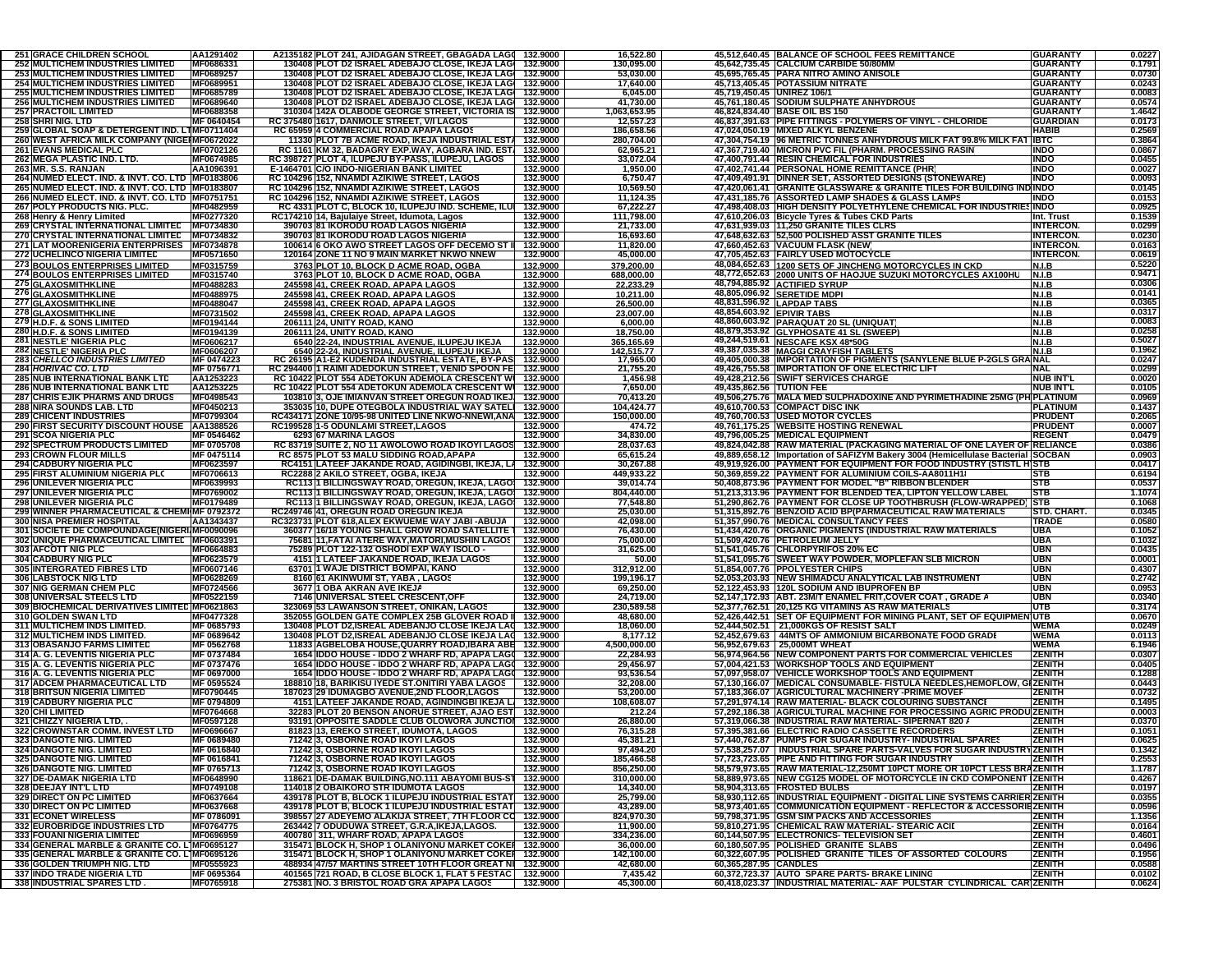| <b>251 GRACE CHILDREN SCHOOL</b>                                                           | AA1291402                       |                                                            | A2135182 PLOT 241, AJIDAGAN STREET, GBAGADA LAG( 132.9000                                                              |                      | 16,522.80               |                            | 45,512,640.45 BALANCE OF SCHOOL FEES REMITTANCE                                                                              | <b>GUARANTY</b>                    | 0.0227           |
|--------------------------------------------------------------------------------------------|---------------------------------|------------------------------------------------------------|------------------------------------------------------------------------------------------------------------------------|----------------------|-------------------------|----------------------------|------------------------------------------------------------------------------------------------------------------------------|------------------------------------|------------------|
| <b>252 MULTICHEM INDUSTRIES LIMITED</b>                                                    | MF0686331<br>MF0689257          |                                                            | 130408 PLOT D2 ISRAEL ADEBAJO CLOSE, IKEJA LAGI 132.9000<br>130408 PLOT D2 ISRAEL ADEBAJO CLOSE, IKEJA LAG 132.9000    |                      | 130,095.00              |                            | 45,642,735.45 CALCIUM CARBIDE 50/80MM<br>45.695.765.45 PARA NITRO AMINO ANISOLE                                              | <b>GUARANTY</b>                    | 0.1791           |
| <b>253 MULTICHEM INDUSTRIES LIMITED</b><br><b>254 MULTICHEM INDUSTRIES LIMITED</b>         | MF0689951                       |                                                            | 130408 PLOT D2 ISRAEL ADEBAJO CLOSE, IKEJA LAG 132.9000                                                                |                      | 53,030.00<br>17,640.00  |                            | 45,713,405.45 POTASSIUM NITRATE                                                                                              | <b>GUARANTY</b><br><b>GUARANTY</b> | 0.0730<br>0.0243 |
| <b>255 MULTICHEM INDUSTRIES LIMITED</b>                                                    | MF0685789                       |                                                            | 130408 PLOT D2 ISRAEL ADEBAJO CLOSE, IKEJA LAG 132.9000                                                                |                      | 6,045.00                | 45,719,450.45 UNIREZ 106/1 |                                                                                                                              | <b>GUARANTY</b>                    | 0.0083           |
| <b>256 MULTICHEM INDUSTRIES LIMITED</b>                                                    | MF0689640                       |                                                            | 130408 PLOT D2 ISRAEL ADEBAJO CLOSE, IKEJA LAG 132.9000                                                                |                      | 41,730.00               |                            | 45,761,180.45 SODIUM SULPHATE ANHYDROUS                                                                                      | <b>GUARANTY</b>                    | 0.0574           |
| <b>257 PRACTOIL LIMITED</b>                                                                | MF0688358                       |                                                            | 310304 142A OLABODE GEORGE STREET, VICTORIA IS 132.9000                                                                |                      | 1,063,653.95            |                            | 46,824,834.40 BASE OIL BS 150                                                                                                | <b>GUARANTY</b>                    | 1.4642           |
| 258 SHRI NIG. LTD                                                                          | MF 0640454                      |                                                            | RC 375480 1617, DANMOLE STREET, V/I LAGOS                                                                              | 132.9000             | 12,557.23               |                            | 46,837,391.63 PIPE FITTINGS - POLYMERS OF VINYL - CHLORIDE                                                                   | <b>GUARDIAN</b>                    | 0.0173           |
| 259 GLOBAL SOAP & DETERGENT IND. LTMF0711404                                               |                                 |                                                            | RC 65959 4 COMMERCIAL ROAD APAPA LAGOS                                                                                 | 132.9000             | 186,658.56              |                            | 47,024,050.19 MIXED ALKYL BENZENE                                                                                            | <b>HABIB</b>                       | 0.2569           |
| 260 WEST AFRICA MILK COMPANY (NIGEI MF0672022<br><b>261 EVANS MEDICAL PLC</b>              | MF0702126                       |                                                            | 11330 PLOT 7B ACME ROAD, IKEJA INDUSTRIAL ESTA 132.9000<br>RC 1161 KM 32, BADAGRY EXP.WAY, AGBARA IND. EST. 132.9000   |                      | 280,704.00<br>62,965.21 |                            | 47,304,754.19 96 METRIC TONNES ANHYDROUS MILK FAT 99.8% MILK FA<br>47,367,719.40 MICRON PVC FIL (PHARM. PROCESSING RASIN)    | <b>IBTC</b><br><b>INDO</b>         | 0.3864<br>0.0867 |
| <b>262 MEGA PLASTIC IND. LTD.</b>                                                          | MF0674985                       |                                                            | RC 398727 PLOT 4, ILUPEJU BY-PASS, ILUPEJU, LAGOS                                                                      | 132.9000             | 33,072.04               |                            | 47,400,791.44 RESIN CHEMICAL FOR INDUSTRIES                                                                                  | <b>INDO</b>                        | 0.0455           |
| 263 MR. S.S. RANJAN                                                                        | AA1096391                       |                                                            | E-1464701 C/O INDO-NIGERIAN BANK LIMITED                                                                               | 132.9000             | 1,950.00                |                            | 47,402,741.44 PERSONAL HOME REMITTANCE (PHR)                                                                                 | <b>INDO</b>                        | 0.0027           |
| 264 NUMED ELECT. IND. & INVT. CO. LTD MF0183806                                            |                                 |                                                            | RC 104296 152, NNAMDI AZIKIWE STREET, LAGOS                                                                            | 132.9000             | 6,750.47                |                            | 47,409,491.91 DINNER SET, ASSORTED DESIGNS (STONEWARE)                                                                       | <b>INDO</b>                        | 0.0093           |
| 265 NUMED ELECT. IND. & INVT. CO. LTD   MF0183807                                          |                                 |                                                            | RC 104296 152, NNAMDI AZIKIWE STREET, LAGOS                                                                            | 132.9000             | 10,569.50               |                            | 47,420,061.41 GRANITE GLASSWARE & GRANITE TILES FOR BUILDING INDINDO                                                         |                                    | 0.0145           |
| 266 NUMED ELECT. IND. & INVT. CO. LTD MF0751751                                            |                                 |                                                            | RC 104296 152, NNAMDI AZIKIWE STREET, LAGOS                                                                            | 132.9000             | 11,124.35               |                            | 47,431,185.76 ASSORTED LAMP SHADES & GLASS LAMPS                                                                             | <b>INDO</b>                        | 0.0153           |
| 267 POLY PRODUCTS NIG. PLC.                                                                | MF0482959                       |                                                            | RC 4331 PLOT C, BLOCK 10, ILUPEJU IND. SCHEME, ILUI                                                                    | 132.9000             | 67,222.27               |                            | 47,498,408.03 HIGH DENSITY POLYETHYLENE CHEMICAL FOR INDUSTRIES INDO                                                         |                                    | 0.0925           |
| 268 Henry & Henry Limited                                                                  | MF0277320                       |                                                            | RC174210 14, Bajulaiye Street, Idumota, Lagos                                                                          | 132.9000             | 111,798.00              |                            | 47,610,206.03 Bicycle Tyres & Tubes CKD Parts                                                                                | Int. Trust                         | 0.1539           |
| 269 CRYSTAL INTERNATIONAL LIMITED MF0734830<br>270 CRYSTAL INTERNATIONAL LIMITED MF0734832 |                                 |                                                            | 390703 81 IKORODU ROAD LAGOS NIGERIA<br>390703 81 IKORODU ROAD LAGOS NIGERIA                                           | 132.9000<br>132.9000 | 21,733.00<br>16,693.60  |                            | 47,631,939.03 11,250 GRANITE TILES CLRS<br>47,648,632.63 52,500 POLISHED ASST GRANITE TILES                                  | <b>INTERCON</b><br><b>INTERCON</b> | 0.0299<br>0.0230 |
| 271 LAT MOORENIGERIA ENTERPRISES MF0734878                                                 |                                 |                                                            | 100614 6 OKO AWO STREET LAGOS OFF DECEMO ST II                                                                         | 132.9000             | 11,820.00               |                            | 47,660,452.63 VACUUM FLASK (NEW)                                                                                             | <b>INTERCON</b>                    | 0.0163           |
| 272 UCHELINCO NIGERIA LIMITED                                                              | MF0571650                       |                                                            | 120164 ZONE 11 NO 9 MAIN MARKET NKWO NNEW                                                                              | 132.9000             | 45,000.00               |                            | 47,705,452.63 FAIRLY USED MOTOCYCLE                                                                                          | <b>INTERCON.</b>                   | 0.0619           |
| <b>273 BOULOS ENTERPRISES LIMITED</b>                                                      | MF0315759                       |                                                            | 3763 PLOT 10, BLOCK D ACME ROAD, OGBA                                                                                  | 132.9000             | 379,200.00              |                            | 48,084,652.63 1200 SETS OF JINCHENG MOTORCYCLES IN CKD                                                                       | N.I.B                              | 0.5220           |
| 274 BOULOS ENTERPRISES LIMITED                                                             | MF0315740                       |                                                            | 3763 PLOT 10, BLOCK D ACME ROAD, OGBA                                                                                  | 132.9000             | 688,000.00              |                            | 48,772,652.63 2000 UNITS OF HAOJUE SUZUKI MOTORCYCLES AX100HU                                                                | N.I.B                              | 0.9471           |
| <b>275 GLAXOSMITHKLINE</b>                                                                 | MF0488283                       |                                                            | 245598 41, CREEK ROAD, APAPA LAGOS                                                                                     | 132.9000             | 22,233.29               |                            | 48,794,885.92 ACTIFIED SYRUP                                                                                                 | N.I.B                              | 0.0306           |
| 276 GLAXOSMITHKLINE                                                                        | MF0488975                       |                                                            | 245598 41, CREEK ROAD, APAPA LAGOS                                                                                     | 132.9000             | 10,211.00               |                            | 48,805,096.92 SERETIDE MDPI                                                                                                  | <b>N.I.B</b>                       | 0.0141           |
| 277 GLAXOSMITHKLINE                                                                        | MF0488047                       |                                                            | 245598 41, CREEK ROAD, APAPA LAGOS                                                                                     | 132.9000             | 26,500.00               | 48,831,596.92 LAPDAP TABS  |                                                                                                                              | <b>N.I.B</b>                       | 0.0365           |
| 278 GLAXOSMITHKLINE                                                                        | MF0731502                       |                                                            | 245598 41, CREEK ROAD, APAPA LAGOS                                                                                     | 132.9000             | 23,007.00               | 48,854,603.92 EPIVIR TABS  |                                                                                                                              | <b>N.I.B</b>                       | 0.0317<br>0.0083 |
| 279 H.D.F. & SONS LIMITED<br>280 H.D.F. & SONS LIMITED                                     | MF0194144<br>MF0194139          | 206111 24, UNITY ROAD, KANO<br>206111 24, UNITY ROAD, KANO |                                                                                                                        | 132.9000<br>132.9000 | 6,000.00<br>18,750.00   |                            | 48,860,603.92 PARAQUAT 20 SL (UNIQUAT<br>48,879,353.92 GLYPHOSATE 41 SL (SWEEP)                                              | <b>N.I.B</b><br><b>N.I.B</b>       | 0.0258           |
| 281 NESTLE' NIGERIA PLC                                                                    | MF0606217                       |                                                            | <u>6540 22-24, INDUSTRIAL AVENUE, ILUPEJU IKEJA</u>                                                                    | 132.9000             | 365,165.69              |                            | 49,244,519.61 NESCAFE KSX 48*50G                                                                                             | <b>N.I.B</b>                       | 0.5027           |
|                                                                                            |                                 |                                                            |                                                                                                                        |                      |                         |                            |                                                                                                                              |                                    | 0.1962           |
| <b>282 NESTLE' NIGERIA PLC<br/>283 CHELLCO INDUSTRIES LIMITED</b>                          | MF0606207<br>MF 0474223         |                                                            | 6540 22-24, INDUSTRIAL AVENUE, ILUPEJU IKEJA   132.9000<br>RC 26195 A1-E2 KUDENDA INDUSTRIAL ESTATE, BY-PAS   132.9000 |                      | 142,515.77<br>17,965.00 |                            | 49,387,035.38 MAGGI CRAYFISH TABLETS<br>49,405,000.38 IMPORTATION OF PIGMENTS (SANYLENE BLUE P-2GLS GRANAL                   |                                    | 0.0247           |
| 284 HORIVAC CO. LTD                                                                        | MF 0756771                      |                                                            | RC 294400 1 RAIMI ADEDOKUN STREET, VENID SPOON FE 132.9000                                                             |                      | 21,755.20               |                            | 49,426,755.58 IMPORTATION OF ONE ELECTRIC LIFT                                                                               | <b>NAL</b>                         | 0.0299           |
| <b>285 NUB INTERNATIONAL BANK LTD</b>                                                      | AA1253223                       |                                                            | RC 10422 PLOT 554 ADETOKUN ADEMOLA CRESCENT WI 132.9000                                                                |                      | 1,456.98                |                            | 49,428,212.56 SWIFT SERVICES CHARGE                                                                                          | <b>NUB INT'L</b>                   | 0.0020           |
| <b>286 NUB INTERNATIONAL BANK LTD</b>                                                      | AA1253225<br>MF0498543          |                                                            | RC 10422 PLOT 554 ADETOKUN ADEMOLA CRESCENT WI 132.9000<br>103810 3, OJE IMIANVAN STREET OREGUN ROAD IKEJ, 132.9000    |                      | 7,650.00                | 49,435,862.56 TUTION FEE   | 49,506,275.76 MALA MED SULPHADOXINE AND PYRIMETHADINE 25MG (PH PLATINUM                                                      | <b>NUB INT'L</b>                   | 0.0105           |
| <b>287 CHRIS EJIK PHARMS AND DRUGS</b><br><b>288 NIRA SOUNDS LAB. LTD</b>                  | MF0450213                       |                                                            | 353035 10. DUPE OTEGBOLA INDUSTRIAL WAY SATELI 132,9000                                                                |                      | 70,413.20<br>104,424.77 |                            | 49,610,700.53 COMPACT DISC INK                                                                                               | <b>PLATINUM</b>                    | 0.0969<br>0.1437 |
| <b>289 CHICENT INDUSTRIES</b>                                                              | MF0799304                       |                                                            | RC434171 ZONE 10/95-98 UNITED LINE NKWO-NNEWI,ANA 132.9000                                                             |                      | 150,000.00              |                            | 49,760,700.53 USED MOTOR CYCLES                                                                                              | <b>PRUDENT</b>                     | 0.2065           |
| 290 FIRST SECURITY DISCOUNT HOUSE AA1388526                                                |                                 | RC199528 1-5 ODUNLAMI STREET,LAGOS                         |                                                                                                                        | 132.9000             | 474.72                  |                            | 49,761,175.25 WEBSITE HOSTING RENEWAL                                                                                        | <b>PRUDENT</b>                     | 0.0007           |
| 291 SCOA NIGERIA PLC                                                                       | MF 0546462                      | 6293 67 MARINA LAGOS                                       |                                                                                                                        | 132.9000             | 34,830.00               |                            | 49,796,005.25 MEDICAL EQUIPMENT                                                                                              | <b>REGENT</b>                      | 0.0479           |
| <b>292 SPECTRUM PRODUCTS LIMITED</b>                                                       | MF 0705708                      |                                                            | RC 83719 SUITE 2, NO 11 AWOLOWO ROAD IKOYI LAGOS 132.9000                                                              |                      | 28,037.63               |                            | 49,824,042.88 RAW MATERIAL (PACKAGING MATERIAL OF ONE LAYER OF RELIANCE                                                      |                                    | 0.0386           |
| <b>293 CROWN FLOUR MILLS</b>                                                               | MF 0475114                      |                                                            | RC 8575 PLOT 53 MALU SIDDING ROAD, APAPA                                                                               | 132.9000             | 65,615.24               |                            | 49,889,658.12   Importation of SAFIZYM Bakery 3004 (Hemicellulase Bacterial SOCBAN                                           |                                    | 0.0903           |
| <b>294 CADBURY NIGERIA PLC</b>                                                             | MF0623597                       |                                                            | RC4151 LATEEF JAKANDE ROAD, AGIDINGBI, IKEJA, LA 132.9000                                                              |                      | 30,267.88               |                            | 49,919,926.00 PAYMENT FOR EQUIPMENT FOR FOOD INDUSTRY (STISTL HISTB                                                          |                                    | 0.0417           |
| 295 FIRST ALUMINIUM NIGERIA PLC                                                            | MF0706613                       | RC2288 2 AKILO STREET, OGBA, IKEJA                         | RC113 1 BILLINGSWAY ROAD, OREGUN, IKEJA, LAGO! 132.9000                                                                | 132.9000             | 449,933.22<br>39,014.74 |                            | 50,369,859.22 PAYMENT FOR ALUMINIUM COILS-AA8011H1<br>50,408,873.96 PAYMENT FOR MODEL "B" RIBBON BLENDER                     | STB                                | 0.6194<br>0.0537 |
| <b>296 UNILEVER NIGERIA PLC</b>                                                            | MF0639993                       |                                                            |                                                                                                                        |                      |                         |                            |                                                                                                                              |                                    |                  |
|                                                                                            |                                 |                                                            |                                                                                                                        |                      |                         |                            |                                                                                                                              | <b>STB</b>                         |                  |
| 297 UNILEVER NIGERIA PLC                                                                   | MF0769002                       |                                                            | RC113 1 BILLINGSWAY ROAD, OREGUN, IKEJA, LAGO 132.9000                                                                 |                      | 804,440.00              |                            | 51,213,313.96 PAYMENT FOR BLENDED TEA, LIPTON YELLOW LABEL                                                                   | <b>STB</b>                         | 1.1074           |
| 298 UNILEVER NIGERIA PLC                                                                   | MF0179489                       |                                                            | RC113 1 BILLINGSWAY ROAD, OREGUN, IKEJA, LAGO 132.9000                                                                 |                      | 77,548.80               |                            | 51,290,862.76  PAYMENT FOR CLOSE UP TOOTHBRUSH (FLOW-WRAPPED) STB                                                            |                                    | 0.1068           |
| 299 WINNER PHARMACEUTICAL & CHEMI MF 0792372<br><b>300 NISA PREMIER HOSPITAL</b>           | AA1343437                       |                                                            | RC249746 41, OREGUN ROAD OREGUN IKEJA<br>RC323731 PLOT 618, ALEX EKWUEME WAY JABI -ABUJA                               | 132.9000<br>132.9000 | 25,030.00<br>42,098.00  |                            | 51,315,892.76 BENZOID ACID BP(PARMACEUTICAL RAW MATERIALS<br>51,357,990.76 MEDICAL CONSULTANCY FEES                          | STD. CHART.<br><b>TRADE</b>        | 0.0345<br>0.0580 |
| 301 SOCIETE DE COMPOUNDAGE(NIGERI MF0090096                                                |                                 |                                                            | 360377 16/18 YOUNG SHALL GROW ROAD SATELLITE 1 132.9000                                                                |                      | 76,430.00               |                            | 51,434,420.76 ORGANIC PIGMENTS (INDUSTRIAL RAW MATERIALS                                                                     | <b>UBA</b>                         | 0.1052           |
| 302 UNIQUE PHARMACEUTICAL LIMITEL   MF0603391                                              |                                 |                                                            | 75681 11, FATAI ATERE WAY, MATORI, MUSHIN LAGOS   132.9000                                                             |                      | 75,000.00               |                            | 51,509,420.76 PETROLEUM JELLY                                                                                                | <b>UBA</b>                         | 0.1032           |
| <b>303 AFCOTT NIG PLC</b>                                                                  | MF0664883                       |                                                            | 75289 PLOT 122-132 OSHODI EXP WAY ISOLO -                                                                              | 132.9000             | 31,625.00               |                            | 51,541,045.76 CHLORPYRIFOS 20% EC                                                                                            | <b>UBN</b>                         | 0.0435           |
| <b>304 CADBURY NIG PLC</b>                                                                 | MF0623579                       |                                                            | 4151 1 LATEEF JAKANDE ROAD, IKEJA LAGOS                                                                                | 132.9000             | 50.00                   |                            | 51,541,095.76 SWEET WAY POWDER, MOPLEFAN SLB MICRON                                                                          | <b>UBN</b>                         | 0.0001           |
| <b>305 INTERGRATED FIBRES LTD</b>                                                          | MF0607146                       |                                                            | 63701 1 WAJE DISTRICT BOMPAI, KANO                                                                                     | 132.9000             | 312,912.00              |                            | 51,854,007.76 PPOLYESTER CHIPS                                                                                               | <b>UBN</b>                         | 0.4307           |
| <b>306 LABSTOCK NIG LTD</b>                                                                | MF0628269                       |                                                            | 8160 61 AKINWUMI ST, YABA , LAGOS                                                                                      | 132.9000             | 199,196.17              |                            | 52,053,203.93 NEW SHIMADCU ANALYTICAL LAB INSTRUMENT                                                                         | <b>UBN</b>                         | 0.2742           |
| <b>307 NIG GERMAN CHEM PLC</b>                                                             | MF0724566                       | 3677 1 OBA AKRAN AVE IKEJA                                 |                                                                                                                        | 132.9000             | 69,250.00               |                            | 52,122,453.93 120L SODIUM AND IBUPROFEN BP                                                                                   | <b>UBN</b><br><b>UBN</b>           | 0.0953           |
| 308 UNIVERSAL STEELS LTD<br>309 BIOCHEMICAL DERIVATIVES LIMITED MF0621863                  | MF0522159                       |                                                            | 7146 UNIVERSAL STEEL CRESCENT, OFF<br>323069 53 LAWANSON STREET, ONIKAN, LAGOS                                         | 132.9000<br>132.9000 | 24,719.00<br>230,589.58 |                            | 52,147,172.93 ABT. 23M/T ENAMEL FRIT, COVER COAT, GRADE A<br>52,377,762.51 20,125 KG VITAMINS AS RAW MATERIALS               | <b>UTB</b>                         | 0.0340<br>0.3174 |
| 310 GOLDEN SWAN LTD                                                                        | MF0477328                       |                                                            | 352055 GOLDEN GATE COMPLEX 25B GLOVER ROAD I 132.9000                                                                  |                      | 48,680.00               |                            | 52,426,442.51 SET OF EQUIPMENT FOR MINING PLANT, SET OF EQUIPMENT                                                            | <b>UTB</b>                         | 0.0670           |
| 311 MULTICHEM INDS LIMITED.                                                                | MF 0685793                      |                                                            | 130408 PLOT D2, ISREAL ADEBANJO CLOSE IKEJA LAC 132.9000                                                               |                      | 18,060.00               |                            | 52,444,502.51 21,000KGS OF RESIST SALT                                                                                       | <b>WEMA</b>                        | 0.0249           |
| 312 MULTICHEM INDS LIMITED.                                                                | MF 0689642                      |                                                            | 130408 PLOT D2, ISREAL ADEBANJO CLOSE IKEJA LAC 132.9000                                                               |                      | 8,177.12                |                            | 52,452,679.63 44MTS OF AMMONIUM BICARBONATE FOOD GRADE                                                                       | <b>WEMA</b>                        | 0.0113           |
| <b>313 OBASANJO FARMS LIMITED</b>                                                          | MF 0562768                      |                                                            | 11833 AGBELOBA HOUSE, QUARRY ROAD, IBARA ABE 132.9000                                                                  |                      | 4,500,000.00            |                            | 56,952,679.63 25,000MT WHEAT                                                                                                 | <b>WEMA</b>                        | 6.1946           |
| 314 A. G. LEVENTIS NIGERIA PLC                                                             | MF 0737484                      |                                                            | 1654 IDDO HOUSE - IDDO 2 WHARF RD, APAPA LAG( 132.9000                                                                 |                      | 22,284.93               |                            | 56.974.964.56 NEW COMPONENT PARTS FOR COMMERCIAL VEHICLES                                                                    | <b>ZENITH</b>                      | 0.0307           |
| 315 A. G. LEVENTIS NIGERIA PLC<br>316 A. G. LEVENTIS NIGERIA PLC                           | MF 0737476<br>MF 0697000        |                                                            | 1654 IDDO HOUSE - IDDO 2 WHARF RD, APAPA LAGO 132.9000<br>1654 IDDO HOUSE - IDDO 2 WHARF RD, APAPA LAG( 132.9000       |                      | 29,456.97<br>93,536.54  |                            | 57,004,421.53 WORKSHOP TOOLS AND EQUIPMENT<br>57,097,958.07 VEHICLE WORKSHOP TOOLS AND EQUIPMENT                             | <b>ZENITH</b><br><b>ZENITH</b>     | 0.0405<br>0.1288 |
| 317 ADCEM PHARMACEUTICAL LTD                                                               | MF 0595524                      |                                                            | 188810 18, BARIKISU IYEDE ST.ONITIRI YABA LAGOS                                                                        | 132.9000             | 32,208.00               |                            | 57,130,166.07 MEDICAL CONSUMABLE- FISTULA NEEDLES, HEMOFLOW, GIZENITH                                                        |                                    | 0.0443           |
| <b>318 BRITSUN NIGERIA LIMITED</b>                                                         | MF0790445                       |                                                            | 187023 29 IDUMAGBO AVENUE,2ND FLOOR,LAGOS                                                                              | 132.9000             | 53,200.00               |                            | 57,183,366.07 AGRICULTURAL MACHINERY - PRIME MOVEF                                                                           | <b>ZENITH</b>                      | 0.0732           |
| 319 CADBURY NIGERIA PLC                                                                    | MF 0794809                      |                                                            | 4151 LATEEF JAKANDE ROAD, AGINDINGBI IKEJA L. 132.9000                                                                 |                      | 108,608.07              |                            | 57,291,974.14 RAW MATERIAL- BLACK COLOURING SUBSTANCE                                                                        | <b>ZENITH</b>                      | 0.1495           |
| 320 CHI LIMITED                                                                            | MF0764668                       |                                                            | 32283 PLOT 20 BENSON ANORUE STREET, AJAO EST 132.9000                                                                  |                      | 212.24                  |                            | 57,292,186.38 AGRICULTURAL MACHINE FOR PROCESSING AGRIC PRODU ZENITH                                                         |                                    | 0.0003           |
| 321 CHIZZY NIGERIA LTD,                                                                    | MF0597128                       |                                                            | 93191 OPPOSITE SADDLE CLUB OLOWORA JUNCTION 132.9000                                                                   |                      | 26,880.00               |                            | 57,319,066.38 INDUSTRIAL RAW MATERIAL-SIPERNAT 820 /                                                                         | <b>ZENITH</b>                      | 0.0370           |
| 322 CROWNSTAR COMM. INVEST LTD                                                             | MF0696667                       |                                                            | 81823 13, EREKO STREET, IDUMOTA, LAGOS                                                                                 | 132.9000             | 76,315.28               |                            | 57,395,381.66 ELECTRIC RADIO CASSETTE RECORDERS                                                                              | <b>ZENITH</b>                      | 0.1051           |
| <b>323 DANGOTE NIG. LIMITED</b>                                                            | MF 0689480                      |                                                            | 71242 3, OSBORNE ROAD IKOYI LAGOS                                                                                      | 132.9000             | 45,381.21               |                            | 57,440,762.87 PUMPS FOR SUGAR INDUSTRY- INDUSTRIAL SPARES                                                                    | <b>ZENITH</b>                      | 0.0625           |
| <b>324 DANGOTE NIG. LIMITED</b><br>325 DANGOTE NIG. LIMITED                                | <b>MF 0616840</b><br>MF 0616841 |                                                            | 71242 3, OSBORNE ROAD IKOYI LAGOS<br>71242 3, OSBORNE ROAD IKOYI LAGOS                                                 | 132.9000<br>132.9000 | 97,494.20<br>185,466.58 |                            | 57,538,257.07   INDUSTRIAL SPARE PARTS-VALVES FOR SUGAR INDUSTRY ZENITH<br>57,723,723.65 PIPE AND FITTING FOR SUGAR INDUSTRY | <b>ZENITH</b>                      | 0.1342<br>0.2553 |
| 326 DANGOTE NIG. LIMITED                                                                   | MF 0765713                      |                                                            | 71242 3, OSBORNE ROAD IKOYI LAGOS                                                                                      | 132.9000             | 856,250.00              |                            | 58,579,973.65 RAW MATERIAL-12,250MT 10PCT MORE OR 10PCT LESS BRAZENITH                                                       |                                    | 1.1787           |
| <b>327 DE-DAMAK NIGERIA LTD</b>                                                            | MF0648990                       |                                                            | 118621 DE-DAMAK BUILDING, NO.111 ABAYOMI BUS-ST 132.9000                                                               |                      | 310,000.00              |                            | 58,889,973.65 NEW CG125 MODEL OF MOTORCYCLE IN CKD COMPONENT ZENITH                                                          |                                    |                  |
| 328 DEEJAY INT'L LTD                                                                       | MF0749108                       |                                                            | 114018 2 OBAIKORO STR IDUMOTA LAGOS                                                                                    | 132,9000             | 14,340.00               |                            | 58.904.313.65 FROSTED BULBS                                                                                                  | <b>ZENITH</b>                      | 0.4267<br>0.0197 |
| 329 DIRECT ON PC LIMITED                                                                   | MF0637664                       |                                                            | 439178 PLOT B, BLOCK 1 ILUPEJU INDUSTRIAL ESTAT 132.9000                                                               |                      | 25,799.00               |                            | 58,930,112.65  INDUSTRIAL EQUIPMENT - DIGITAL LINE SYSTEMS CARRIER ZENITH                                                    |                                    | 0.0355           |
| 330 DIRECT ON PC LIMITED                                                                   | MF0637668                       |                                                            | 439178 PLOT B, BLOCK 1 ILUPEJU INDUSTRIAL ESTAT 132.9000                                                               |                      | 43,289.00               |                            | 58.973.401.65 COMMUNICATION EQUIPMENT - REFLECTOR & ACCESSORIEZENITH                                                         |                                    | 0.0596           |
| <b>331 ECONET WIRELESS</b>                                                                 | MF 0786091                      |                                                            | 398557 27 ADEYEMO ALAKIJA STREET, 7TH FLOOR CO 132.9000                                                                |                      | 824,970.30              |                            | 59,798,371.95 GSM SIM PACKS AND ACCESSORIES                                                                                  | <b>ZENITH</b>                      | 1.1356           |
| 332 EUROBRIDGE INDUSTRIES LTD<br>333 FOUANI NIGERIA LIMITED                                | MF0764775<br>MF0696959          |                                                            | 263442 7 ODUDUWA STREET, G.R.A, IKEJA, LAGOS.<br>400780 311, WHARF ROAD, APAPA LAGOS                                   | 132.9000<br>132.9000 | 11,900.00               |                            | 59,810,271.95 CHEMICAL RAW MATERIAL- STEARIC ACII<br>60,144,507.95 ELECTRONICS- TELEVISION SET                               | <b>ZENITH</b><br><b>ZENITH</b>     | 0.0164<br>0.4601 |
| 334 GENERAL MARBLE & GRANITE CO. L'MF0695127                                               |                                 |                                                            | 315471 BLOCK H, SHOP 1 OLANIYONU MARKET COKE 132.9000                                                                  |                      | 334,236.00<br>36,000.00 |                            | 60,180,507.95 POLISHED GRANITE SLABS                                                                                         | <b>ZENITH</b>                      | 0.0496           |
| 335 GENERAL MARBLE & GRANITE CO. L'MF0695126                                               |                                 |                                                            | 315471 BLOCK H, SHOP 1 OLANIYONU MARKET COKER 132.9000                                                                 |                      | 142,100.00              |                            | 60,322,607.95 POLISHED GRANITE TILES OF ASSORTED COLOURS                                                                     | <b>ZENITH</b>                      | 0.1956           |
| 336 GOLDEN TRIUMPH NIG. LTD                                                                | MF0555923                       |                                                            | 488934 47/57 MARTINS STREET 10TH FLOOR GREAT NI 132.9000                                                               |                      | 42,680.00               | 60,365,287.95 CANDLES      |                                                                                                                              | <b>ZENITH</b>                      | 0.0588           |
| <b>337 INDO TRADE NIGERIA LTD</b><br>338 INDUSTRIAL SPARES LTD.                            | MF 0695364<br>MF0765918         |                                                            | 401565 721 ROAD, B CLOSE BLOCK 1, FLAT 5 FESTAC 132.9000<br>275381 NO. 3 BRISTOL ROAD GRA APAPA LAGOS                  | 132.9000             | 7,435.42<br>45,300.00   |                            | 60,372,723.37 AUTO SPARE PARTS- BRAKE LINING<br>60,418,023.37 INDUSTRIAL MATERIAL- AAF PULSTAR CYLINDRICAL CAR ZENITH        | <b>ZENITH</b>                      | 0.0102<br>0.0624 |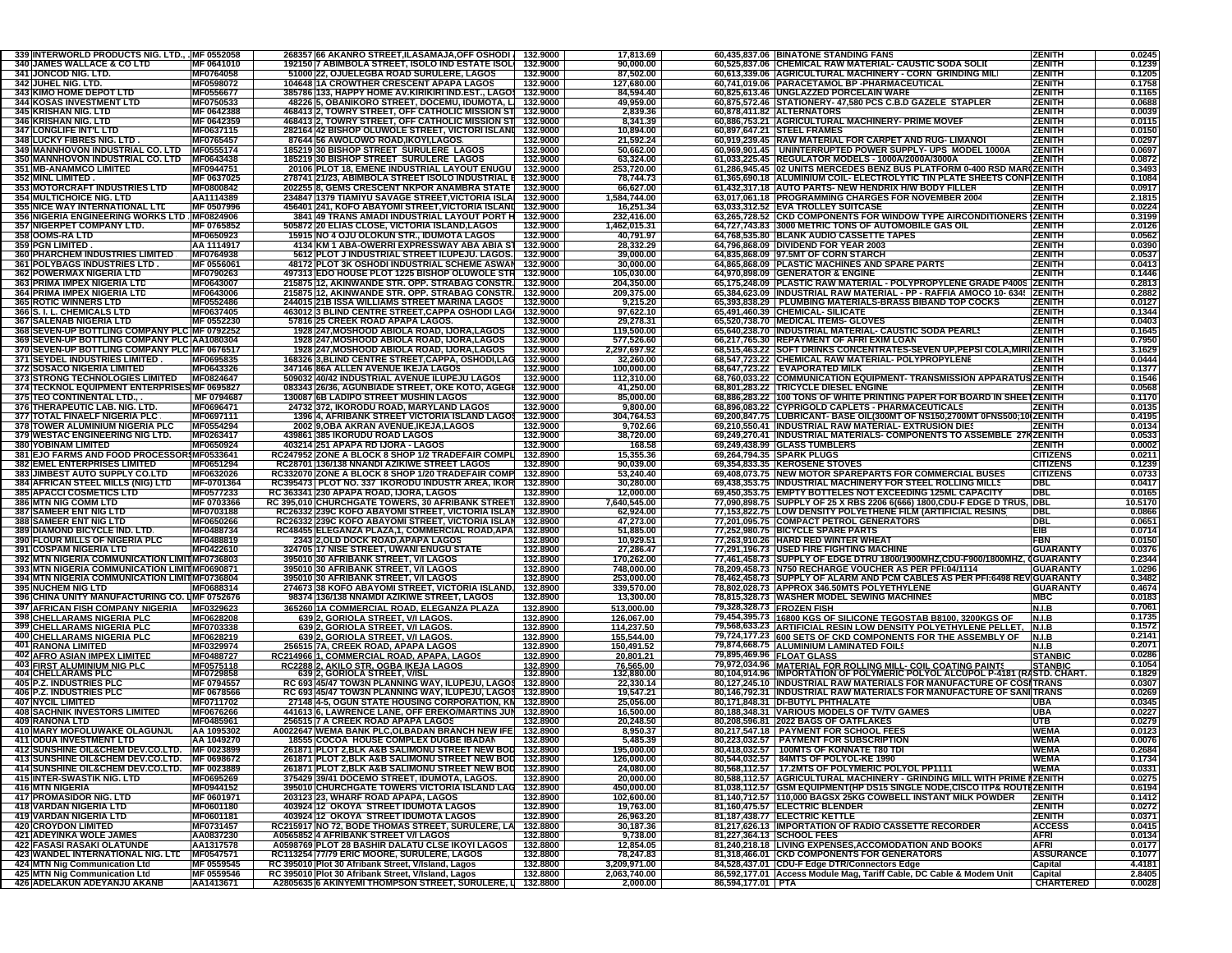| 339 INTERWORLD PRODUCTS NIG. LTD., . MF 0552058              |                         | 268357 66 AKANRO STREET, ILASAMAJA, OFF OSHODI                                                                  | 132.9000             | 17,813.69                |                   | 60,435,837.06 BINATONE STANDING FANS                                                                                         | <b>ZENITH</b>               | 0.0245            |
|--------------------------------------------------------------|-------------------------|-----------------------------------------------------------------------------------------------------------------|----------------------|--------------------------|-------------------|------------------------------------------------------------------------------------------------------------------------------|-----------------------------|-------------------|
| 340 JAMES WALLACE & CO LTD                                   | MF 0641010              | 192150 7 ABIMBOLA STREET, ISOLO IND ESTATE ISOL                                                                 | 132.9000             | 90,000.00                |                   | 60,525,837.06 CHEMICAL RAW MATERIAL- CAUSTIC SODA SOLID                                                                      | <b>ZENITH</b>               | 0.1239            |
| 341 JONCOD NIG. LTD.                                         | MF0764058               | 51000 22. OJUELEGBA ROAD SURULERE. LAGOS                                                                        | 132.9000             | 87,502.00                |                   | 60,613,339.06 AGRICULTURAL MACHINERY - CORN GRINDING MILI                                                                    | <b>ZENITH</b>               | 0.1205            |
| 342 JUHEL NIG. LTD.                                          | MF0598072               | 104648 1A CROWTHER CRESCENT APAPA LAGOS                                                                         | 132.9000             | 127,680.00               |                   | 60,741,019.06 PARACETAMOL BP -PHARMACEUTICAL                                                                                 | <b>ZENITH</b>               | 0.1758            |
| <b>343 KIMO HOME DEPOT LTD</b>                               | MF0556677               | 385786 133, HAPPY HOME AV.KIRIKIRI IND.EST., LAGOS 132.9000                                                     |                      | 84,594.40                |                   | 60,825,613.46 UNGLAZZED PORCELAIN WARE                                                                                       | <b>ZENITH</b>               | 0.1165            |
| <b>344 KOSAS INVESTMENT LTD</b>                              | MF0750533               | 48226 5, OBANIKORO STREET, DOCEMU, IDUMOTA, L. 132.9000                                                         |                      | 49,959.00                |                   | 60,875,572.46 STATIONERY-47,580 PCS C.B.D GAZELE STAPLER                                                                     | <b>ZENITH</b>               | 0.0688            |
| 345 KRISHAN NIG. LTD                                         | MF 0642388              | 468413 2, TOWRY STREET, OFF CATHOLIC MISSION ST 132.9000                                                        |                      | 2,839.36                 |                   | 60,878,411.82 ALTERNATORS                                                                                                    | <b>ZENITH</b>               | 0.0039            |
| <b>346 KRISHAN NIG. LTD</b>                                  | MF 0642359              | 468413 2, TOWRY STREET, OFF CATHOLIC MISSION ST 132.9000                                                        |                      | 8,341.39                 |                   | 60,886,753.21 AGRICULTURAL MACHINERY- PRIME MOVEF                                                                            | <b>ZENITH</b>               | 0.0115            |
| <b>347 LONGLIFE INT'L LTD</b>                                | MF0637115               | 282164 42 BISHOP OLUWOLE STREET, VICTORI ISLANI 132.9000                                                        |                      | 10,894.00                |                   | 60.897.647.21 STEEL FRAMES                                                                                                   | <b>ZENITH</b>               | 0.0150            |
| 348 LUCKY FIBRES NIG. LTD                                    | MF0765457               | 87644 56 AWOLOWO ROAD, IKOYI, LAGOS.                                                                            | 132.9000             | 21,592.24                |                   | 60,919,239.45 RAW MATERIAL FOR CARPET AND RUG-LIMANOI                                                                        | <b>ZENITH</b>               | 0.0297            |
| <b>349 MANNHOVON INDUSTRIAL CO. LTD</b>                      | MF0555174               | 185219 30 BISHOP STREET SURULERE LAGOS                                                                          | 132.9000             | 50,662.00                |                   | 60,969,901.45   UNINTERRUPTED POWER SUPPLY- UPS MODEL 1000A                                                                  | <b>ZENITH</b>               | 0.0697            |
| 350 MANNHOVON INDUSTRIAL CO. LTD                             | MF0643438               | 185219 30 BISHOP STREET SURULERE LAGOS                                                                          | 132.9000             | 63,324.00                |                   | 61,033,225.45 REGULATOR MODELS - 1000A/2000A/3000A                                                                           | <b>ZENITH</b>               | 0.0872            |
| <b>351 MB-ANAMMCO LIMITED</b>                                | MF0944751               | 20106 PLOT 18, EMENE INDUSTRIAL LAYOUT ENUGU                                                                    | 132.9000             | 253,720.00               |                   | 61,286,945.45 02 UNITS MERCEDES BENZ BUS PLATFORM 0-400 RSD MAR(ZENITH                                                       |                             | 0.3493            |
| 352 MINL LIMITED                                             | MF 0637025              | 278741 21/23, ABIMBOLA STREET ISOLO INDUSTRIAL E 132.9000                                                       |                      | 78,744.73                |                   | 61,365,690.18 ALUMINIUM COIL- ELECTROLYTIC TIN PLATE SHEETS CONFIZENITH                                                      |                             | 0.1084            |
| <b>353 MOTORCRAFT INDUSTRIES LTD</b>                         | MF0800842               | 202255 8, GEMS CRESCENT NKPOR ANAMBRA STATE                                                                     | 132.9000             | 66,627.00                |                   | 61,432,317.18 AUTO PARTS- NEW HENDRIX H/W BODY FILLER                                                                        | <b>ZENITH</b>               | 0.0917            |
| <b>354 MULTICHOICE NIG. LTD</b>                              | AA1114389               | 234847 1379 TIAMIYU SAVAGE STREET, VICTORIA ISLAI                                                               | 132.9000             | 1,584,744.00             |                   | 63,017,061.18 PROGRAMMING CHARGES FOR NOVEMBER 2004                                                                          | <b>ZENITH</b>               | 2.181             |
| <b>355 NICE WAY INTERNATIONAL LTD</b>                        | MF 0507996              | 456401 241, KOFO ABAYOMI STREET, VICTORIA ISLANI 132.9000                                                       |                      | 16,251.34                |                   | 63,033,312.52 EVA TROLLEY SUITCASE                                                                                           | <b>ZENITH</b>               | 0.0224            |
| 356 NIGERIA ENGINEERING WORKS LTD. MF0824906                 |                         | 3841 49 TRANS AMADI INDUSTRIAL LAYOUT PORT H 132.9000                                                           |                      | 232,416.00               |                   | 63,265,728.52 CKD COMPONENTS FOR WINDOW TYPE AIRCONDITIONERS                                                                 | <b>IZENITH</b>              | 0.3199            |
| <b>357 NIGERPET COMPANY LTD.</b>                             | MF 0765852              | 505872 20 ELIAS CLOSE, VICTORIA ISLAND, LAGOS                                                                   | 132.9000             | 1,462,015.31             |                   | 64.727.743.83 3000 METRIC TONS OF AUTOMOBILE GAS OIL                                                                         | ZENITH                      | 2.0126            |
| 358 OOMS-RALTD                                               | MF0650923               | 15915 NO 4 OJU OLOKUN STR., IDUMOTA LAGOS                                                                       | 132.9000             | 40,791.97                |                   | 64,768,535.80 BLANK AUDIO CASSETTE TAPES                                                                                     | <b>ZENITH</b>               | 0.0562            |
| 359 PGN LIMITED.                                             | AA 1114917              | 4134 KM 1 ABA-OWERRI EXPRESSWAY ABA ABIA ST                                                                     | 132.9000             | 28,332.29                |                   | 64,796,868.09 DIVIDEND FOR YEAR 2003                                                                                         | <b>ZENITH</b>               | 0.0390            |
| <b>360 PHARCHEM INDUSTRIES LIMITED</b>                       | MF0764938               | 5612 PLOT J INDUSTRIAL STREET ILUPEJU. LAGOS.                                                                   | 132.9000             | 39,000.00                |                   | 64,835,868.09 97.5MT OF CORN STARCH                                                                                          | <b>ZENITH</b>               | 0.0537            |
| 361 POLYBAGS INDUSTRIES LTD.                                 | MF 0556061              | 48172 PLOT 3K OSHODI INDUSTRIAL SCHEME ASWAN                                                                    | 132.9000             | 30,000.00                |                   | 64,865,868.09 PLASTIC MACHINES AND SPARE PARTS                                                                               | ZENITH                      | 0.0413            |
| <b>362 POWERMAX NIGERIA LTD</b>                              | MF0790263               | 497313 EDO HOUSE PLOT 1225 BISHOP OLUWOLE STR                                                                   | 132.9000             | 105,030.00               |                   | 64,970,898.09 GENERATOR & ENGINE                                                                                             | <b>ZENITH</b>               | 0.1446            |
| 363 PRIMA IMPEX NIGERIA LTD                                  | MF0643007               | 215875 12, AKINWANDE STR. OPP. STRABAG CONSTR.                                                                  | 132.9000             | 204,350.00               |                   | 65,175,248.09 PLASTIC RAW MATERIAL - POLYPROPYLENE GRADE P400S ZENITH                                                        |                             | 0.2813            |
| 364 PRIMA IMPEX NIGERIA LTD                                  | MF0643006               | 215875 12, AKINWANDE STR. OPP. STRABAG CONSTR.                                                                  | 132.9000             | 209,375.00               |                   | 65,384,623.09 INDUSTRIAL RAW MATERIAL - PP - RAFFIA AMOCO 10- 634   ZENITH                                                   |                             | 0.2882            |
| <b>365 ROTIC WINNERS LTD</b>                                 | <b>MF0552486</b>        | 244015 21B ISSA WILLIAMS STREET MARINA LAGOS                                                                    | 132.9000             | 9,215.20                 |                   | 65,393,838.29 PLUMBING MATERIALS-BRASS BIBAND TOP COCKS                                                                      | <b>ZENITH</b>               | 0.0127            |
| 366 S. I. L. CHEMICALS LTD                                   | MF0637405               | 463012 3 BLIND CENTRE STREET, CAPPA OSHODI LAGI 132.9000                                                        |                      | 97,622.10                |                   | 65,491,460.39 CHEMICAL-SILICATE                                                                                              | <b>ZENITH</b>               | 0.1344            |
| 367 SALENAB NIGERIA LTD.                                     | MF 0552230              | 57816 25 CREEK ROAD APAPA LAGOS.                                                                                | 132.9000             | 29,278.31                |                   | 65,520,738.70 MEDICAL ITEMS- GLOVES                                                                                          | <b>ZENITH</b>               | 0.0403            |
| 368 SEVEN-UP BOTTLING COMPANY PLC MF 0792252                 |                         | 1928 247, MOSHOOD ABIOLA ROAD, IJORA, LAGOS                                                                     | 132.9000             | 119,500.00               |                   | 65,640,238.70 INDUSTRIAL MATERIAL- CAUSTIC SODA PEARLS                                                                       | <b>ZENITH</b>               | 0.1645            |
| 369 SEVEN-UP BOTTLING COMPANY PLC AA1080304                  |                         | 1928 247, MOSHOOD ABIOLA ROAD, IJORA, LAGOS                                                                     | 132.9000             | 577,526.60               |                   | 66,217,765.30 REPAYMENT OF AFRI EXIM LOAN                                                                                    | <b>ZENITH</b>               | 0.7950            |
| 370 SEVEN-UP BOTTLING COMPANY PLC MF 0676517                 |                         | 1928 247, MOSHOOD ABIOLA ROAD, IJORA, LAGOS                                                                     | 132.9000             | 2,297,697.92             |                   | 68,515,463.22 SOFT DRINKS CONCENTRATES-SEVEN UP, PEPSI COLA, MIRI(ZENITH                                                     |                             | 3.1629            |
| 371 SEYDEL INDUSTRIES LIMITED.                               | MF0695835               | 168326 3.BLIND CENTRE STREET,CAPPA, OSHODI,LAG 132.9000                                                         |                      | 32,260.00                |                   | 68,547,723.22 CHEMICAL RAW MATERIAL- POLYPROPYLENE                                                                           | <b>ZENITH</b>               | 0.0444            |
| <b>372 SOSACO NIGERIA LIMITED</b>                            | MF0643326               | 347146 86A ALLEN AVENUE IKEJA LAGOS                                                                             | 132.9000             | 100,000.00               |                   | 68,647,723.22   EVAPORATED MILK                                                                                              | <b>ZENITH</b>               | 0.1377            |
| 373 STRONG TECHNOLOGIES LIMITED                              | MF0824647               | 509032 40/42 INDUSTRIAL AVENUE ILUPEJU LAGOS                                                                    | 132.9000             | 112.310.00               |                   | 68,760,033.22 COMMUNICATION EQUIPMENT-TRANSMISSION APPARATUS ZENITH                                                          |                             | 0.1546            |
| 374 TECKNOL EQUIPMENT ENTERPRISES MF 0695827                 |                         | 083343 26/36, AGUNBIADE STREET, OKE KOTO, AGEGE                                                                 | 132.9000             | 41,250.00                |                   | 68,801,283.22 TRICYCLE DIESEL ENGINE                                                                                         | <b>ZENITH</b>               | 0.0568            |
| 375 TEO CONTINENTAL LTD., .                                  | MF 0794687              | 130087 6B LADIPO STREET MUSHIN LAGOS                                                                            | 132.9000             | 85,000.00                |                   | 68,886,283.22 100 TONS OF WHITE PRINTING PAPER FOR BOARD IN SHEETZENITH                                                      |                             | 0.1170            |
| 376 THERAPEUTIC LAB. NIG. LTD.                               | MF0696471               | 24732 372, IKORODU ROAD, MARYLAND LAGOS                                                                         | 132.9000             | 9,800.00                 |                   | 68,896,083.22 CYPRIGOLD CAPLETS - PHARMACEUTICALS                                                                            | ZENITH                      | 0.0135            |
| <b>377 TOTAL FINAELF NIGERIA PLC</b>                         | MF0697111               | 1396 4, AFRIBANK STREET VICTORIA ISLAND LAGOS                                                                   | 132.9000             | 304,764.53               |                   | 69,200,847.75 LUBRICANT- BASE OIL(300MT OF NS150,2700MT 0FNS500;10(ZENITH                                                    |                             | 0.4195            |
| <b>378 TOWER ALUMINIUM NIGERIA PLC</b>                       | MF0554294               | 2002 9, OBA AKRAN AVENUE, IKEJA, LAGOS                                                                          | 132.9000             | 9,702.66                 |                   | 69,210,550.41 INDUSTRIAL RAW MATERIAL-EXTRUSION DIES                                                                         | <b>ZENITH</b>               | 0.0134            |
| 379 WESTAC ENGINEERING NIG LTD.                              | MF0263417               | 439861 385 IKORUDU ROAD LAGOS                                                                                   | 132.9000             | 38,720.00                |                   | 69,249,270.41  INDUSTRIAL MATERIALS- COMPONENTS TO ASSEMBLE 27KZENITH                                                        |                             | 0.0533            |
| 380 YOBINAM LIMITED                                          | MF0650924               | 403214 251 APAPA RD IJORA - LAGOS                                                                               | 132.9000             | 168.58                   |                   | 69,249,438.99 GLASS TUMBLERS                                                                                                 | <b>ZENITH</b>               | 0.0002            |
| 381 EJO FARMS AND FOOD PROCESSOR MF0533641                   |                         | RC247952 ZONE A BLOCK 8 SHOP 1/2 TRADEFAIR COMPL                                                                | 132.8900             | 15,355.36                |                   | 69,264,794.35 SPARK PLUGS                                                                                                    | <b>CITIZENS</b>             | 0.0211            |
| <b>382 EMEL ENTERPRISES LIMITED</b>                          | MF0651294               | RC28701 136/138 NNANDI AZIKIWE STREET LAGOS                                                                     | 132.8900             | 90,039.00                |                   | 69,354,833.35 KEROSENE STOVES                                                                                                | <b>CITIZENS</b>             | 0.1239            |
| 383 JIMBEST AUTO SUPPLY CO.LTD                               | MF0632026               | RC332070 ZONE A BLOCK 8 SHOP 1/20 TRADEFAIR COMP                                                                | 132.8900             | 53,240.40                |                   | 69,408,073.75 NEW MOTOR SPAREPARTS FOR COMMERCIAL BUSES                                                                      | <b>CITIZENS</b>             | 0.0733            |
| <b>384 AFRICAN STEEL MILLS (NIG) LTD</b>                     | MF-0701364              | RC395473 PLOT NO. 337 IKORODU INDUSTR AREA, IKOR                                                                | 132.8900             | 30,280.00                |                   | 69,438,353.75 INDUSTRIAL MACHINERY FOR STEEL ROLLING MILLS                                                                   | DBL                         | 0.0417            |
| <b>385 APACCI COSMETICS LTD</b>                              | MF0577233               | RC 363341 230 APAPA ROAD, IJORA, LAGOS                                                                          |                      |                          |                   |                                                                                                                              |                             |                   |
|                                                              |                         |                                                                                                                 | 132.8900             | 12,000.00                |                   |                                                                                                                              | <b>DBL</b>                  | 0.0165            |
| <b>386 MTN NIG COMM LTD</b>                                  | MF 0703366              |                                                                                                                 | 132.8900             | 7,640,545.00             |                   | 69,450,353.75 EMPTY BOTTELES NOT EXCEEDING 125ML CAPACITY                                                                    |                             |                   |
| 387 SAMEER ENT NIG LTD                                       | MF0703188               | RC 395,010 CHURCHGATE TOWERS, 30 AFRIBANK STREET<br>RC26332 239C KOFO ABAYOMI STREET, VICTORIA ISLAN            | 132.8900             | 62,924.00                |                   | 77,090,898.75 SUPPLY OF 25 X RBS 2206 6(666) 1800, CDU-F EDGE D TRUS, DBL                                                    | DBL                         | 10.5170<br>0.0866 |
| <b>388 SAMEER ENT NIG LTD</b>                                |                         |                                                                                                                 | 132.8900             |                          |                   | 77,153,822.75 LOW DENSITY POLYETHENE FILM (ARTIFICIAL RESINS                                                                 | DBL                         |                   |
| 389 DIAMOND BICYCLE IND. LTD.                                | MF0650266<br>MF0488734  | RC26332 239C KOFO ABAYOMI STREET, VICTORIA ISLAN<br>RC48455 ELEGANZA PLAZA, 1, COMMERCIAL ROAD, APA             | 132.8900             | 47,273.00<br>51,885.00   |                   | 77,201,095.75 COMPACT PETROL GENERATORS<br>77,252,980.75 BICYCLE SPARE PARTS                                                 | EIB                         | 0.0651<br>0.0714  |
| 390 FLOUR MILLS OF NIGERIA PLC                               | MF0488819               | 2343 2,OLD DOCK ROAD,APAPA LAGOS                                                                                | 132.8900             | 10,929.51                |                   | 77,263,910.26 HARD RED WINTER WHEAT                                                                                          | <b>FBN</b>                  | 0.0150            |
| 391 COSPAM NIGERIA LTD                                       | <b>MF0422610</b>        | 324705 17 NISE STREET, UWANI ENUGU STATE                                                                        | 132.8900             | 27,286.47                |                   | 77,291,196.73 USED FIRE FIGHTING MACHINE                                                                                     | <b>GUARANTY</b>             | 0.0376            |
| 392 MTN NIGERIA COMMUNICATION LIMIT MF0736803                |                         | 395010 30 AFRIBANK STREET, V/I LAGOS                                                                            | 132.8900             | 170,262.00               |                   | 77,461,458.73 SUPPLY OF EDGE DTRU 1800/1900MHZ,CDU-F900/1800MHZ, (GUARANTY                                                   |                             | 0.2344            |
| 393 MTN NIGERIA COMMUNICATION LIMIT MF0690871                |                         | 395010 30 AFRIBANK STREET, V/I LAGOS                                                                            | 132.8900             | 748,000.00               |                   | 78,209,458.73 N750 RECHARGE VOUCHER AS PER PFI:04/1114                                                                       | <b>GUARANTY</b>             | 1.0296            |
| 394 MTN NIGERIA COMMUNICATION LIMIT MF0736804                |                         | 395010 30 AFRIBANK STREET, V/I LAGOS                                                                            | 132.8900             | 253,000.00               |                   | 78,462,458.73 SUPPLY OF ALARM AND PCM CABLES AS PER PFI:6498 REV GUARANTY                                                    |                             | 0.3482            |
| <b>395 NUCHEM NIG LTD</b>                                    | MF0688314               | 274673 38 KOFO ABAYOMI STREET, VICTORIA ISLAND                                                                  | 132.8900             | 339,570.00               |                   | 78,802,028.73 APPROX 346.50MTS POLYETHYLENE                                                                                  | <b>GUARANTY</b>             | 0.4674            |
| 396 CHINA UNITY MANUFACTURING CO. LMF 0752676                |                         | 98374 136/138 NNAMDI AZIKIWE STREET, LAGOS                                                                      | 132.8900             | 13,300.00                |                   | 78,815,328.73 WASHER MODEL SEWING MACHINES                                                                                   | <b>MBC</b>                  | 0.0183            |
|                                                              |                         |                                                                                                                 |                      |                          |                   | 79,328,328.73 FROZEN FISH                                                                                                    | N.I.B                       | 0.7061            |
| 397 AFRICAN FISH COMPANY NIGERIA                             | MF0329623               | 365260 1A COMMERCIAL ROAD, ELEGANZA PLAZA                                                                       | 132.8900             | 513,000.00               |                   |                                                                                                                              | <b>N.I.B</b>                | 0.1735            |
| 398 CHELLARAMS NIGERIA PLC                                   | MF0628208<br>MF0703338  | 639 2, GORIOLA STREET, V/I LAGOS.<br>639 2, GORIOLA STREET, V/I LAGOS.                                          | 132.8900<br>132.8900 | 126,067.00<br>114,237.50 |                   | 79,454,395.73 16800 KGS OF SILICONE TEGOSTAB B8100, 3200KGS OF                                                               | N.I.B                       | 0.1572            |
| 399 CHELLARAMS NIGERIA PLC                                   | MF0628219               | 639 2, GORIOLA STREET, V/I LAGOS.                                                                               | 132.8900             | 155,544.00               |                   | 79,568,633.23 ARTIFICIAL RESIN LOW DENSITY POLYETHYLENE PELLET.                                                              | N.I.B                       | 0.2141            |
| <b>400 CHELLARAMS NIGERIA PLC</b><br>401 RANONA LIMITED      | MF0329974               | <u>256515 7A, CREEK ROAD, APAPA LAGOS</u>                                                                       | 132.8900             | 150,491.52               |                   | 79,724,177.23 600 SETS OF CKD COMPONENTS FOR THE ASSEMBLY OF                                                                 | <b>N.I.B</b>                | 0.207             |
| 402 AFRO ASIAN IMPEX LIMITED                                 | MF0488727               | RC214966 1, COMMERCIAL ROAD, APAPA, LAGOS                                                                       | 132.8900             | 20,801.21                |                   | 79,874,668.75 ALUMINIUM LAMINATED FOILS<br>79,895,469.96 FLOAT GLASS                                                         | <b>STANBIC</b>              | 0.028             |
| <b>403 FIRST ALUMINIUM NIG PLC</b>                           | MF0575118               |                                                                                                                 | 132.8900             | <u>76,565.00</u>         |                   |                                                                                                                              | <b>STANBIC</b>              | 0.1054            |
| <b>404 CHELLARAMS PLC</b>                                    | MF0729858               | RC2288 2, AKILO STR, OGBA IKEJA LAGOS<br>639 2, GORIOLA STREET, V/ISI                                           | 132.8900             | 132,880.00               |                   | 79,972,034.96 MATERIAL FOR ROLLING MILL- COIL COATING PAINTS<br>80,104,914.96 IMPORTATION OF POLYMERIC POLYOL ALCUPOL P-4181 | (RASTD. CHART.              | 0.1829            |
| 405 P.Z. INDUSTRIES PLC                                      | MF 0794557              | RC 693 45/47 TOW3N PLANNING WAY, ILUPEJU, LAGOS                                                                 | 132.8900             | 22,330.14                |                   | 80,127,245.10 INDUSTRIAL RAW MATERIALS FOR MANUFACTURE OF COSITRANS                                                          |                             | 0.0307            |
| 406 P.Z. INDUSTRIES PLC                                      | MF 0678566              | RC 693 45/47 TOW3N PLANNING WAY, ILUPEJU, LAGOS 132.8900                                                        |                      | 19,547.21                |                   | 80,146,792.31  INDUSTRIAL RAW MATERIALS FOR MANUFACTURE OF SANI TRANS                                                        |                             | 0.0269            |
| <b>407 NYCIL LIMITED</b>                                     | MF0711702               | 27148 4-5, OGUN STATE HOUSING CORPORATION, KN                                                                   | 132.8900             | 25,056.00                |                   | 80.171.848.31 DI-BUTYL PHTHALATE                                                                                             | UBA                         | 0.0345            |
| <b>408 SACHNIK INVESTORS LIMITED</b>                         | MF0676266               | 441613 6, LAWRENCE LANE, OFF EREKO/MARTINS JUN                                                                  | 132.8900             | 16,500.00                |                   | 80,188,348.31 VARIOUS MODELS OF TV/TV GAMES                                                                                  | UBA                         | 0.0227            |
| <b>409 RANONA LTD</b>                                        | MF0485961               | 256515 7 A CREEK ROAD APAPA LAGOS                                                                               | 132.8900             | 20,248.50                |                   | 80,208,596.81  2022 BAGS OF OATFLAKES                                                                                        | UTB                         | 0.0279            |
| 410 MARY MOFOLUWAKE OLAGUNJU                                 | AA 1095302              | A0022647 WEMA BANK PLC.OLBADAN BRANCH NEW IFE                                                                   | 132.8900             | 8,950.37                 |                   | 80,217,547.18 PAYMENT FOR SCHOOL FEES                                                                                        | <b>WEMA</b>                 | 0.0123            |
| 411 ODUA INVESTMENT LTD                                      | AA 1049270              | 18555 COCOA HOUSE COMPLEX DUGBE IBADAN                                                                          | 132.8900             | 5,485.39                 |                   | 80,223,032.57 PAYMENT FOR SUBSCRIPTION                                                                                       | <b>WEMA</b>                 | 0.0076            |
| 412 SUNSHINE OIL&CHEM DEV.CO.LTD. MF 0023899                 |                         | 261871 PLOT 2, BLK A&B SALIMONU STREET NEW BOL 132.8900                                                         |                      | 195,000.00               |                   | 80,418,032.57 100M ISOF KONNATE 180 ID                                                                                       | WEMA                        | 0.2684            |
| 413 SUNSHINE OIL&CHEM DEV.CO.LTD. MF 0698672                 |                         | 261871 PLOT 2, BLK A&B SALIMONU STREET NEW BOD 132.8900                                                         |                      | 126,000.00               |                   | 80,544,032.57 84MTS OF POLYOL-KE 1990                                                                                        | <b>WEMA</b>                 | 0.1734            |
| 414 SUNSHINE OIL&CHEM DEV.CO.LTD. MF 0023889                 |                         | 261871 PLOT 2, BLK A&B SALIMONU STREET NEW BOD 132.8900                                                         |                      | 24,080.00                |                   | 80,568,112.57   17.2MTS OF POLYMERIC POLYOL PP1111                                                                           | WEMA                        | 0.0331            |
| 415 INTER-SWASTIK NIG. LTD                                   | MF0695269               | 375429 39/41 DOCEMO STREET, IDUMOTA, LAGOS.                                                                     | 132.8900             | 20,000.00                |                   | 80,588,112.57 AGRICULTURAL MACHINERY - GRINDING MILL WITH PRIME I ZENITH                                                     |                             | 0.0275            |
| <b>416 MTN NIGERIA</b>                                       | MF0944152               | 395010 CHURCHGATE TOWERS VICTORIA ISLAND LAG 132.8900                                                           |                      | 450,000.00               |                   | 81,038,112.57 GSM EQUIPMENT(HP DS15 SINGLE NODE, CISCO ITP& ROUTEZENITH                                                      |                             | 0.6194            |
| 417 PROMASIDOR NIG. LTD                                      | MF 0601971              | 203123 23, WHARF ROAD APAPA, LAGOS                                                                              | 132.8900             | 102,600.00               |                   | 81,140,712.57 110,000 BAGSX 25KG COWBELL INSTANT MILK POWDER                                                                 | <b>ZENITH</b>               | 0.1412            |
| <b>418 VARDAN NIGERIA LTD.</b>                               | MF0601180               | 403924 12 OKOYA STREET IDUMOTA LAGOS                                                                            | 132.8900             | 19,763.00                |                   | 81,160,475.57 ELECTRIC BLENDER                                                                                               | <b>ZENITH</b>               | 0.0272            |
| 419 VARDAN NIGERIA LTD.                                      | MF0601181               | 403924 12 OKOYA STREET IDUMOTA LAGOS                                                                            | 132.8900             | 26,963.20                |                   | 81,187,438.77 ELECTRIC KETTLE                                                                                                | <b>ZENITH</b>               | 0.0371            |
| <b>420 CROYDON LIMITED</b>                                   | MF0731457               | RC215917 NO 72, BODE THOMAS STREET, SURULERE, LA 132.8800                                                       |                      | 30,187.36                |                   | 81,217,626.13 IMPORTATION OF RADIO CASSETTE RECORDER                                                                         | <b>ACCESS</b>               | 0.0415            |
| <b>421 ADEYINKA WOLE JAMES</b>                               | AA0837230               | A0565852 4 AFRIBANK STREET V/I LAGOS                                                                            | 132.8800             | 9,738.00                 |                   | 81,227,364.13 SCHOOL FEES                                                                                                    | <b>AFRI</b>                 | 0.0134            |
| <b>422 FASASI RASAKI OLATUNDE</b>                            | AA1317578               | A0598769 PLOT 28 BASHIR DALATU CLSE IKOYI LAGOS                                                                 | 132.8800             | 12,854.05                |                   | 81.240.218.18 LIVING EXPENSES.ACCOMODATION AND BOOKS                                                                         | <b>AFRI</b>                 | 0.0177            |
| 423 WANDEL INTERNATIONAL NIG. LTD                            | MF0547571               | RC113254 77/79 ERIC MOORE, SURULERE, LAGOS                                                                      | 132.8800             | 78,247.83                |                   | 81,318,466.01 CKD COMPONENTS FOR GENERATORS                                                                                  | <b>ASSURANCE</b>            | 0.1077            |
| 424 MTN Nig Communication Ltd                                | MF 0559545              | RC 395010 Plot 30 Afribank Street, V/Island, Lagos                                                              | 132.8800             | 3,209,971.00             |                   | 84,528,437.01 CDU-F Edge DTR/Connectors Edge                                                                                 | Capital                     | 4.4181            |
| 425 MTN Nig Communication Ltd<br>426 ADELAKUN ADEYANJU AKANB | MF 0559546<br>AA1413671 | RC 395010 Plot 30 Afribank Street, V/Island, Lagos<br>A2805635 6 AKINYEMI THOMPSON STREET, SURULERE, L 132.8800 | 132.8800             | 2,063,740.00<br>2,000.00 | 86,594,177.01 PTA | 86,592,177.01 Access Module Mag, Tariff Cable, DC Cable & Modem Unit                                                         | Capital<br><b>CHARTERED</b> | 2.8405<br>0.0028  |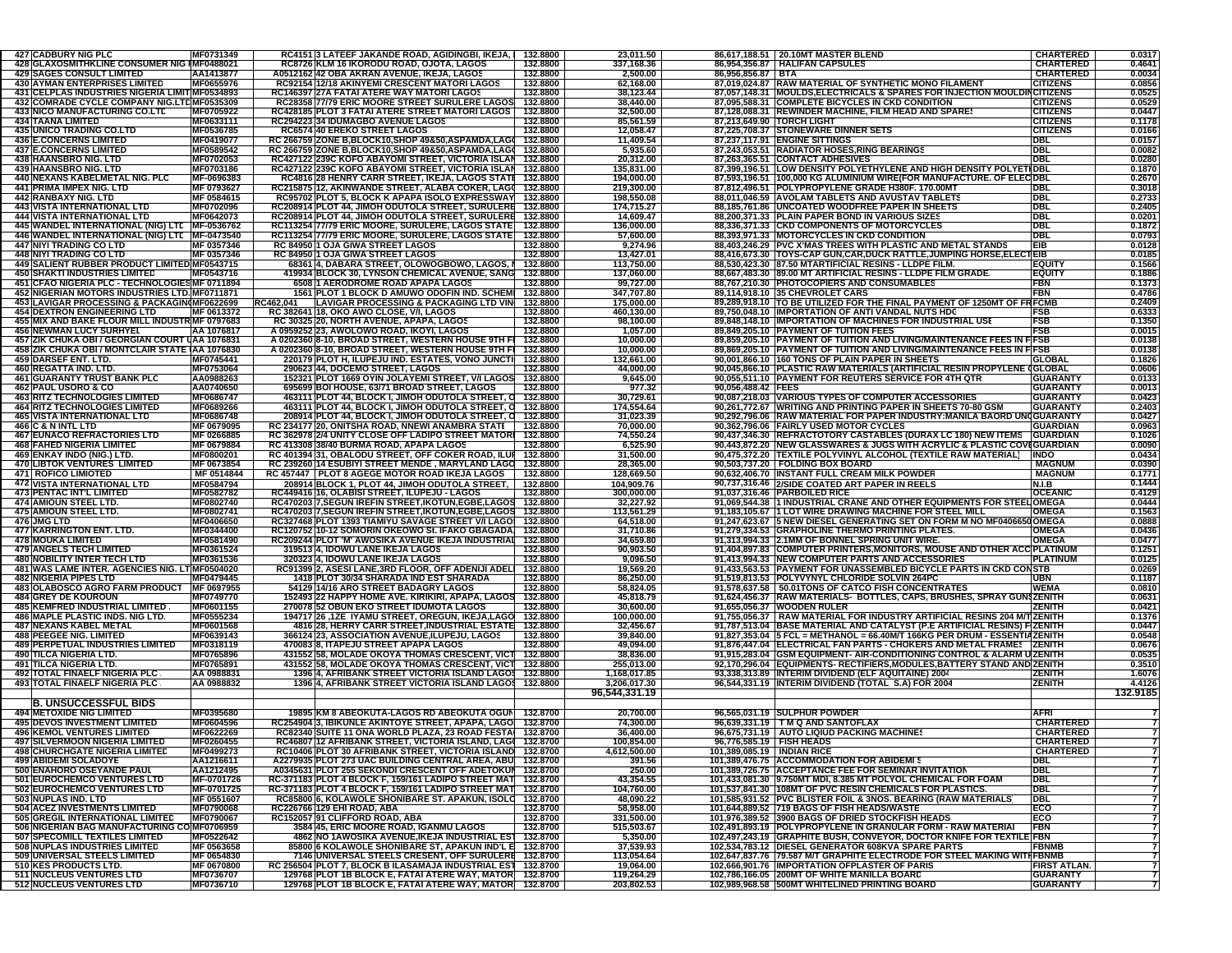| <b>427 CADBURY NIG PLC</b>                                                                        | MF0731349                       | RC4151 3 LATEEF JAKANDE ROAD, AGIDINGBI, IKEJA,   132.8800                                                                 |                      | 23,011.50                  |                                                          | 86,617,188.51 20.10MT MASTER BLEND                                                                                                                     | <b>CHARTERED</b>                     | 0.0317<br>0.4641 |
|---------------------------------------------------------------------------------------------------|---------------------------------|----------------------------------------------------------------------------------------------------------------------------|----------------------|----------------------------|----------------------------------------------------------|--------------------------------------------------------------------------------------------------------------------------------------------------------|--------------------------------------|------------------|
| 428 GLAXOSMITHKLINE CONSUMER NIG IMF0488021<br><b>429 SAGES CONSULT LIMITED</b>                   | AA1413877                       | RC8726 KLM 16 IKORODU ROAD, OJOTA, LAGOS<br>A0512162 42 OBA AKRAN AVENUE, IKEJA, LAGOS                                     | 132.8800<br>132.8800 | 337,168.36<br>2,500.00     | 86,956,856.87 BTA                                        | 86,954,356.87 HALIFAN CAPSULES                                                                                                                         | <b>CHARTERED</b><br><b>CHARTERED</b> | 0.0034           |
| <b>430 AYMAN ENTERPRISES LIMITED</b>                                                              | MF0655976                       | RC92154 12/18 AKINYEMI CRESCENT MATORI LAGOS                                                                               | 132.8800             | 62,168.00                  |                                                          | 87,019,024.87 RAW MATERIAL OF SYNTHETIC MONO FILAMENT                                                                                                  | <b>CITIZENS</b>                      | 0.0856           |
| 431 CELPLAS INDUSTRIES NIGERIA LIMIT MF0534893<br>432 COMRADE CYCLE COMPANY NIG.LTDMF0535309      |                                 | RC146397 27A FATAI ATERE WAY MATORI LAGOS<br>RC28358 77/79 ERIC MOORE STREET SURULERE LAGOS 132.8800                       | 132.8800             | 38,123.44<br>38,440.00     |                                                          | 87,057,148.31 MOULDS, ELECTRICALS & SPARES FOR INJECTION MOULDINCITIZENS<br>87,095,588.31 COMPLETE BICYCLES IN CKD CONDITION                           | <b>CITIZENS</b>                      | 0.0525<br>0.0529 |
| <b>433 NICO MANUFACTURING CO.LTD</b>                                                              | MF0705922                       | RC428185 PLOT 3 FATAI ATERE STREET MATORI LAGOS   132.8800                                                                 |                      | 32,500.00                  |                                                          | 87,128,088.31 REWINDER MACHINE, FILM HEAD AND SPARES                                                                                                   | <b>CITIZENS</b>                      | 0.0447           |
| <b>434 TAANA LIMITED</b><br><b>435 UNICO TRADING CO.LTD</b>                                       | MF0633111<br>MF0536785          | RC294223 34 IDUMAGBO AVENUE LAGOS<br>RC6574 40 EREKO STREET LAGOS                                                          | 132.8800<br>132.8800 | 85,561.59<br>12,058.47     |                                                          | 87,213,649.90 TORCH LIGHT<br>87,225,708.37 STONEWARE DINNER SETS                                                                                       | <b>CITIZENS</b><br><b>CITIZENS</b>   | 0.1178<br>0.0166 |
| <b>436 E.CONCERNS LIMITED</b>                                                                     | MF0419077                       | RC 266759 ZONE B.BLOCK10,SHOP 49&50,ASPAMDA,LAG( 132.8800                                                                  |                      | 11,409.54                  |                                                          | 87.237.117.91 ENGINE SITTINGS                                                                                                                          | DBL                                  | 0.0157           |
| <b>437 E.CONCERNS LIMITED</b>                                                                     | MF0589542                       | RC 266759 ZONE B.BLOCK10.SHOP 49&50.ASPAMDA.LAG( 132.8800                                                                  |                      | 5,935.60                   |                                                          | 87,243,053.51 RADIATOR HOSES, RING BEARINGS                                                                                                            | <b>DBL</b>                           | 0.0082           |
| 438 HAANSBRO NIG. LTD<br><b>439 HAANSBRO NIG. LTD</b>                                             | MF0702053<br>MF0703186          | RC427122 239C KOFO ABAYOMI STREET, VICTORIA ISLAN 132.8800<br>RC427122 239C KOFO ABAYOMI STREET, VICTORIA ISLAN 132.8800   |                      | 20,312.00<br>135.831.00    |                                                          | 87,263,365.51 CONTACT ADHESIVES<br>87,399,196.51 LOW DENSITY POLYETHYLENE AND HIGH DENSITY POLYETIDBL                                                  | <b>DBL</b>                           | 0.0280<br>0.1870 |
| <b>440 NEXANS KABELMETAL NIG. PLC</b>                                                             | MF-0696383                      | RC4816 28 HENRY CARR STREET, IKEJA, LAGOS STATI 132.8800                                                                   |                      | 194,000.00                 |                                                          | 87,593,196.51 100,000 KG ALUMINIUM WIRE(FOR MANUFACTURE. OF ELEC DBL                                                                                   |                                      | 0.2670           |
| <b>441 PRIMA IMPEX NIG. LTD</b>                                                                   | MF 0793627                      | RC215875 12, AKINWANDE STREET, ALABA COKER, LAGO 132.8800                                                                  |                      | 219,300.00                 |                                                          | 87,812,496.51 POLYPROPYLENE GRADE H380F. 170.00MT                                                                                                      | <b>DBL</b>                           | 0.3018           |
| 442 RANBAXY NIG. LTD<br><b>443 VISTA INTERNATIONAL LTD</b>                                        | MF 0584615<br>MF0702096         | RC95702 PLOT 5, BLOCK K APAPA ISOLO EXPRESSWAY 132.8800<br>RC208914 PLOT 44, JIMOH ODUTOLA STREET, SURULERE 132.8800       |                      | 198,550.08<br>174,715.27   |                                                          | 88,011,046.59 AVOLAM TABLETS AND AVUSTAV TABLETS<br>88,185,761.86 UNCOATED WOODFREE PAPER IN SHEETS                                                    | <b>DBL</b><br><b>DBL</b>             | 0.2733<br>0.2405 |
| <b>444 VISTA INTERNATIONAL LTD</b>                                                                | MF0642073                       | RC208914 PLOT 44, JIMOH ODUTOLA STREET, SURULERE 132.8800                                                                  |                      | 14,609.47                  |                                                          | 88,200,371.33 PLAIN PAPER BOND IN VARIOUS SIZES                                                                                                        | <b>DBL</b>                           | 0.0201           |
| 445 WANDEL INTERNATIONAL (NIG) LTE MF-0536762                                                     |                                 | RC113254 77/79 ERIC MOORE, SURULERE, LAGOS STATE 132.8800                                                                  |                      | 136,000.00                 |                                                          | 88.336.371.33 CKD COMPONENTS OF MOTORCYCLES                                                                                                            | <b>DBL</b>                           | 0.1872           |
| 446 WANDEL INTERNATIONAL (NIG) LTE MF-0473540<br>447 NIYI TRADING CO LTD                          | MF 0357346                      | RC113254 77/79 ERIC MOORE, SURULERE, LAGOS STATE 132.8800<br>RC 84950 1 OJA GIWA STREET LAGOS                              | 132.8800             | 57,600.00<br>9,274.96      |                                                          | 88,393,971.33 MOTORCYCLES IN CKD CONDITION<br>88,403,246.29 PVC X'MAS TREES WITH PLASTIC AND METAL STANDS                                              | <b>DBL</b><br>EIB                    | 0.0793<br>0.0128 |
| <b>448 NIYI TRADING CO LTD</b>                                                                    | MF 0357346                      | RC 84950 1 OJA GIWA STREET LAGOS                                                                                           | 132.8800             | 13,427.01                  |                                                          | 88,416,673.30 TOYS-CAP GUN,CAR,DUCK RATTLE,JUMPING HORSE,ELECTEIB                                                                                      |                                      | 0.0185           |
| 449 SALIENT RUBBER PRODUCT LIMITED MF0543715<br><b>450 SHAKTI INDUSTRIES LIMITED</b>              | MF0543716                       | 68361 4. DABARA STREET. OLOWOGBOWO. LAGOS.   132.8800<br>419934 BLOCK 30, LYNSON CHEMICAL AVENUE, SANG 132.8800            |                      | 113,750.00<br>137,060.00   |                                                          | 88,530,423.30 87.50 MTARTIFICIAL RESINS - LLDPE FILM.<br>88.667.483.30 89.00 MT ARTIFICIAL RESINS - LLDPE FILM GRADE                                   | <b>EQUIT)</b><br><b>EQUITY</b>       | 0.1566<br>0.1886 |
| 451 CFAO NIGERIA PLC - TECHNOLOGIES MF 0711894                                                    |                                 | 6508 1 AERODROME ROAD APAPA LAGOS                                                                                          | 132.8800             | 99,727.00                  |                                                          | 88,767,210.30 PHOTOCOPIERS AND CONSUMABLES                                                                                                             | <b>FBN</b>                           | 0.1373           |
| 452 NIGERIAN MOTORS INDUSTRIES LTD. MF0711871                                                     |                                 | 1561 PLOT 1 BLOCK D AMUWO ODOFIN IND. SCHEM 132.8800                                                                       |                      | 347,707.80                 |                                                          | 89,114,918.10 35 CHEVROLET CARS                                                                                                                        | <b>FBN</b>                           | 0.4786           |
| 453 LAVIGAR PROCESSING & PACKAGIN(MF0622699<br><b>454 DEXTRON ENGINEERING LTD</b>                 | MF 0613372                      | LAVIGAR PROCESSING & PACKAGING LTD VIN 132.8800<br>RC462.041<br>RC 382641 18, OKO AWO CLOSE, V/I, LAGOS                    | 132.8800             | 175,000.00<br>460,130.00   |                                                          | 89,289,918.10 TO BE UTILIZED FOR THE FINAL PAYMENT OF 1250MT OF FRFCMB<br>89,750,048.10 IMPORTATION OF ANTI VANDAL NUTS HDC                            | FSB                                  | 0.2409<br>0.6333 |
| 455 MIX AND BAKE FLOUR MILL INDUSTR MF 0797683                                                    |                                 | RC 30325 20, NORTH AVENUE, APAPA, LAGOS                                                                                    | 132.8800             | 98,100.00                  |                                                          | 89,848,148.10 IMPORTATION OF MACHINES FOR INDUSTRIAL USE                                                                                               | <b>FSB</b>                           | 0.1350           |
| <b>456 NEWMAN LUCY SURHYEL</b>                                                                    | AA 1076817                      | A 0959252 23, AWOLOWO ROAD, IKOYI, LAGOS                                                                                   | 132.8800             | 1,057.00                   |                                                          | 89,849,205.10 PAYMENT OF TUITION FEES                                                                                                                  | FSB                                  | 0.0015           |
| 457 ZIK CHUKA OBI / GEORGIAN COURT UAA 1076831<br>458 ZIK CHUKA OBI / MONTCLAIR STATE (AA 1076830 |                                 | A 0202360 8-10, BROAD STREET, WESTERN HOUSE 9TH FI 132.8800<br>A 0202360 8-10, BROAD STREET, WESTERN HOUSE 9TH FI 132.8800 |                      | 10,000.00<br>10,000.00     |                                                          | 89,859,205.10 PAYMENT OF TUITION AND LIVING/MAINTENANCE FEES IN FFSB<br>89,869,205.10 PAYMENT OF TUITION AND LIVING/MAINTENANCE FEES IN FFSB           |                                      | 0.0138<br>0.0138 |
| 459 DARSEF ENT. LTD.                                                                              | MF0745441                       | 220179 PLOT H, ILUPEJU IND. ESTATES, VONO JUNCTI 132.8800                                                                  |                      | 132,661.00                 |                                                          | 90,001,866.10 160 TONS OF PLAIN PAPER IN SHEETS                                                                                                        | <b>GLOBAL</b>                        | 0.1826           |
| 460 REGATTA IND. LTD                                                                              | MF0753064                       | 290623 44, DOCEMO STREET, LAGOS                                                                                            | 132.8800             | 44,000.00                  |                                                          | 90,045,866.10 PLASTIC RAW MATERIALS (ARTIFICIAL RESIN PROPYLENE (GLOBAL                                                                                |                                      | 0.0606           |
| <b>461 GUARANTY TRUST BANK PLC</b><br><b>462 PAUL USORO &amp; CO</b>                              | AA0988263<br>AA0740650          | 152321 PLOT 1669 OYIN JOLAYEMI STREET, V/I LAGOS 132.8800<br>695699 BOI HOUSE, 63/71 BROAD STREET, LAGOS                   | 132.8800             | 9,645.00<br>977.32         | 90,056,488.42 FEES                                       | 90,055,511.10 PAYMENT FOR REUTERS SERVICE FOR 4TH QTR                                                                                                  | <b>GUARANTY</b><br><b>GUARANTY</b>   | 0.0133<br>0.0013 |
| <b>463 RITZ TECHNOLOGIES LIMITED</b>                                                              | MF0686747                       | 463111 PLOT 44, BLOCK I, JIMOH ODUTOLA STREET, O 132.8800                                                                  |                      | 30,729.61                  |                                                          | 90,087,218.03 VARIOUS TYPES OF COMPUTER ACCESSORIES                                                                                                    | <b>GUARANTY</b>                      | 0.0423           |
| <b>464 RITZ TECHNOLOGIES LIMITED</b>                                                              | MF0689266                       | 463111 PLOT 44, BLOCK I, JIMOH ODUTOLA STREET, O 132.8800                                                                  |                      | 174,554.64                 |                                                          | 90,261,772.67 WRITING AND PRINTING PAPER IN SHEETS 70-80 GSM                                                                                           | <b>GUARANTY</b>                      | 0.2403           |
| <b>465 VISTA INTERNATIONAL LTD</b><br>466 C & N INTL LTD                                          | MF0686748<br>MF 0679095         | 208914 PLOT 44, BLOCK I, JIMOH ODUTOLA STREET, C 132.8800<br>RC 234177 20, ONITSHA ROAD, NNEWI ANAMBRA STATE   132.8800    |                      | 31,023.39<br>70,000.00     |                                                          | 90,292,796.06 RAW MATERIAL FOR PAPER INDUSTRY: MANILA BAORD UNIGUARANTY<br>90,362,796.06 FAIRLY USED MOTOR CYCLES                                      | <b>GUARDIAN</b>                      | 0.0427<br>0.0963 |
| <b>467 EUNACO REFRACTORIES LTD</b>                                                                | MF 0266885                      | RC 362978 2/4 UNITY CLOSE OFF LADIPO STREET MATORI 132.8800                                                                |                      | 74,550.24                  |                                                          | 90,437,346.30 REFRACTOTORY CASTABLES (DURAX LC 180) NEW ITEMS                                                                                          | <b>GUARDIAN</b>                      | 0.1026           |
| <b>468 FAHED NIGERIA LIMITED</b><br>469 ENKAY INDO (NIG.) LTD.                                    | MF 0679884                      | RC 413308 38/40 BURMA ROAD, APAPA LAGOS                                                                                    | 132.8800             | 6,525.90                   |                                                          | 90,443,872.20 NEW GLASSWARES & JUGS WITH ACRYLIC & PLASTIC COVIGUARDIAN<br>90,475,372.20 TEXTILE POLYVINYL ALCOHOL (TEXTILE RAW MATERIAL)              | <b>INDO</b>                          | 0.0090<br>0.0434 |
| <b>470 LIBTOK VENTURES LIMITED</b>                                                                | MF0800201<br>MF 0673854         | RC 401394 31, OBALODU STREET, OFF COKER ROAD, ILUI 132.8800<br>RC 239260 14 ESUBIYI STREET MENDE, MARYLAND LAGO 132.8800   |                      | 31,500.00<br>28,365.00     |                                                          | 90,503,737.20 FOLDING BOX BOARD                                                                                                                        | <b>MAGNUM</b>                        | 0.0390           |
| <b>471 ROFICO LIMIOTED</b>                                                                        | MF 0514844                      | RC 457447   PLOT 8 AGEGE MOTOR ROAD IKEJA LAGOS   132.8800                                                                 |                      | 128,669.50                 |                                                          | 90,632,406.70 INSTANT FULL CREAM MILK POWDER                                                                                                           | <b>MAGNUM</b>                        | 0.1771           |
| <b>472 VISTA INTERNATIONAL LTD</b><br><b>473 PENTAC INT'L LIMITED</b>                             | MF0584794<br>MF0582782          | 208914 BLOCK 1, PLOT 44, JIMOH ODUTOLA STREET,<br>RC449416 16, OLABISI STREET, ILUPEJU - LAGOS                             | 132.8800<br>132.8800 | 104,909.76<br>300,000.00   |                                                          | 90,737,316.46 2/SIDE COATED ART PAPER IN REELS<br>91.037.316.46 PARBOILED RICE                                                                         | N.I.B<br><b>OCEANIC</b>              | 0.1444<br>0.4129 |
| <b>474 AMIOUN STEEL LTD.</b>                                                                      | MF0802740                       | RC470203 7, SEGUN IREFIN STREET, IKOTUN, EGBE, LAGOS 132.8800                                                              |                      | 32,227.92                  |                                                          | 91,069,544.38 1 INDUSTRIAL CRANE AND OTHER EQUIPMENTS FOR STI                                                                                          | <b>_OMEGA</b>                        | 0.0444           |
| <b>475 AMIOUN STEEL LTD.</b>                                                                      | MF0802741                       | RC470203 7, SEGUN IREFIN STREET, IKOTUN, EGBE, LAGOS 132.8800                                                              |                      | 113,561.29                 |                                                          | 91,183,105.67 1 LOT WIRE DRAWING MACHINE FOR STEEL MILL                                                                                                | <b>OMEGA</b>                         | 0.1563           |
| 476 JMG LTD<br>477 KARRINGTON ENT. LTD.                                                           | MF0406650<br>MF0344400          | RC327468 PLOT 1393 TIAMIYU SAVAGE STREET V/I LAGO! 132.8800<br>RC120752 10-12 SOMORIN OKEOWO St. IFAKO GBAGADA 132.8800    |                      | 64,518.00<br>31,710.86     |                                                          | 91,247,623.67 5 NEW DIESEL GENERATING SET ON FORM M NO MF0406650 OMEGA<br>91,279,334.53 GRAPHOLINE THERMO PRINTING PLATES.                             | <b>OMEGA</b>                         | 0.0888<br>0.0436 |
| <b>478 MOUKA LIMITED</b>                                                                          | MF0581490                       | RC209244 PLOT 'M' AWOSIKA AVENUE IKEJA INDUSTRIAL 132.8800                                                                 |                      | 34,659.80                  |                                                          | 91,313,994.33 2.1MM OF BONNEL SPRING UNIT WIRE.                                                                                                        | <b>OMEGA</b>                         | 0.0477           |
| <b>479 ANGELS TECH LIMITED</b>                                                                    | MF0361524                       | 319513 4, IDOWU LANE IKEJA LAGOS                                                                                           | 132.8800             | 90,903.50                  |                                                          | 91,404,897.83 COMPUTER PRINTERS, MONITORS, MOUSE AND OTHER ACC PLATINUM                                                                                |                                      | 0.1251           |
| <b>480 NOBILITY INTER TECH LTD</b><br>481 WAS LAME INTER. AGENCIES NIG. LT MF0504020              | MF0361536                       | 320323 4, IDOWU LANE IKEJA LAGOS<br>RC91399 2, ASESI LANE, 3RD FLOOR, OFF ADENIJI ADEL 132.8800                            | 132.8800             | 9,096.50<br>19,569.20      |                                                          | 91,413,994.33 NEW COMPUTER PARTS AND ACCESSORIES<br>91,433,563.53 PAYMENT FOR UNASSEMBLED BICYCLE PARTS IN CKD CONSTB                                  | <b>PLATINUM</b>                      | 0.0125<br>0.0269 |
| <b>482 NIGERIA PIPES LTD</b>                                                                      | MF0479445                       | 1418 PLOT 30/34 SHARADA IND EST SHARADA                                                                                    | 132.8800             | 86,250.00                  |                                                          | 91,519,813.53 POLYVYNYL CHLORIDE SOLVIN 264PC                                                                                                          | <b>UBN</b>                           | 0.1187           |
| <b>483 OLABOSCO AGRO FARM PRODUCT</b><br><b>484 GREY DE KOUROUN</b>                               | MF 0697955<br>MF0749770         | 54129 14/16 ARO STREET BADAGRY LAGOS<br>152493 22 HAPPY HOME AVE. KIRIKIRI, APAPA, LAGOS 132.8800                          | 132.8800             | 58,824.05<br>45,818.79     |                                                          | 91,578,637.58 50.01TONS OF CATCO FISH CONCENTRATES<br>91,624,456.37 RAW MATERIALS- BOTTLES, CAPS, BRUSHES, SPRAY GUN                                   | <b>WEMA</b><br><b>ZENITH</b>         | 0.0810<br>0.0631 |
| <b>485 KEMFRED INDUSTRIAL LIMITED</b>                                                             | MF0601155                       | 270078 52 OBUN EKO STREET IDUMOTA LAGOS                                                                                    | 132.8800             | 30,600.00                  |                                                          | 91,655,056.37 WOODEN RULER                                                                                                                             | <b>ZENITH</b>                        | 0.0421           |
| 486 MAPLE PLASTIC INDS. NIG LTD.                                                                  | MF0555234                       | 132.8800 157REET, OREGUN, IKEJA, LAGO 132.8800                                                                             |                      | 100,000.00                 |                                                          | 91,755,056.37   RAW MATERIAL FOR INDUSTRY ARTIFICIAL RESINS 204 M/T ZENITH                                                                             |                                      | 0.1376           |
| <b>487 NEXANS KABEL METAL</b><br><b>488 PEEGEE NIG. LIMITED</b>                                   | MF0601568<br>MF0639143          | 4816 28, HERRY CARR STREET, INDUSTRIAL ESTATE 132.8800<br>366124 23, ASSOCIATION AVENUE,ILUPEJU, LAGOS                     | 132.8800             | 32,456.67<br>39,840.00     |                                                          | 91,787,513.04 BASE MATERIAL AND CATALYST (P.E ARTIFICIAL RESINS) F ZENITH<br>91,827,353.04 5 FCL = METHANOL = 66.40M/T 166KG PER DRUM - ESSENTIAZENITH |                                      | 0.0447<br>0.0548 |
| <b>489 PERPETUAL INDUSTRIES LIMITED</b>                                                           | MF0318119                       | 470083 8, ITAPEJU STREET APAPA LAGOS                                                                                       | 132.8800             | 49.094.00                  |                                                          | 91,876,447.04 ELECTRICAL FAN PARTS - CHOKERS AND METAL FRAMES   ZENITH                                                                                 |                                      | 0.0676           |
| 490 TILCA NIGERIA LTD.                                                                            | <b>MF0765896</b>                | 431552 58, MOLADE OKOYA THOMAS CRESCENT, VICT 132.8800                                                                     |                      | 38.836.00                  |                                                          | 91,915,283.04 GSM EQUIPMENT- AIR-CONDITIONING CONTROL & ALARM U ZENITH                                                                                 |                                      | 0.0535           |
| <b>491 TILCA NIGERIA LTD.</b><br><b>492 TOTAL FINAELF NIGERIA PLC</b>                             | MF0765891<br>AA 0988831         | 431552 58, MOLADE OKOYA THOMAS CRESCENT, VICT 132.8800<br>1396 4, AFRIBANK STREET VICTORIA ISLAND LAGOS 132.8800           |                      | 255,013.00<br>1.168.017.85 |                                                          | 92,170,296.04 EQUIPMENTS- RECTIFIERS, MODULES, BATTERY STAND AND ZENITH<br>93,338,313.89 INTERIM DIVIDEND (ELF AQUITAINE) 2004                         | <b>ZENITH</b>                        | 0.3510<br>1.6076 |
| <b>493 TOTAL FINAELF NIGERIA PLC</b>                                                              | AA 0988832                      | 1396 4, AFRIBANK STREET VICTORIA ISLAND LAGOS 132.8800                                                                     |                      | 3,206,017.30               |                                                          | 96,544,331.19 INTERIM DIVIDEND (TOTAL S.A) FOR 2004                                                                                                    | <b>ZENITH</b>                        | 4.4126           |
|                                                                                                   |                                 |                                                                                                                            |                      | 96,544,331.19              |                                                          |                                                                                                                                                        |                                      | 132.9185         |
| <b>B. UNSUCCESSFUL BIDS</b><br><b>494 METOXIDE NIG LIMITED</b>                                    | MF0395680                       | 19895 KM 8 ABEOKUTA-LAGOS RD ABEOKUTA OGUN 132.8700                                                                        |                      | 20,700.00                  |                                                          | 96,565,031.19 SULPHUR POWDER                                                                                                                           | <b>AFRI</b>                          |                  |
| <b>495 DEVOS INVESTMENT LIMITED</b>                                                               | MF0604596                       | RC254904 3, IBIKUNLE AKINTOYE STREET, APAPA, LAGO 132.8700                                                                 |                      | 74,300.00                  |                                                          | 96,639,331.19   T M Q AND SANTOFLAX                                                                                                                    | <b>CHARTERED</b>                     |                  |
| <b>496 KEMOL VENTURES LIMITED</b>                                                                 | MF0622269<br>MF0260455          | RC82340 SUITE 11 ONA WORLD PLAZA, 23 ROAD FESTA 132.8700                                                                   |                      | 36,400.00<br>100,854.00    |                                                          | 96,675,731.19 AUTO LIQIUD PACKING MACHINES                                                                                                             | <b>CHARTERED</b>                     |                  |
| <b>497 SILVERMOON NIGERIA LIMITED</b><br><b>498 CHURCHGATE NIGERIA LIMITED</b>                    | MF0499273                       | RC46807 12 AFRIBANK STREET, VICTORIA ISLAND, LAG( 132.8700<br>RC10406 PLOT 30 AFRIBANK STREET, VICTORIA ISLAND 132.8700    |                      | 4,612,500.00               | 96,776,585.19 FISH HEADS<br>101,389,085.19   INDIAN RICE |                                                                                                                                                        | <b>CHARTERED</b><br><b>CHARTERED</b> | 7                |
| <b>499 ABIDEMI SOLADOYE</b>                                                                       | AA1216611                       | A2279935 PLOT 273 UAC BUILDING CENTRAL AREA, ABU 132.8700                                                                  |                      | 391.56                     |                                                          | 101,389,476.75 ACCOMMODATION FOR ABIDEMI S                                                                                                             | <b>DBL</b>                           |                  |
| 500 ENAHORO OSEYANDE PAUL<br>501 EUROCHEMCO VENTURES LTD                                          | AA1212495<br>MF-0701726         | A0345631 PLOT 255 SEKONDI CRESCENT OFF ADETOKUM 132.8700<br>RC-371183 PLOT 4 BLOCK F, 159/161 LADIPO STREET MAT 132.8700   |                      | 250.00<br>43,354.55        |                                                          | 101,389,726.75 ACCEPTANCE FEE FOR SEMINAR INVITATION<br>101,433,081.30 9.750MT MDI, 8.385 MT POLYOL CHEMICAL FOR FOAM                                  | <b>DBL</b><br><b>DBL</b>             |                  |
| <b>502 EUROCHEMCO VENTURES LTD</b>                                                                | MF-0701725                      | RC-371183 PLOT 4 BLOCK F, 159/161 LADIPO STREET MAT 132.8700                                                               |                      | 104,760.00                 |                                                          | 101,537,841.30 108MT OF PVC RESIN CHEMICALS FOR PLASTICS.                                                                                              | <b>DBL</b>                           |                  |
| 503 NUPLAS IND. LTD                                                                               | MF 0551607                      | RC85800 6, KOLAWOLE SHONIBARE ST. APAKUN, ISOLO 132.8700                                                                   |                      | 48,090.22                  |                                                          | 101,585,931.52 PVC BLISTER FOIL & 3NOS. BEARING (RAW MATERIALS)                                                                                        | <b>DBL</b>                           |                  |
| <b>504 ACEZ INVESTMENTS LIMITED</b><br><b>505 GREGIL INTERNATIONAL LIMITED</b>                    | MF0790068<br>MF0790067          | RC226766 129 EHI ROAD, ABA<br>RC152057 91 CLIFFORD ROAD, ABA                                                               | 132.8700<br>132.8700 | 58,958.00<br>331,500.00    |                                                          | 101.644.889.52 719 BAGS OF FISH HEADS/WASTE<br>101,976,389.52 3900 BAGS OF DRIED STOCKFISH HEADS                                                       | ECO<br>ECO                           |                  |
| 506 NIGERIAN BAG MANUFACTURING COMF0706959                                                        |                                 | 3584 45, ERIC MOORE ROAD, IGANMU LAGOS                                                                                     | 132.8700             | 515,503.67                 |                                                          | 102,491,893.19 POLYPROPYLENE IN GRANULAR FORM - RAW MATERIAI                                                                                           | <b>FBN</b>                           |                  |
| <b>507 SPECOMILL TEXTILES LIMITED</b>                                                             | MF0522642                       | 4862 NO 1AWOSIKA AVENUE, IKEJA INDUSTRIAL ES1 132.8700                                                                     |                      | 5,350.00                   |                                                          | 102,497,243.19 GRAPHITE BUSH, CONVEYOR, DOCTOR KNIFE FOR TEXTILE FBN                                                                                   |                                      | $\overline{7}$   |
| 508 NUPLAS INDUSTRIES LIMITED<br>509 UNIVERSAL STEELS LIMITED                                     | MF 0563658<br><b>MF 0654830</b> | 85800 6 KOLAWOLE SHONIBARE ST, APAKUN IND'L E 132.8700<br>7146 UNIVERSAL STEELS CRESENT, OFF SURULERE 132.8700             |                      | 37,539.93<br>113,054.64    |                                                          | 102,534,783.12 DIESEL GENERATOR 608KVA SPARE PARTS<br>102,647,837.76 79.587 M/T GRAPHITE ELECTRODE FOR STEEL MAKING WITH FBNMB                         | <b>FBNMB</b>                         | 7                |
| 510 KES PRODUCTS LTD.                                                                             | MF 0670800                      | RC 256504 PLOT 7, BLOCK B ILASAMAJA INDUSTRIAL EST 132.8700                                                                |                      | 19,064.00                  |                                                          | 102,666,901.76   IMPORTATION OFPLASTER OF PARIS                                                                                                        | FIRST ATLAN.                         |                  |
| 511 NUCLEUS VENTURES LTD                                                                          | MF0736707                       | 129768 PLOT 1B BLOCK E, FATAI ATERE WAY, MATOR 132.8700<br>129768 PLOT 1B BLOCK E, FATAI ATERE WAY, MATOR 132.8700         |                      | 119,264.29<br>203,802.53   |                                                          | 102,786,166.05 200MT OF WHITE MANILLA BOARD<br>102,989,968.58 500MT WHITELINED PRINTING BOARD                                                          | <b>GUARANTY</b>                      |                  |
| 512 NUCLEUS VENTURES LTD                                                                          | MF0736710                       |                                                                                                                            |                      |                            |                                                          |                                                                                                                                                        | <b>GUARANTY</b>                      | 7                |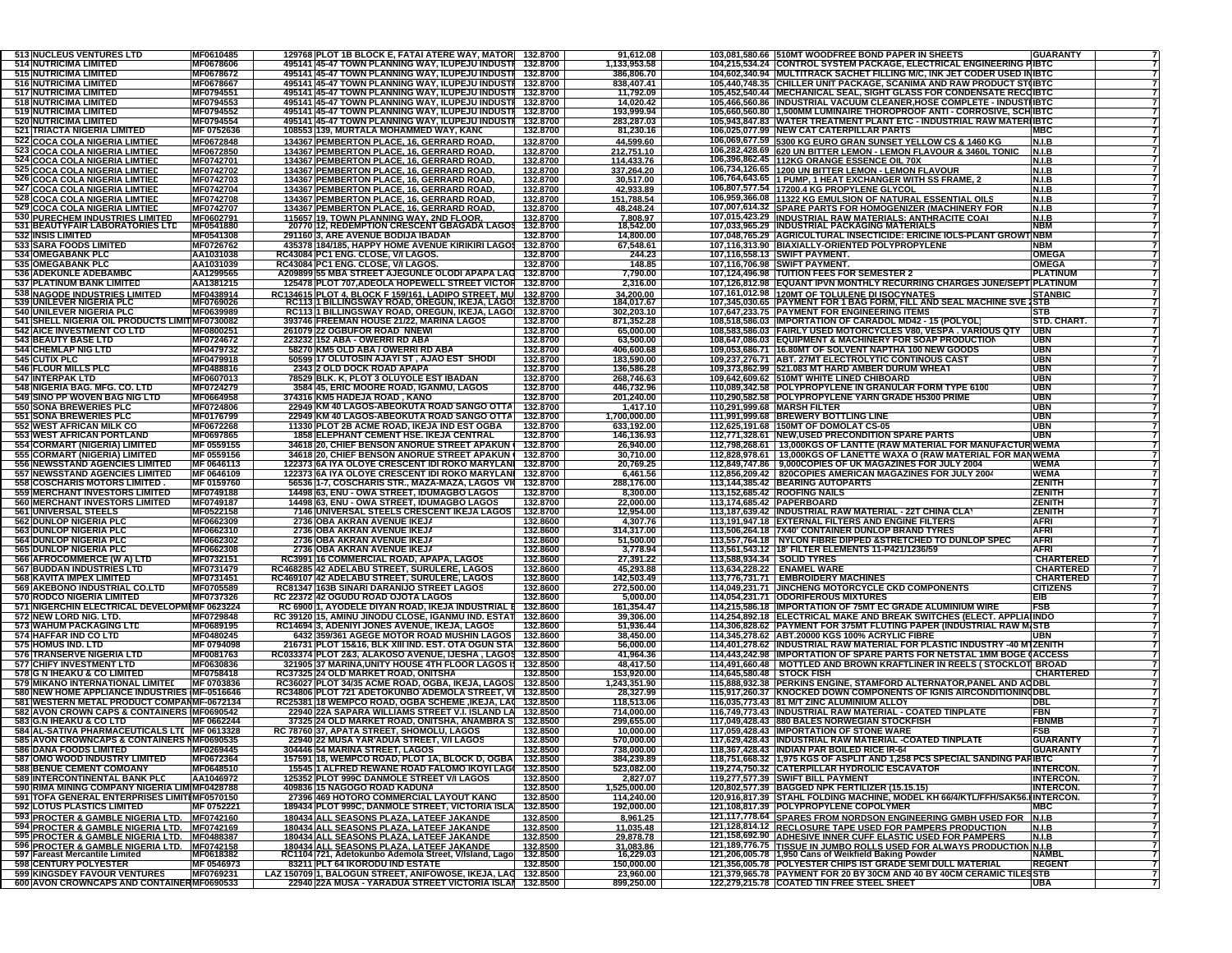| 513 NUCLEUS VENTURES LTD                                                                   | MF0610485                |                                           | 129768 PLOT 1B BLOCK E, FATAI ATERE WAY, MATOR 132.8700                                                                |          | 91,612.08               |                              | 103,081,580.66 510MT WOODFREE BOND PAPER IN SHEETS                                                                                    | <b>GUARANTY</b>                    |
|--------------------------------------------------------------------------------------------|--------------------------|-------------------------------------------|------------------------------------------------------------------------------------------------------------------------|----------|-------------------------|------------------------------|---------------------------------------------------------------------------------------------------------------------------------------|------------------------------------|
| <b>514 NUTRICIMA LIMITED</b>                                                               | MF0678606                |                                           | 495141 45-47 TOWN PLANNING WAY, ILUPEJU INDUSTI 132.8700                                                               |          | 1,133,953.58            |                              | 104,215,534.24    CONTROL SYSTEM PACKAGE, ELECTRICAL ENGINEERING PIBTC                                                                |                                    |
| <b>515 NUTRICIMA LIMITED</b>                                                               | MF0678672                |                                           | 495141 45-47 TOWN PLANNING WAY, ILUPEJU INDUSTI 132.8700                                                               |          | 386,806.70              |                              | 104,602,340.94 MULTITRACK SACHET FILLING M/C, INK JET CODER USED INIBTC                                                               |                                    |
| <b>516 NUTRICIMA LIMITED</b>                                                               | MF0678667                |                                           | 495141 45-47 TOWN PLANNING WAY, ILUPEJU INDUSTI 132.8700                                                               |          | 838,407.41              |                              | 105,440,748.35 CHILLER UNIT PACKAGE, SCANIMA AND RAW PRODUCT ST(IBTC                                                                  |                                    |
| <b>517 NUTRICIMA LIMITED</b>                                                               | MF0794551                |                                           | 495141 45-47 TOWN PLANNING WAY, ILUPEJU INDUSTI 132.8700                                                               |          | 11,792.09               |                              | 105,452,540.44 MECHANICAL SEAL, SIGHT GLASS FOR CONDENSATE RECCIBTC                                                                   |                                    |
| <b>518 NUTRICIMA LIMITED</b>                                                               | MF0794553                |                                           | 495141 45-47 TOWN PLANNING WAY, ILUPEJU INDUST 132.8700                                                                |          | 14,020.42               |                              | 105,466,560.86 INDUSTRIAL VACUUM CLEANER, HOSE COMPLETE - INDUSTIBTC                                                                  |                                    |
| <b>519 NUTRICIMA LIMITED</b>                                                               | MF0794552                |                                           | 495141 45-47 TOWN PLANNING WAY, ILUPEJU INDUSTI 132.8700                                                               |          | 193,999.94              |                              | 105,660,560.80 1,500MM LUMINAIRE THOROPROOF ANTI - CORROSIVE, SCHIBTC                                                                 |                                    |
| <b>520 NUTRICIMA LIMITED</b>                                                               | MF0794554                |                                           | 495141 45-47 TOWN PLANNING WAY, ILUPEJU INDUSTI                                                                        | 132.8700 | 283,287.03              |                              | 105,943,847.83 WATER TREATMENT PLANT ETC - INDUSTRIAL RAW MATER IBTC                                                                  |                                    |
| <b>521 TRIACTA NIGERIA LIMITED</b>                                                         | MF 0752636               |                                           | 108553 139, MURTALA MOHAMMED WAY, KANC                                                                                 | 132.8700 | 81,230.16               |                              | 106,025,077.99 NEW CAT CATERPILLAR PARTS                                                                                              | <b>MBC</b>                         |
| 522 COCA COLA NIGERIA LIMTIED                                                              | MF0672848                |                                           | 134367 PEMBERTON PLACE, 16, GERRARD ROAD.                                                                              | 132.8700 | 44,599.60               |                              | 106,069,677.59 5300 KG EURO GRAN SUNSET YELLOW CS & 1460 KG                                                                           | N.I.B                              |
| 523 COCA COLA NIGERIA LIMTIED                                                              | MF0672850                |                                           | 134367 PEMBERTON PLACE, 16, GERRARD ROAD.                                                                              | 132.8700 | 212,751.10              |                              | 106,282,428.69 620 UN BITTER LEMON - LEMON FLAVOUR & 3460L TONIC                                                                      | N.I.B                              |
| 524 COCA COLA NIGERIA LIMTIED                                                              | MF0742701                |                                           | 134367 PEMBERTON PLACE, 16, GERRARD ROAD.                                                                              | 132.8700 | 114,433.76              |                              | 106,396,862.45 112KG ORANGE ESSENCE OIL 70X                                                                                           | <u>N.I.B</u>                       |
| 525 COCA COLA NIGERIA LIMTIED                                                              | MF0742702                |                                           | 134367 PEMBERTON PLACE, 16, GERRARD ROAD.                                                                              | 132.8700 | 337,264.20              |                              | 106,734,126.65 1200 UN BITTER LEMON - LEMON FLAVOUR                                                                                   | N.I.B                              |
| 526 COCA COLA NIGERIA LIMTIED                                                              | MF0742703                |                                           | 134367 PEMBERTON PLACE, 16, GERRARD ROAD.                                                                              | 132.8700 | 30,517.00               |                              | 106,764,643.65 1 PUMP, 1 HEAT EXCHANGER WITH SS FRAME, 2                                                                              | N.I.B                              |
| 527 COCA COLA NIGERIA LIMTIED                                                              | MF0742704                |                                           | <u>134367 PEMBERTON PLACE, 16, GERRARD ROAD.</u>                                                                       | 132.8700 | 42,933.89               |                              | 106,807,577.54 17200.4 KG PROPYLENE GLYCOL                                                                                            | N.I.B                              |
| 528 COCA COLA NIGERIA LIMTIED                                                              | MF0742708                |                                           | 134367 PEMBERTON PLACE, 16, GERRARD ROAD.                                                                              | 132.8700 | 151,788.54              |                              | 106,959,366.08 11322 KG EMULSION OF NATURAL ESSENTIAL OILS                                                                            | N.I.B                              |
| 529 COCA COLA NIGERIA LIMTIED                                                              | MF0742707                |                                           | 134367 PEMBERTON PLACE, 16, GERRARD ROAD.                                                                              | 132.8700 | 48,248.24               |                              | 107,007,614.32 SPARE PARTS FOR HOMOGENIZER (MACHINERY FOR                                                                             | N.I.B                              |
| 530 PURECHEM INDUSTRIES LIMITED                                                            | MF0602791                |                                           | 115657 19, TOWN PLANNING WAY, 2ND FLOOR,<br>20770 12, REDEMPTION CRESCENT GBAGADA LAGOS                                | 132.8700 | 7,808.97                |                              | 107,015,423.29 INDUSTRIAL RAW MATERIALS: ANTHRACITE COAL                                                                              | N.I.B                              |
| 531 BEAUTYFAIR LABORATORIES LTD                                                            | MF0541880                |                                           |                                                                                                                        | 132.8700 | 18,542.00               |                              | 107,033,965.29 INDUSTRIAL PACKAGING MATERIALS                                                                                         | <b>NBM</b>                         |
| 532 INSIS LIMITED                                                                          | MF0541308                | 291160 3, ARE AVENUE BODIJA IBADAN        |                                                                                                                        | 132.8700 | 14,800.00               |                              | 107,048,765.29 AGRICULTURAL INSECTICIDE: ERICINE IOLS-PLANT GROWT NBM                                                                 |                                    |
| 533 SARA FOODS LIMITED                                                                     | MF0726762                |                                           | 435378 184/185, HAPPY HOME AVENUE KIRIKIRI LAGOS 132.8700                                                              |          | 67,548.61               |                              | 107,116,313.90 BIAXIALLY-ORIENTED POLYPROPYLENE                                                                                       | NBM                                |
| <b>534 OMEGABANK PLC</b>                                                                   | AA1031038<br>AA1031039   | RC43084 PC1 ENG. CLOSE, V/I LAGOS.        |                                                                                                                        | 132.8700 | 244.23                  |                              | 107.116.558.13 SWIFT PAYMENT.                                                                                                         | OMEGA                              |
| 535 OMEGABANK PLC<br>536 ADEKUNLE ADEBAMBO                                                 | AA1299565                | RC43084 PC1 ENG. CLOSE, V/I LAGOS.        |                                                                                                                        | 132.8700 | 148.85<br>7,790.00      |                              | 107,116,706.98 SWIFT PAYMENT.<br>107,124,496.98 TUITION FEES FOR SEMESTER 2                                                           | <b>OMEGA</b><br><b>PLATINUM</b>    |
|                                                                                            |                          |                                           | A209899 55 MBA STREET AJEGUNLE OLODI APAPA LAG 132.8700                                                                |          |                         |                              |                                                                                                                                       |                                    |
| 537 PLATINUM BANK LIMITED                                                                  | AA1381215                |                                           | 125478 PLOT 707, ADEOLA HOPEWELL STREET VICTOR 132.8700                                                                |          | 2,316.00                |                              | 107,126,812.98 EQUANT IPVN MONTHLY RECURRING CHARGES JUNE/SEPT PLATINUM                                                               |                                    |
| 538 NAGODE INDUSTRIES LIMITED<br>539 UNILEVER NIGERIA PLC                                  | MF0438914<br>MF0769026   |                                           | RC134615 PLOT 4, BLOCK F 159/161, LADIPO STREET, MU 132.8700<br>RC113 1 BILLINGSWAY ROAD, OREGUN, IKEJA, LAGO 132.8700 |          | 34,200.00<br>184,017.67 |                              | 107,161,012.98 120MT OF TOLULENE DI ISOCYNATES<br>107,345,030.65 PAYMENT FOR 1 BAG FORM, FILL AND SEAL MACHINE SVE 1STB               | <b>STANBIC</b>                     |
| 540 UNILEVER NIGERIA PLC                                                                   | MF0639989                |                                           | RC113 1 BILLINGSWAY ROAD, OREGUN, IKEJA, LAGO 132.8700                                                                 |          | 302,203.10              |                              | 107,647,233.75 PAYMENT FOR ENGINEERING ITEMS                                                                                          | <b>STB</b>                         |
| 541 SHELL NIGERIA OIL PRODUCTS LIMIT MF0730082                                             |                          |                                           | 393746 FREEMAN HOUSE 21/22, MARINA LAGOS                                                                               | 132.8700 | 871,352.28              |                              | 108,518,586.03 IMPORTATION OF CARADOL MD42 - 15 (POLYOL                                                                               | STD. CHART.                        |
| 542 AICE INVESTMENT CO LTD                                                                 | MF0800251                | 261079 22 OGBUFOR ROAD NNEWI              |                                                                                                                        | 132.8700 | 65,000.00               |                              | 108,583,586.03 FAIRLY USED MOTORCYCLES V80, VESPA. VARIOUS QTY                                                                        | <b>UBN</b>                         |
| <b>543 BEAUTY BASE LTD</b>                                                                 | MF0724672                | 223232 152 ABA - OWERRI RD ABA            |                                                                                                                        | 132.8700 | 63,500.00               |                              | 108,647,086.03 EQUIPMENT & MACHINERY FOR SOAP PRODUCTION                                                                              | UBN                                |
| <b>544 CHEMLAP NIG LTD</b>                                                                 | MF0479732                | 58270 KM5 OLD ABA / OWERRI RD ABA         |                                                                                                                        | 132.8700 | 406,600.68              |                              | 109,053,686.71 16.80MT OF SOLVENT NAPTHA 100 NEW GOODS                                                                                | <b>UBN</b>                         |
| 545 CUTIX PLC                                                                              | MF0479918                |                                           | 50599 17 OLUTOSIN AJAYI ST, AJAO EST SHODI                                                                             | 132.8700 | 183,590.00              |                              | 109,237,276.71 ABT. 27MT ELECTROLYTIC CONTINOUS CAST                                                                                  | <b>UBN</b>                         |
| <b>546 FLOUR MILLS PLC</b>                                                                 | MF0488816                | 2343 2 OLD DOCK ROAD APAPA                |                                                                                                                        | 132.8700 | 136,586.28              |                              | 109,373,862.99 521.083 MT HARD AMBER DURUM WHEAT                                                                                      | <b>UBN</b>                         |
| <b>547 INTERPAK LTD</b>                                                                    | MF0607013                |                                           | 78529 BLK. K, PLOT 3 OLUYOLE EST IBADAN                                                                                | 132.8700 | 268,746.63              |                              | 109,642,609.62 510MT WHITE LINED CHIBOARD                                                                                             | <b>UBN</b>                         |
| 548 NIGERIA BAG. MFG. CO. LTD                                                              | MF0724279                |                                           | 3584 45, ERIC MOORE ROAD, IGANMU, LAGOS                                                                                | 132.8700 | 446,732.96              |                              | 110,089,342.58 POLYPROPYLENE IN GRANULAR FORM TYPE 6100                                                                               | UBN                                |
| 549 SINO PP WOVEN BAG NIG LTD                                                              | MF0664958                | 374316 KM5 HADEJA ROAD , KANO             |                                                                                                                        | 132.8700 | 201,240.00              |                              | 110,290,582.58 POLYPROPYLENE YARN GRADE H5300 PRIME                                                                                   | UBN                                |
| 550 SONA BREWERIES PLC                                                                     | MF0724806                |                                           | 22949 KM 40 LAGOS-ABEOKUTA ROAD SANGO OTTA                                                                             | 132.8700 | 1,417.10                | 110.291.999.68 MARSH FILTER  |                                                                                                                                       | UBN                                |
| <b>551 SONA BREWERIES PLC</b>                                                              | MF0176799                |                                           | 22949 KM 40 LAGOS-ABEOKUTA ROAD SANGO OTTA                                                                             | 132.8700 | 1.700.000.00            |                              | 111.991.999.68 BREWERY BOTTLING LINE                                                                                                  | <b>UBN</b>                         |
| <b>552 WEST AFRICAN MILK CO</b>                                                            | MF0672268                |                                           | 11330 PLOT 2B ACME ROAD, IKEJA IND EST OGBA                                                                            | 132.8700 | 633,192.00              |                              | 112,625,191.68 150MT OF DOMOLAT CS-05                                                                                                 | UBN                                |
| 553 WEST AFRICAN PORTLAND                                                                  | MF0697865                |                                           | <b>1858 ELEPHANT CEMENT HSE. IKEJA CENTRAL</b>                                                                         | 132.8700 | 146,136.93              |                              | 112,771,328.61 NEW, USED PRECONDITION SPARE PARTS                                                                                     | <b>UBN</b>                         |
| 554 CORMART (NIGERIA) LIMITED                                                              | MF 0559155               |                                           | 34618 20, CHIEF BENSON ANORUE STREET APAKUN                                                                            | 132.8700 | 26,940.00               |                              | 112,798,268.61   13,000KGS OF LANTTE (RAW MATERIAL FOR MANUFACTUR WEMA                                                                |                                    |
| 555 CORMART (NIGERIA) LIMITED<br><b>556 NEWSSTAND AGENCIES LIMITED</b>                     | MF 0559156               |                                           | 34618 20, CHIEF BENSON ANORUE STREET APAKUN   132.8700                                                                 |          | 30,710.00               |                              | 112,828,978.61   13,000KGS OF LANETTE WAXA O (RAW MATERIAL FOR MANWEMA<br>112,849,747.86 9,000COPIES OF UK MAGAZINES FOR JULY 2004    |                                    |
| <b>557 NEWSSTAND AGENCIES LIMITED</b>                                                      | MF 0646113<br>MF 0646109 |                                           | 122373 6A IYA OLOYE CRESCENT IDI ROKO MARYLANI 132.8700<br>122373 6A IYA OLOYE CRESCENT IDI ROKO MARYLANI 132.8700     |          | 20,769.25<br>6,461.56   |                              | 112,856,209.42 820COPIES AMERICAN MAGAZINES FOR JULY 2004                                                                             | <b>WEMA</b><br><b>WEMA</b>         |
| 558 COSCHARIS MOTORS LIMITED.                                                              | MF 0159760               |                                           | 56536 1-7, COSCHARIS STR., MAZA-MAZA, LAGOS VII 132.8700                                                               |          | 288,176.00              |                              | 113,144,385.42 BEARING AUTOPARTS                                                                                                      | <b>ZENITH</b>                      |
| <b>559 MERCHANT INVESTORS LIMITED</b>                                                      | MF0749188                |                                           | 14498 63, ENU - OWA STREET, IDUMAGBO LAGOS                                                                             | 132.8700 | 8,300.00                | 113,152,685.42 ROOFING NAILS |                                                                                                                                       | <b>ZENITH</b>                      |
| <b>560 MERCHANT INVESTORS LIMITED</b>                                                      | MF0749187                |                                           | 14498 63, ENU - OWA STREET, IDUMAGBO LAGOS                                                                             | 132.8700 | 22,000.00               | 113,174,685.42 PAPERBOARD    |                                                                                                                                       | <b>ZENITH</b>                      |
| 561 UNIVERSAL STEELS                                                                       | MF0522158                |                                           | 7146 UNIVERSAL STEELS CRESCENT IKEJA LAGOS 132.8700                                                                    |          | 12,954.00               |                              | 113,187,639.42 INDUSTRIAL RAW MATERIAL - 22T CHINA CLAY                                                                               | <b>ZENITH</b>                      |
| 562 DUNLOP NIGERIA PLC                                                                     | MF0662309                | 2736 OBA AKRAN AVENUE IKEJA               |                                                                                                                        | 132.8600 | 4,307.76                |                              | 113,191,947.18 EXTERNAL FILTERS AND ENGINE FILTERS                                                                                    | <b>AFRI</b>                        |
| 563 DUNLOP NIGERIA PLC                                                                     | MF0662310                | 2736 OBA AKRAN AVENUE IKEJA               |                                                                                                                        | 132.8600 | 314,317.00              |                              | 113,506,264.18 7X40' CONTAINER DUNLOP BRAND TYRES                                                                                     | <b>AFRI</b>                        |
| <b>564 DUNLOP NIGERIA PLC</b>                                                              | MF0662302                | 2736 OBA AKRAN AVENUE IKEJA               |                                                                                                                        | 132.8600 | 51,500.00               |                              | 113,557,764.18 NYLON FIBRE DIPPED & STRETCHED TO DUNLOP SPEC                                                                          | <b>AFRI</b>                        |
| 565 DUNLOP NIGERIA PLC                                                                     | MF0662308                | 2736 OBA AKRAN AVENUE IKEJA               |                                                                                                                        | 132.8600 | 3,778.94                |                              | 113,561,543.12 18' FILTER ELEMENTS 11-P421/1236/59                                                                                    | <b>AFRI</b>                        |
| 566 AFROCOMMERCE (W A) LTD                                                                 | MF0732151                |                                           | RC3991 16 COMMERCIAL ROAD, APAPA, LAGOS                                                                                | 132.8600 | 27,391.22               | 113,588,934.34   SOLID TYRES |                                                                                                                                       | <b>CHARTERED</b>                   |
| 567 BUDDAN INDUSTRIES LTD                                                                  | MF0731479                |                                           | RC468285 42 ADELABU STREET, SURULERE, LAGOS                                                                            | 132.8600 | 45,293.88               | 113,634,228.22 ENAMEL WARE   |                                                                                                                                       | <b>CHARTERED</b>                   |
| 568 KAVITA IMPEX LIMITED                                                                   | MF0731451                |                                           | RC469107 42 ADELABU STREET, SURULERE, LAGOS                                                                            | 132.8600 | 142,503.49              |                              | 113,776,731.71 EMBROIDERY MACHINES                                                                                                    | <b>CHARTERED</b>                   |
| 569 AKEBONO INDUSTRIAL CO.LTD                                                              | MF0705589                | RC81347 163B SINARI DARANIJO STREET LAGOS |                                                                                                                        | 132.8600 | 272,500.00              |                              | 114,049,231.71 JINCHENG MOTORCYCLE CKD COMPONENTS                                                                                     | <b>CITIZENS</b>                    |
| <b>570 RODCO NIGERIA LIMITED</b>                                                           | MF0737326                | RC 22372 42 OGUDU ROAD OJOTA LAGOS        |                                                                                                                        | 132.8600 | 5,000.00                |                              | 114,054,231.71 ODORIFEROUS MIXTURES                                                                                                   |                                    |
| 571 NIGERCHIN ELECTRICAL DEVELOPMI MF 0623224                                              |                          |                                           | RC 6900 1, AYODELE DIYAN ROAD, IKEJA INDUSTRIAL                                                                        | 132.8600 |                         |                              |                                                                                                                                       | EIB                                |
| 572 NEW LORD NIG. LTD.                                                                     | MF0729848                |                                           |                                                                                                                        |          | 161,354.47              |                              | 114,215,586.18 IMPORTATION OF 75MT EC GRADE ALUMINIUM WIRE                                                                            | <b>FSB</b>                         |
|                                                                                            |                          |                                           | RC 39120 15, AMINU JINODU CLOSE, IGANMU IND. ESTAT                                                                     | 132.8600 | 39,306.00               |                              | 114,254,892.18 ELECTRICAL MAKE AND BREAK SWITCHES (ELECT. APPLIA(INDO                                                                 |                                    |
| 573 WAHUM PACKAGING LTD                                                                    | MF0689195                |                                           | RC14694 3, ADENIYI JONES AVENUE, IKEJA, LAGOS                                                                          | 132.8600 | 51,936.44               |                              | 114,306,828.62 PAYMENT FOR 375MT FLUTING PAPER (INDUSTRIAL RAW M/STB                                                                  |                                    |
| 574 HAFFAR IND COLTD                                                                       | MF0480245                |                                           | 6432 359/361 AGEGE MOTOR ROAD MUSHIN LAGOS                                                                             | 132.8600 | 38,450.00               |                              | 114,345,278.62 ABT.20000 KGS 100% ACRYLIC FIBRE                                                                                       | UBN                                |
| 575 HOMUS IND. LTD                                                                         | MF 0794098               |                                           | 216731 PLOT 15&16, BLK XIII IND. EST. OTA OGUN STA                                                                     | 132.8600 | 56,000.00               |                              | 114,401,278.62 INDUSTRIAL RAW MATERIAL FOR PLASTIC INDUSTRY -40 M1ZENITH                                                              |                                    |
|                                                                                            | MF0081763                |                                           | RC033374 PLOT 2&3, ALAKOSO AVENUE, IJESHA , LAGOS                                                                      | 132.8500 | 41,964.36               |                              | 114,443,242.98 IMPORTATION OF SPARE PARTS FOR NETSTAL 1MM BOGE (ACCESS                                                                |                                    |
| <b>576 TRANSERVE NIGERIA LTD</b><br><b>577 CHIFY INVESTMENT LTD</b>                        | MF0630836                |                                           | 321905 37 MARINA, UNITY HOUSE 4TH FLOOR LAGOS IS                                                                       | 132.8500 | 48,417.50               |                              | 114,491,660.48   MOTTLED AND BROWN KRAFTLINER IN REELS (STOCKLOT BROAD                                                                |                                    |
| 578 G N IHEAKU & CO LIMITED                                                                | MF0758418                | RC37325 24 OLD MARKET ROAD, ONITSHA       |                                                                                                                        | 132.8500 | 153,920.00              | 114,645,580.48 STOCK FISH    |                                                                                                                                       | <b>CHARTERED</b>                   |
| 579 MIKANO INTERNATIONAL LIMITED                                                           | MF 0703836               |                                           | RC36027 PLOT 34/35 ACME ROAD, OGBA, IKEJA, LAGOS                                                                       | 132.8500 | 1,243,351.90            |                              | 115,888,932.38 PERKINS ENGINE, STAMFORD ALTERNATOR, PANEL AND ACDBL                                                                   |                                    |
| 580 NEW HOME APPLIANCE INDUSTRIES MF-0516646<br>581 WESTERN METAL PRODUCT COMPANMF-0672134 |                          |                                           | RC34806 PLOT 721 ADETOKUNBO ADEMOLA STREET, VI 132.8500                                                                |          | 28,327.99<br>118,513.06 |                              | 115,917,260.37 KNOCKED DOWN COMPONENTS OF IGNIS AIRCONDITIONING DBL                                                                   | DBL                                |
| 582 AVON CROWN CAPS & CONTAINERS MF0690542                                                 |                          |                                           | RC25381 18 WEMPCO ROAD, OGBA SCHEME, IKEJA, LAC 132.8500<br>22940 22A SAPARA WILLIAMS STREET V.I. ISLAND LA 132.8500   |          | 714,000.00              |                              | 116,035,773.43 81 M/T ZINC ALUMINIUM ALLOY<br>116,749,773.43 INDUSTRIAL RAW MATERIAL - COATED TINPLATE                                | FBN                                |
| 583 G.N IHEAKU & CO LTD                                                                    |                          |                                           | 37325 24 OLD MARKET ROAD, ONITSHA, ANAMBRA S 132.8500                                                                  |          | 299,655.00              |                              | 117,049,428.43 880 BALES NORWEGIAN STOCKFISH                                                                                          | <b>FBNMB</b>                       |
| 584 AL-SATIVA PHARMACEUTICALS LTE MF 0613328                                               | MF 0662244               | RC 78760 37, APATA STREET, SHOMOLU, LAGOS |                                                                                                                        | 132.8500 | 10,000.00               |                              | 117,059,428.43  IMPORTATION OF STONE WARE                                                                                             | FSB                                |
| 585 AVON CROWNCAPS & CONTAINERS NIF0690535                                                 |                          |                                           | 22940 22 MUSA YAR'ADUA STREET, V/I LAGOS                                                                               | 132.8500 | 570,000.00              |                              | 117,629,428.43 INDUSTRIAL RAW MATERIAL -COATED TINPLATE                                                                               | <b>GUARANTY</b>                    |
| <b>586 DANA FOODS LIMITED</b>                                                              | MF0269445                | 304446 54 MARINA STREET, LAGOS            |                                                                                                                        | 132.8500 | 738,000.00              |                              | 118,367,428.43 INDIAN PAR BOILED RICE IR-64                                                                                           | GUARANTY                           |
|                                                                                            | MF0672364                |                                           | 157591 18, WEMPCO ROAD, PLOT 1A, BLOCK D, OGBA 132.8500                                                                |          | 384,239.89              |                              | 118,751,668.32 1,975 KGS OF ASPLIT AND 1,258 PCS SPECIAL SANDING PAFIBTC                                                              | 7                                  |
| 587 OMO WOOD INDUSTRY LIMITED<br><b>588 BENUE CEMENT COMOANY</b>                           | MF0648510                |                                           | 15545 1 ALFRED REWANE ROAD FALOMO IKOYI LAG( 132.8500                                                                  |          | 523,082.00              |                              | 119,274,750.32 CATERPILLAR HYDROLIC ESCAVATOR                                                                                         | <b>INTERCON.</b><br>$\overline{7}$ |
| 589 INTERCONTINENTAL BANK PLC                                                              | AA1046972                |                                           | 125352 PLOT 999C DANMOLE STREET V/I LAGOS                                                                              | 132.8500 | 2,827.07                |                              | 119,277,577.39 SWIFT BILL PAYMENT                                                                                                     | <b>INTERCON.</b>                   |
| 590 RIMA MINING COMPANY NIGERIA LIM MF0428788                                              |                          | 409836 15 NAGOGO ROAD KADUNA              |                                                                                                                        | 132.8500 | 1.525.000.00            |                              | 120,802,577.39 BAGGED NPK FERTILIZER (15.15.15)                                                                                       | <b>INTERCON.</b><br>$\overline{7}$ |
| 591 TOFA GENERAL ENTERPRISES LIMITIMF0570150                                               |                          |                                           | 27396 469 HOTORO COMMERCIAL LAYOUT KANO                                                                                | 132.8500 | 114,240.00              |                              | 120,916,817.39 STAHL FOLDING MACHINE, MODEL KH 66/4/KTL/FFH/SAK56.IINTERCON.                                                          | $\overline{7}$                     |
| <b>592 LOTUS PLASTICS LIMITED</b>                                                          | MF 0752221               |                                           | 189434 PLOT 999C, DANMOLE STREET, VICTORIA ISLA 132.8500                                                               |          | 192,000.00              |                              | 121,108,817.39 POLYPROPYLENE COPOLYMER                                                                                                | <b>MBC</b>                         |
|                                                                                            |                          |                                           | 180434 ALL SEASONS PLAZA, LATEEF JAKANDE                                                                               | 132.8500 | 8,961.25                |                              | 121,117,778.64 SPARES FROM NORDSON ENGINEERING GMBH USED FOR                                                                          | <b>N.I.B</b>                       |
| 593 PROCTER & GAMBLE NIGERIA LTD. MF0742160<br>594 PROCTER & GAMBLE NIGERIA LTD. MF0742169 |                          |                                           | 180434 ALL SEASONS PLAZA, LATEEF JAKANDE                                                                               | 132.8500 | 11,035.48               |                              | 121,128,814.12 RECLOSURE TAPE USED FOR PAMPERS PRODUCTION                                                                             | N.I.B                              |
| 595 PROCTER & GAMBLE NIGERIA LTD. MF0488387                                                |                          |                                           | 180434 ALL SEASONS PLAZA, LATEEF JAKANDE                                                                               | 132.8500 | 29,878.78               |                              | 121,158,692.90 ADHESIVE INNER CUFF ELASTIC USED FOR PAMPERS                                                                           | N.I.B                              |
|                                                                                            |                          |                                           |                                                                                                                        |          |                         |                              |                                                                                                                                       |                                    |
| 596 PROCTER & GAMBLE NIGERIA LTD. MF0742158<br>597 Fareast Mercantile Limited MF0618382    |                          |                                           | 180434 ALL SEASONS PLAZA, LATEEF JAKANDE 132.8500<br>RC1104 721, Adetokunbo Ademola Street, V/Island, Lago 132.8500    |          | 31,083.86<br>16,229.03  |                              | 121,189,776.75 TISSUE IN JUMBO ROLLS USED FOR ALWAYS PRODUCTION N.I.B<br>121,206,005.78 1,950 Cans of Weikfield Baking Powder         |                                    |
| 598 CENTURY POLYESTER<br>599 KINGSDEY FAVOUR VENTURES                                      | MF 0546973<br>MF0769231  | 83211 PLT 64 IKORODU IND ESTATE           | LAZ 150709 1, BALOGUN STREET, ANIFOWOSE, IKEJA, LAG 132.8500                                                           | 132.8500 | 150,000.00<br>23,960.00 |                              | 121,356,005.78 POLYESTER CHIPS IST GRADE SEMI DULL MATERIAL<br>121,379,965.78 PAYMENT FOR 20 BY 30CM AND 40 BY 40CM CERAMIC TILES STB | <b>REGENT</b>                      |